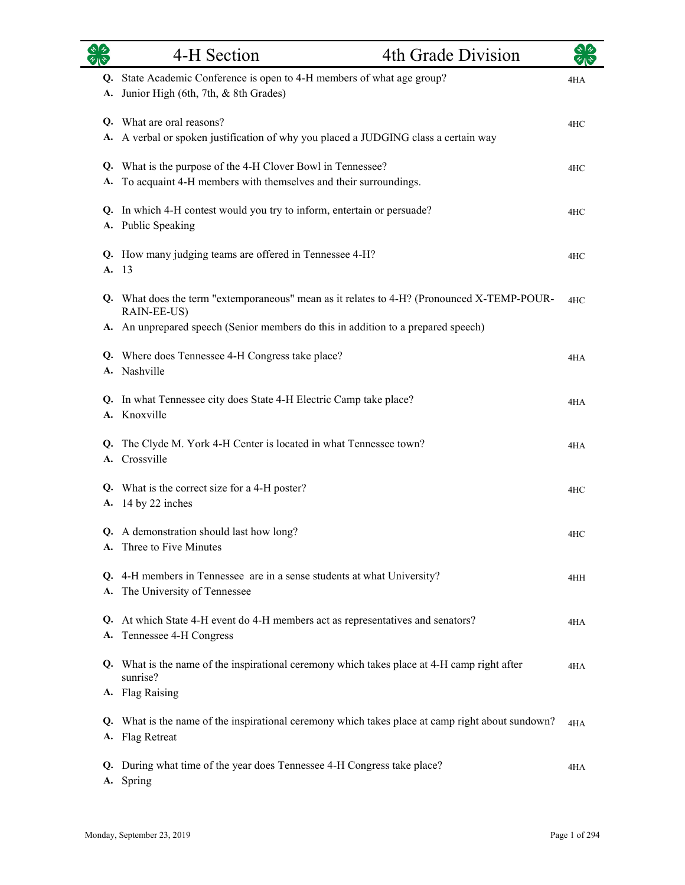| シルシ      | 4-H Section                                                                                                                                           | 4th Grade Division |     |
|----------|-------------------------------------------------------------------------------------------------------------------------------------------------------|--------------------|-----|
| Q.<br>А. | State Academic Conference is open to 4-H members of what age group?<br>Junior High (6th, 7th, & 8th Grades)                                           |                    | 4HA |
| А.       | Q. What are oral reasons?<br>A verbal or spoken justification of why you placed a JUDGING class a certain way                                         |                    | 4HC |
| А.       | Q. What is the purpose of the 4-H Clover Bowl in Tennessee?<br>To acquaint 4-H members with themselves and their surroundings.                        |                    | 4HC |
|          | Q. In which 4-H contest would you try to inform, entertain or persuade?<br>A. Public Speaking                                                         |                    | 4HC |
|          | Q. How many judging teams are offered in Tennessee 4-H?<br>A. 13                                                                                      |                    | 4HC |
|          | Q. What does the term "extemporaneous" mean as it relates to 4-H? (Pronounced X-TEMP-POUR-<br>RAIN-EE-US)                                             |                    | 4HC |
|          | A. An unprepared speech (Senior members do this in addition to a prepared speech)<br>Q. Where does Tennessee 4-H Congress take place?<br>A. Nashville |                    | 4HA |
| А.       | Q. In what Tennessee city does State 4-H Electric Camp take place?<br>Knoxville                                                                       |                    | 4HA |
|          | Q. The Clyde M. York 4-H Center is located in what Tennessee town?<br>A. Crossville                                                                   |                    | 4HA |
|          | Q. What is the correct size for a 4-H poster?<br>A. 14 by 22 inches                                                                                   |                    | 4HC |
|          | Q. A demonstration should last how long?<br>A. Three to Five Minutes                                                                                  |                    | 4HC |
|          | Q. 4-H members in Tennessee are in a sense students at what University?<br>A. The University of Tennessee                                             |                    | 4HH |
|          | Q. At which State 4-H event do 4-H members act as representatives and senators?<br>A. Tennessee 4-H Congress                                          |                    | 4HA |
|          | Q. What is the name of the inspirational ceremony which takes place at 4-H camp right after<br>sunrise?                                               |                    | 4HA |
|          | A. Flag Raising<br>Q. What is the name of the inspirational ceremony which takes place at camp right about sundown?<br>A. Flag Retreat                |                    | 4HA |
| Q.<br>A. | During what time of the year does Tennessee 4-H Congress take place?<br>Spring                                                                        |                    | 4HA |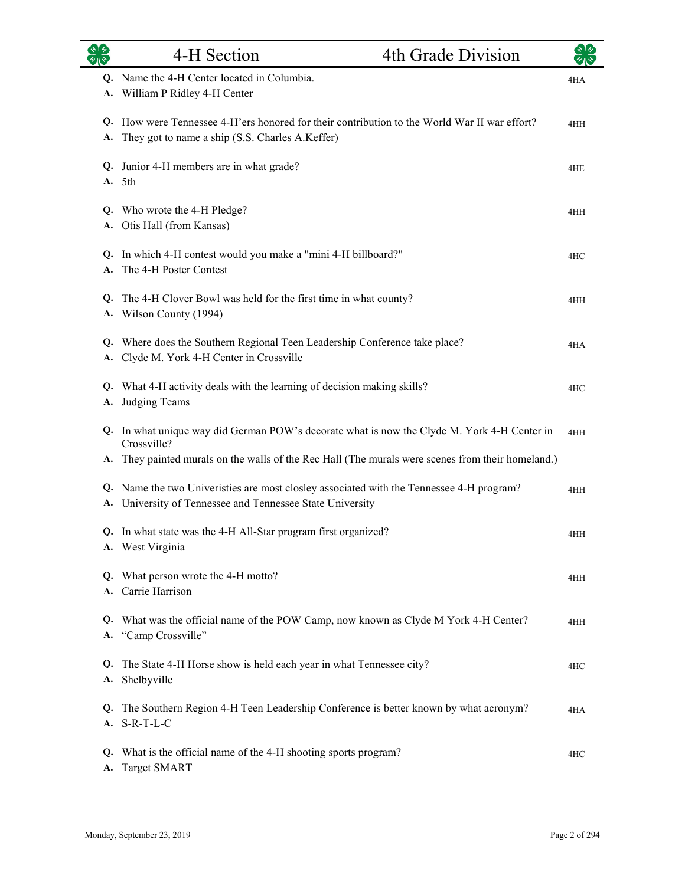|          | 4-H Section                                                                                                                                           | 4th Grade Division |     |
|----------|-------------------------------------------------------------------------------------------------------------------------------------------------------|--------------------|-----|
| A.       | Q. Name the 4-H Center located in Columbia.<br>William P Ridley 4-H Center                                                                            |                    | 4HA |
| А.       | Q. How were Tennessee 4-H'ers honored for their contribution to the World War II war effort?<br>They got to name a ship (S.S. Charles A.Keffer)       |                    | 4HH |
| A.       | Q. Junior 4-H members are in what grade?<br>5th                                                                                                       |                    | 4HE |
| A.       | Q. Who wrote the 4-H Pledge?<br>Otis Hall (from Kansas)                                                                                               |                    | 4HH |
|          | Q. In which 4-H contest would you make a "mini 4-H billboard?"<br>A. The 4-H Poster Contest                                                           |                    | 4HC |
|          | Q. The 4-H Clover Bowl was held for the first time in what county?<br>A. Wilson County (1994)                                                         |                    | 4HH |
| Q.       | Where does the Southern Regional Teen Leadership Conference take place?<br>A. Clyde M. York 4-H Center in Crossville                                  |                    | 4HA |
| A.       | Q. What 4-H activity deals with the learning of decision making skills?<br>Judging Teams                                                              |                    | 4HC |
|          | Q. In what unique way did German POW's decorate what is now the Clyde M. York 4-H Center in<br>Crossville?                                            |                    | 4HH |
| А.       | They painted murals on the walls of the Rec Hall (The murals were scenes from their homeland.)                                                        |                    |     |
|          | Q. Name the two Univeristies are most closley associated with the Tennessee 4-H program?<br>A. University of Tennessee and Tennessee State University |                    | 4HH |
|          | Q. In what state was the 4-H All-Star program first organized?<br>A. West Virginia                                                                    |                    | 4HH |
|          | Q. What person wrote the 4-H motto?<br>A. Carrie Harrison                                                                                             |                    | 4HH |
| Q.<br>A. | What was the official name of the POW Camp, now known as Clyde M York 4-H Center?<br>"Camp Crossville"                                                |                    | 4HH |
| Q.<br>А. | The State 4-H Horse show is held each year in what Tennessee city?<br>Shelbyville                                                                     |                    | 4HC |
| Q.<br>А. | The Southern Region 4-H Teen Leadership Conference is better known by what acronym?<br>$S-R-T-L-C$                                                    |                    | 4HA |
| Q.<br>А. | What is the official name of the 4-H shooting sports program?<br><b>Target SMART</b>                                                                  |                    | 4HC |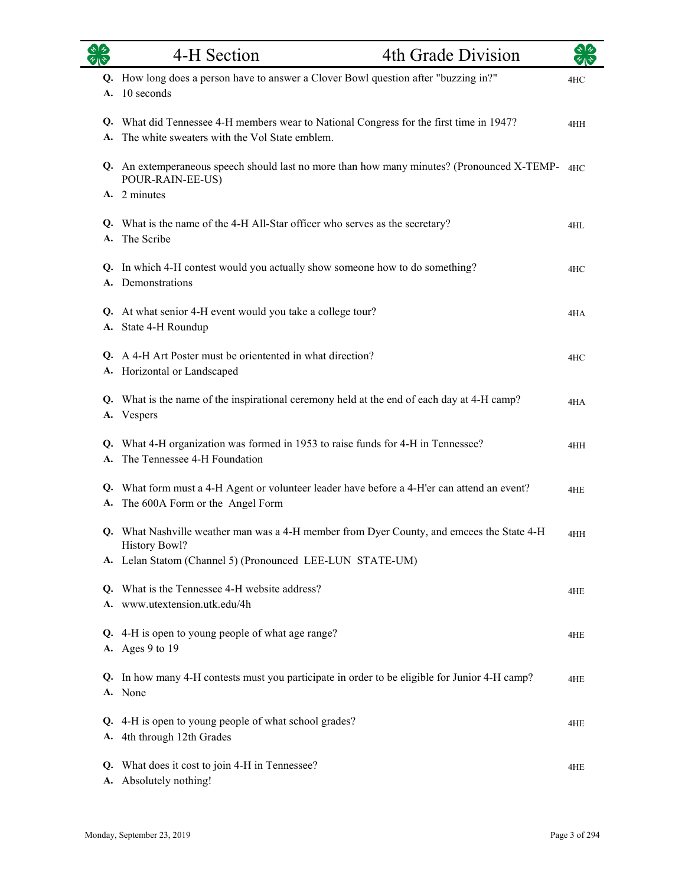| 82       | 4-H Section                                                                                                                              | 4th Grade Division |     |
|----------|------------------------------------------------------------------------------------------------------------------------------------------|--------------------|-----|
| A.       | Q. How long does a person have to answer a Clover Bowl question after "buzzing in?"<br>10 seconds                                        |                    | 4HC |
|          | Q. What did Tennessee 4-H members wear to National Congress for the first time in 1947?<br>The white sweaters with the Vol State emblem. |                    | 4HH |
|          | Q. An extemperaneous speech should last no more than how many minutes? (Pronounced X-TEMP-4HC)<br>POUR-RAIN-EE-US)<br>A. 2 minutes       |                    |     |
| A.       | Q. What is the name of the 4-H All-Star officer who serves as the secretary?<br>The Scribe                                               |                    | 4HL |
|          | Q. In which 4-H contest would you actually show someone how to do something?<br>A. Demonstrations                                        |                    | 4HC |
|          | Q. At what senior 4-H event would you take a college tour?<br>A. State 4-H Roundup                                                       |                    | 4HA |
|          | Q. A 4-H Art Poster must be orientented in what direction?<br>A. Horizontal or Landscaped                                                |                    | 4HC |
| A.       | Q. What is the name of the inspirational ceremony held at the end of each day at 4-H camp?<br>Vespers                                    |                    | 4HA |
| A.       | Q. What 4-H organization was formed in 1953 to raise funds for 4-H in Tennessee?<br>The Tennessee 4-H Foundation                         |                    | 4HH |
| А.       | Q. What form must a 4-H Agent or volunteer leader have before a 4-H'er can attend an event?<br>The 600A Form or the Angel Form           |                    | 4HE |
|          | Q. What Nashville weather man was a 4-H member from Dyer County, and emcees the State 4-H<br><b>History Bowl?</b>                        |                    | 4HH |
| A.       | Lelan Statom (Channel 5) (Pronounced LEE-LUN STATE-UM)                                                                                   |                    |     |
|          | Q. What is the Tennessee 4-H website address?<br>A. www.utextension.utk.edu/4h                                                           |                    | 4HE |
| Q.       | 4-H is open to young people of what age range?<br>A. Ages 9 to 19                                                                        |                    | 4HE |
| Q.       | In how many 4-H contests must you participate in order to be eligible for Junior 4-H camp?<br>A. None                                    |                    | 4HE |
| Q.       | 4-H is open to young people of what school grades?<br>A. 4th through 12th Grades                                                         |                    | 4HE |
| Q.<br>А. | What does it cost to join 4-H in Tennessee?<br>Absolutely nothing!                                                                       |                    | 4HE |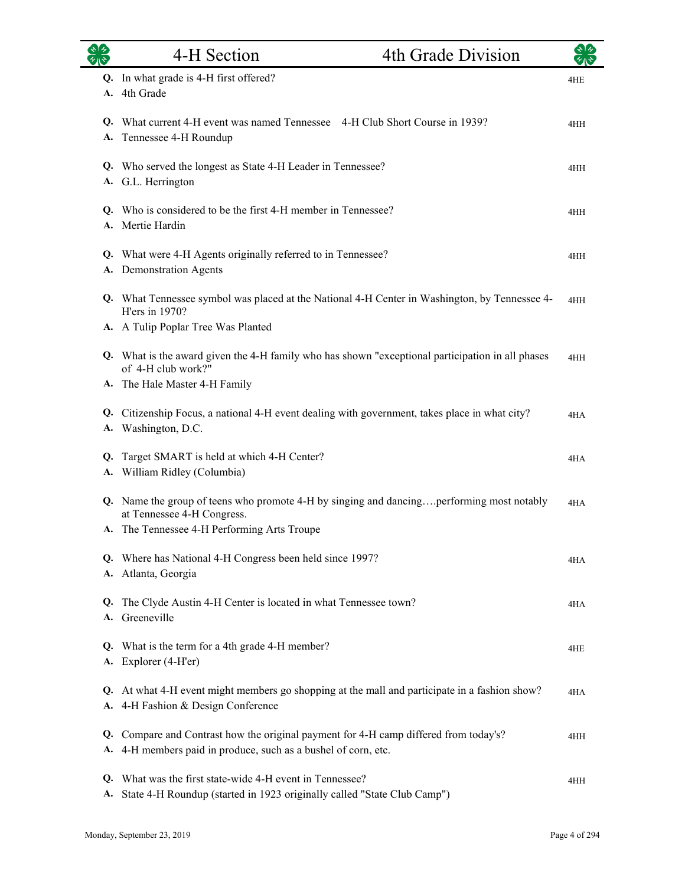| 多        | 4-H Section                                                                                                                                           | 4th Grade Division |     |
|----------|-------------------------------------------------------------------------------------------------------------------------------------------------------|--------------------|-----|
| A.       | Q. In what grade is 4-H first offered?<br>4th Grade                                                                                                   |                    | 4HE |
| Q.<br>A. | What current 4-H event was named Tennessee 4-H Club Short Course in 1939?<br>Tennessee 4-H Roundup                                                    |                    | 4HH |
|          | Q. Who served the longest as State 4-H Leader in Tennessee?<br>A. G.L. Herrington                                                                     |                    | 4HH |
|          | Q. Who is considered to be the first 4-H member in Tennessee?<br>A. Mertie Hardin                                                                     |                    | 4HH |
|          | Q. What were 4-H Agents originally referred to in Tennessee?<br>A. Demonstration Agents                                                               |                    | 4HH |
|          | Q. What Tennessee symbol was placed at the National 4-H Center in Washington, by Tennessee 4-<br>H'ers in 1970?<br>A. A Tulip Poplar Tree Was Planted |                    | 4HH |
|          | Q. What is the award given the 4-H family who has shown "exceptional participation in all phases<br>of 4-H club work?"                                |                    | 4HH |
|          | A. The Hale Master 4-H Family                                                                                                                         |                    |     |
|          | Q. Citizenship Focus, a national 4-H event dealing with government, takes place in what city?<br>A. Washington, D.C.                                  |                    | 4HA |
| Q.       | Target SMART is held at which 4-H Center?<br>A. William Ridley (Columbia)                                                                             |                    | 4HA |
|          | Q. Name the group of teens who promote 4-H by singing and dancingperforming most notably<br>at Tennessee 4-H Congress.                                |                    | 4HA |
|          | A. The Tennessee 4-H Performing Arts Troupe                                                                                                           |                    |     |
|          | Q. Where has National 4-H Congress been held since 1997?<br>A. Atlanta, Georgia                                                                       |                    | 4HA |
| Q.<br>A. | The Clyde Austin 4-H Center is located in what Tennessee town?<br>Greeneville                                                                         |                    | 4HA |
| Q.<br>А. | What is the term for a 4th grade 4-H member?<br>Explorer (4-H'er)                                                                                     |                    | 4HE |
| А.       | Q. At what 4-H event might members go shopping at the mall and participate in a fashion show?<br>4-H Fashion & Design Conference                      |                    | 4HA |
| Q.<br>A. | Compare and Contrast how the original payment for 4-H camp differed from today's?<br>4-H members paid in produce, such as a bushel of corn, etc.      |                    | 4HH |
| Q.<br>A. | What was the first state-wide 4-H event in Tennessee?<br>State 4-H Roundup (started in 1923 originally called "State Club Camp")                      |                    | 4HH |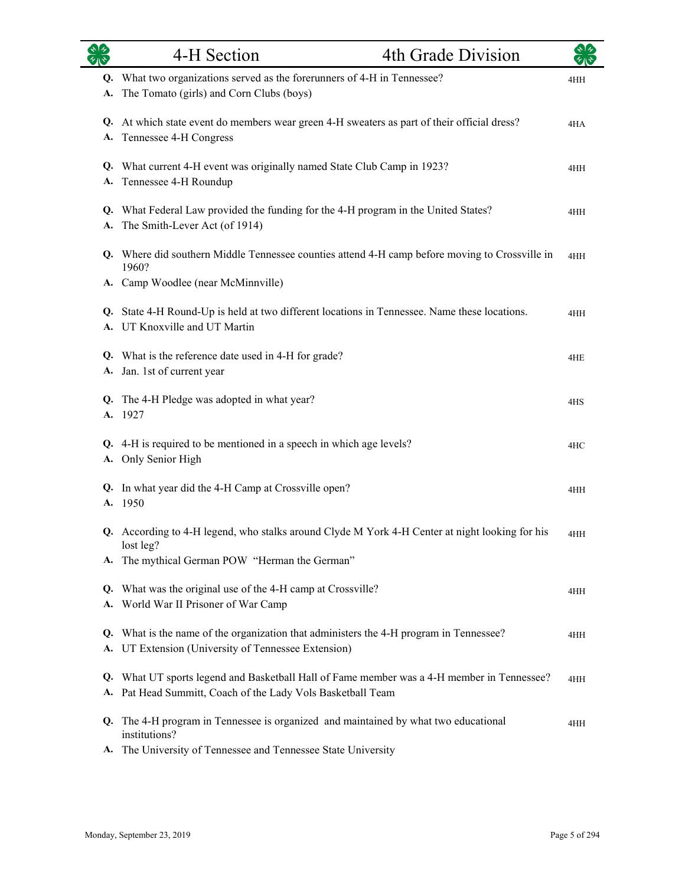| $\overline{\mathscr{C}}$ | 4-H Section                                                                                                                                                         | 4th Grade Division |     |
|--------------------------|---------------------------------------------------------------------------------------------------------------------------------------------------------------------|--------------------|-----|
| Q.<br>A.                 | What two organizations served as the forerunners of 4-H in Tennessee?<br>The Tomato (girls) and Corn Clubs (boys)                                                   |                    | 4HH |
| А.                       | Q. At which state event do members wear green 4-H sweaters as part of their official dress?<br>Tennessee 4-H Congress                                               |                    | 4HA |
| A.                       | Q. What current 4-H event was originally named State Club Camp in 1923?<br>Tennessee 4-H Roundup                                                                    |                    | 4HH |
| А.                       | Q. What Federal Law provided the funding for the 4-H program in the United States?<br>The Smith-Lever Act (of 1914)                                                 |                    | 4HH |
|                          | Q. Where did southern Middle Tennessee counties attend 4-H camp before moving to Crossville in<br>1960?                                                             |                    | 4HH |
|                          | A. Camp Woodlee (near McMinnville)<br>Q. State 4-H Round-Up is held at two different locations in Tennessee. Name these locations.<br>A. UT Knoxville and UT Martin |                    | 4HH |
| А.                       | Q. What is the reference date used in 4-H for grade?<br>Jan. 1st of current year                                                                                    |                    | 4HE |
| A.                       | Q. The 4-H Pledge was adopted in what year?<br>1927                                                                                                                 |                    | 4HS |
| А.                       | Q. 4-H is required to be mentioned in a speech in which age levels?<br>Only Senior High                                                                             |                    | 4HC |
|                          | Q. In what year did the 4-H Camp at Crossville open?<br>A. 1950                                                                                                     |                    | 4HH |
|                          | Q. According to 4-H legend, who stalks around Clyde M York 4-H Center at night looking for his<br>lost leg?                                                         |                    | 4HH |
| А.<br>Q.<br>А.           | The mythical German POW "Herman the German"<br>What was the original use of the 4-H camp at Crossville?<br>World War II Prisoner of War Camp                        |                    | 4HH |
| Q.<br><b>A.</b>          | What is the name of the organization that administers the 4-H program in Tennessee?<br>UT Extension (University of Tennessee Extension)                             |                    | 4HH |
| Q.<br>А.                 | What UT sports legend and Basketball Hall of Fame member was a 4-H member in Tennessee?<br>Pat Head Summitt, Coach of the Lady Vols Basketball Team                 |                    | 4HH |
| Q.<br>А.                 | The 4-H program in Tennessee is organized and maintained by what two educational<br>institutions?<br>The University of Tennessee and Tennessee State University     |                    | 4HH |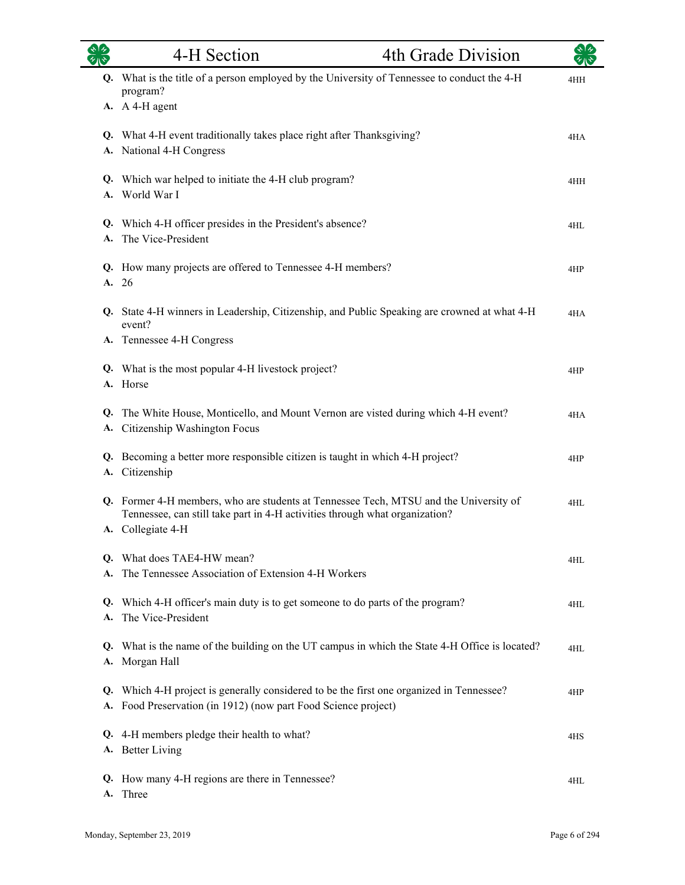| $\sim$   | 4-H Section                                                                                                                                                                               | 4th Grade Division |     |
|----------|-------------------------------------------------------------------------------------------------------------------------------------------------------------------------------------------|--------------------|-----|
|          | Q. What is the title of a person employed by the University of Tennessee to conduct the 4-H<br>program?<br>A. A 4-H agent                                                                 |                    | 4HH |
|          | Q. What 4-H event traditionally takes place right after Thanksgiving?<br>A. National 4-H Congress                                                                                         |                    | 4HA |
|          | Q. Which war helped to initiate the 4-H club program?<br>A. World War I                                                                                                                   |                    | 4HH |
|          | Q. Which 4-H officer presides in the President's absence?<br>The Vice-President                                                                                                           |                    | 4HL |
|          | Q. How many projects are offered to Tennessee 4-H members?<br>A. 26                                                                                                                       |                    | 4HP |
|          | Q. State 4-H winners in Leadership, Citizenship, and Public Speaking are crowned at what 4-H<br>event?<br>A. Tennessee 4-H Congress                                                       |                    | 4HA |
|          | Q. What is the most popular 4-H livestock project?<br>A. Horse                                                                                                                            |                    | 4HP |
| Q.<br>A. | The White House, Monticello, and Mount Vernon are visted during which 4-H event?<br>Citizenship Washington Focus                                                                          |                    | 4HA |
|          | Q. Becoming a better more responsible citizen is taught in which 4-H project?<br>A. Citizenship                                                                                           |                    | 4HP |
|          | Q. Former 4-H members, who are students at Tennessee Tech, MTSU and the University of<br>Tennessee, can still take part in 4-H activities through what organization?<br>A. Collegiate 4-H |                    | 4HL |
|          | Q. What does TAE4-HW mean?<br>The Tennessee Association of Extension 4-H Workers                                                                                                          |                    | 4HL |
| Q.<br>A. | Which 4-H officer's main duty is to get someone to do parts of the program?<br>The Vice-President                                                                                         |                    | 4HL |
| Q.<br>А. | What is the name of the building on the UT campus in which the State 4-H Office is located?<br>Morgan Hall                                                                                |                    | 4HL |
| Q.<br>А. | Which 4-H project is generally considered to be the first one organized in Tennessee?<br>Food Preservation (in 1912) (now part Food Science project)                                      |                    | 4HP |
| Q.<br>A. | 4-H members pledge their health to what?<br><b>Better Living</b>                                                                                                                          |                    | 4HS |
| Q.<br>A. | How many 4-H regions are there in Tennessee?<br>Three                                                                                                                                     |                    | 4HL |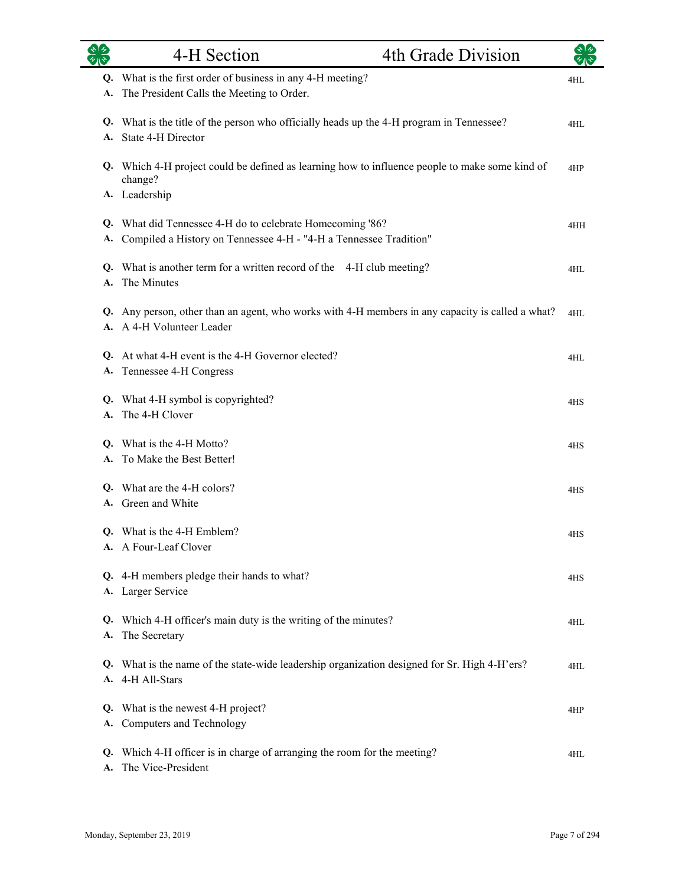| $\sqrt[3]{2}$<br>$\overline{\mathscr{C}}$ | 4-H Section                                                                                                                    | 4th Grade Division |     |
|-------------------------------------------|--------------------------------------------------------------------------------------------------------------------------------|--------------------|-----|
| А.                                        | Q. What is the first order of business in any 4-H meeting?<br>The President Calls the Meeting to Order.                        |                    | 4HL |
|                                           | Q. What is the title of the person who officially heads up the 4-H program in Tennessee?<br>A. State 4-H Director              |                    | 4HL |
|                                           | Q. Which 4-H project could be defined as learning how to influence people to make some kind of<br>change?<br>A. Leadership     |                    | 4HP |
| А.                                        | Q. What did Tennessee 4-H do to celebrate Homecoming '86?<br>Compiled a History on Tennessee 4-H - "4-H a Tennessee Tradition" |                    | 4HH |
| A.                                        | Q. What is another term for a written record of the 4-H club meeting?<br>The Minutes                                           |                    | 4HL |
| Q.                                        | Any person, other than an agent, who works with 4-H members in any capacity is called a what?<br>A. A 4-H Volunteer Leader     |                    | 4HL |
| А.                                        | Q. At what 4-H event is the 4-H Governor elected?<br>Tennessee 4-H Congress                                                    |                    | 4HL |
|                                           | Q. What 4-H symbol is copyrighted?<br>A. The 4-H Clover                                                                        |                    | 4HS |
|                                           | Q. What is the 4-H Motto?<br>A. To Make the Best Better!                                                                       |                    | 4HS |
|                                           | Q. What are the 4-H colors?<br>A. Green and White                                                                              |                    | 4HS |
|                                           | Q. What is the 4-H Emblem?<br>A. A Four-Leaf Clover                                                                            |                    | 4HS |
|                                           | Q. 4-H members pledge their hands to what?<br>A. Larger Service                                                                |                    | 4HS |
| А.                                        | Q. Which 4-H officer's main duty is the writing of the minutes?<br>The Secretary                                               |                    | 4HL |
|                                           | Q. What is the name of the state-wide leadership organization designed for Sr. High 4-H'ers?<br>A. 4-H All-Stars               |                    | 4HL |
| Q.<br>А.                                  | What is the newest 4-H project?<br>Computers and Technology                                                                    |                    | 4HP |
| Q.<br>А.                                  | Which 4-H officer is in charge of arranging the room for the meeting?<br>The Vice-President                                    |                    | 4HL |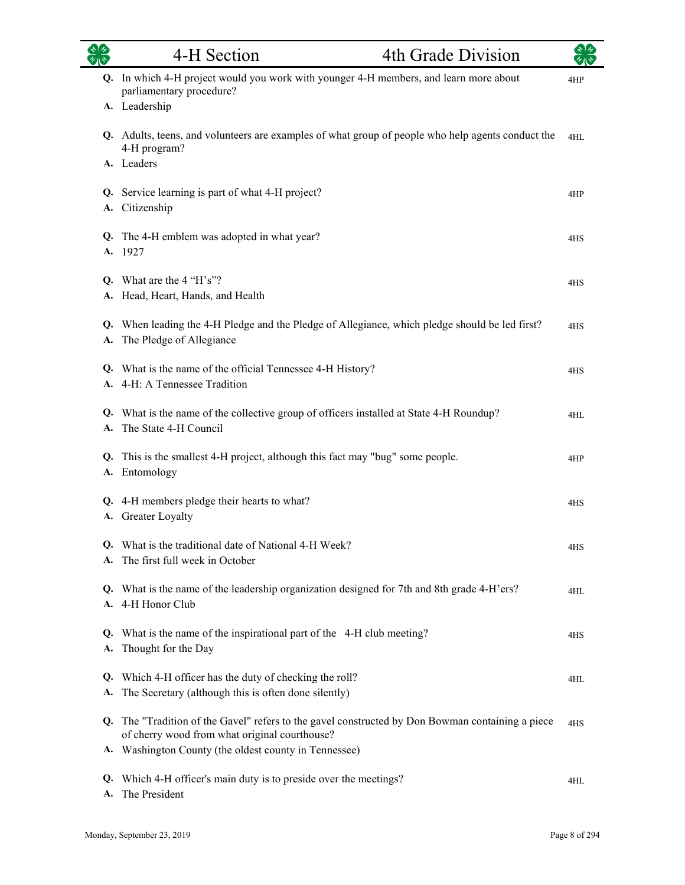## 4-H Section 4th Grade Division

| Q. In which 4-H project would you work with younger 4-H members, and learn more about<br>parliamentary procedure?<br>A. Leadership                                                                         | 4HP |
|------------------------------------------------------------------------------------------------------------------------------------------------------------------------------------------------------------|-----|
| Q. Adults, teens, and volunteers are examples of what group of people who help agents conduct the<br>4-H program?<br>A. Leaders                                                                            | 4HL |
| Q. Service learning is part of what 4-H project?<br>A. Citizenship                                                                                                                                         | 4HP |
| Q. The 4-H emblem was adopted in what year?<br>A. 1927                                                                                                                                                     | 4HS |
| Q. What are the $4$ "H's"?<br>A. Head, Heart, Hands, and Health                                                                                                                                            | 4HS |
| Q. When leading the 4-H Pledge and the Pledge of Allegiance, which pledge should be led first?<br>A. The Pledge of Allegiance                                                                              | 4HS |
| Q. What is the name of the official Tennessee 4-H History?<br>A. 4-H: A Tennessee Tradition                                                                                                                | 4HS |
| Q. What is the name of the collective group of officers installed at State 4-H Roundup?<br>A. The State 4-H Council                                                                                        | 4HL |
| Q. This is the smallest 4-H project, although this fact may "bug" some people.<br>A. Entomology                                                                                                            | 4HP |
| Q. 4-H members pledge their hearts to what?<br>A. Greater Loyalty                                                                                                                                          | 4HS |
| Q. What is the traditional date of National 4-H Week?<br>A. The first full week in October                                                                                                                 | 4HS |
| Q. What is the name of the leadership organization designed for 7th and 8th grade 4-H'ers?<br>A. 4-H Honor Club                                                                                            | 4HL |
| Q. What is the name of the inspirational part of the 4-H club meeting?<br>A. Thought for the Day                                                                                                           | 4HS |
| Q. Which 4-H officer has the duty of checking the roll?<br>A. The Secretary (although this is often done silently)                                                                                         | 4HL |
| Q. The "Tradition of the Gavel" refers to the gavel constructed by Don Bowman containing a piece<br>of cherry wood from what original courthouse?<br>A. Washington County (the oldest county in Tennessee) | 4HS |
| Q. Which 4-H officer's main duty is to preside over the meetings?<br>A. The President                                                                                                                      | 4HL |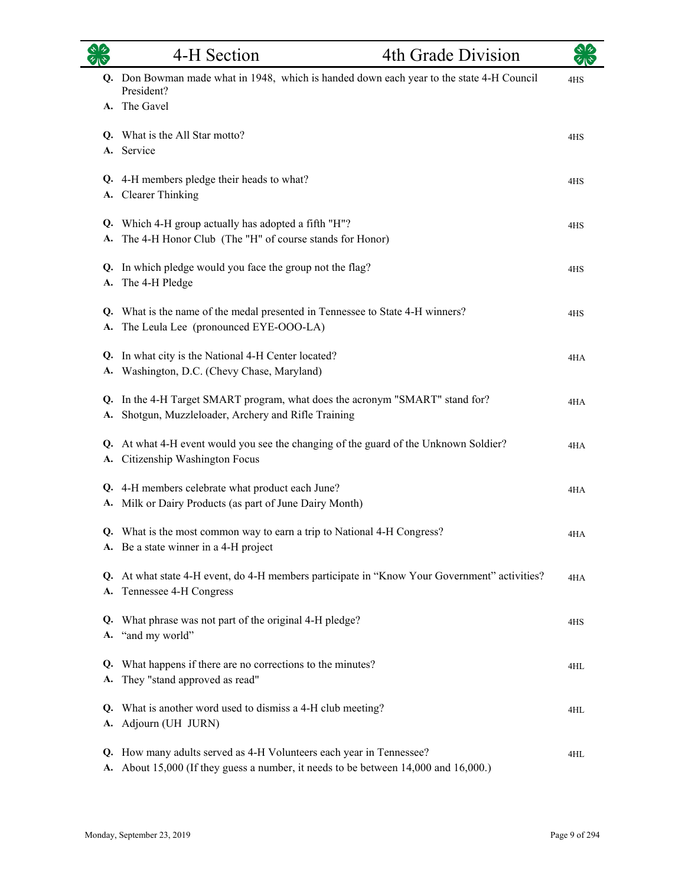|          | 4-H Section                                                                                                                                          | 4th Grade Division |     |
|----------|------------------------------------------------------------------------------------------------------------------------------------------------------|--------------------|-----|
|          | Q. Don Bowman made what in 1948, which is handed down each year to the state 4-H Council<br>President?                                               |                    | 4HS |
|          | A. The Gavel                                                                                                                                         |                    |     |
| А.       | Q. What is the All Star motto?<br>Service                                                                                                            |                    | 4HS |
| А.       | Q. 4-H members pledge their heads to what?<br><b>Clearer Thinking</b>                                                                                |                    | 4HS |
| Q.<br>А. | Which 4-H group actually has adopted a fifth "H"?<br>The 4-H Honor Club (The "H" of course stands for Honor)                                         |                    | 4HS |
| А.       | Q. In which pledge would you face the group not the flag?<br>The 4-H Pledge                                                                          |                    | 4HS |
| А.       | Q. What is the name of the medal presented in Tennessee to State 4-H winners?<br>The Leula Lee (pronounced EYE-OOO-LA)                               |                    | 4HS |
| Q.       | In what city is the National 4-H Center located?<br>A. Washington, D.C. (Chevy Chase, Maryland)                                                      |                    | 4HA |
| Q.<br>А. | In the 4-H Target SMART program, what does the acronym "SMART" stand for?<br>Shotgun, Muzzleloader, Archery and Rifle Training                       |                    | 4HA |
| Q.<br>А. | At what 4-H event would you see the changing of the guard of the Unknown Soldier?<br>Citizenship Washington Focus                                    |                    | 4HA |
| Q.<br>А. | 4-H members celebrate what product each June?<br>Milk or Dairy Products (as part of June Dairy Month)                                                |                    | 4HA |
|          | Q. What is the most common way to earn a trip to National 4-H Congress?<br>A. Be a state winner in a 4-H project                                     |                    | 4HA |
| А.       | Q. At what state 4-H event, do 4-H members participate in "Know Your Government" activities?<br>Tennessee 4-H Congress                               |                    | 4HA |
| Q.       | What phrase was not part of the original 4-H pledge?<br>A. "and my world"                                                                            |                    | 4HS |
| Q.<br>А. | What happens if there are no corrections to the minutes?<br>They "stand approved as read"                                                            |                    | 4HL |
| Q.<br>А. | What is another word used to dismiss a 4-H club meeting?<br>Adjourn (UH JURN)                                                                        |                    | 4HL |
| Q.<br>А. | How many adults served as 4-H Volunteers each year in Tennessee?<br>About 15,000 (If they guess a number, it needs to be between 14,000 and 16,000.) |                    | 4HL |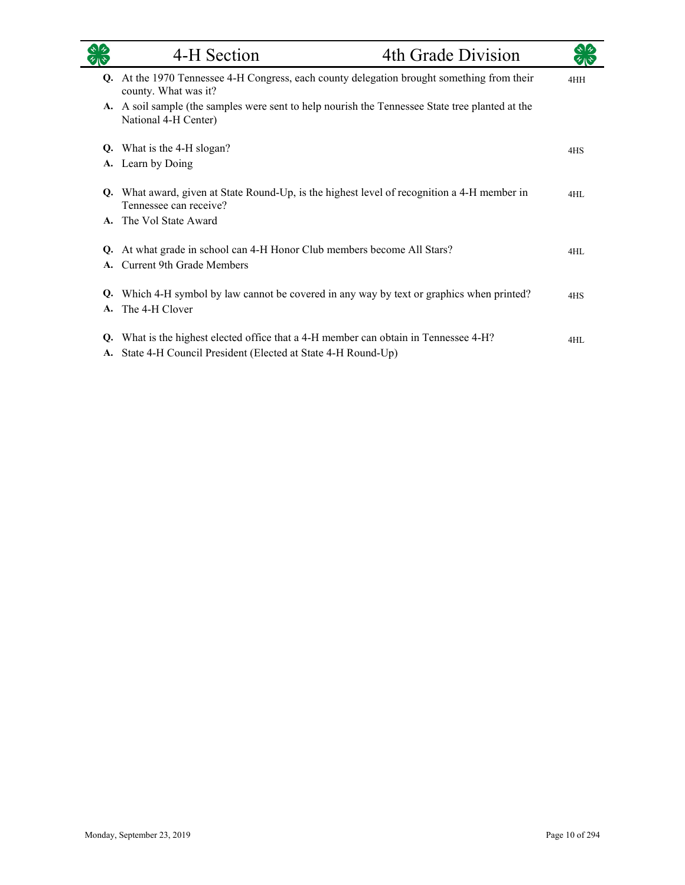|          | 4-H Section                                                                                                                                         | 4th Grade Division |     |
|----------|-----------------------------------------------------------------------------------------------------------------------------------------------------|--------------------|-----|
|          | Q. At the 1970 Tennessee 4-H Congress, each county delegation brought something from their<br>county. What was it?                                  |                    | 4HH |
|          | A. A soil sample (the samples were sent to help nourish the Tennessee State tree planted at the<br>National 4-H Center)                             |                    |     |
| Q.       | What is the 4-H slogan?                                                                                                                             |                    | 4HS |
| A.       | Learn by Doing                                                                                                                                      |                    |     |
| Q.       | What award, given at State Round-Up, is the highest level of recognition a 4-H member in<br>Tennessee can receive?                                  |                    | 4HL |
|          | A. The Vol State Award                                                                                                                              |                    |     |
| Q.<br>A. | At what grade in school can 4-H Honor Club members become All Stars?<br><b>Current 9th Grade Members</b>                                            |                    | 4HL |
| Q.<br>A. | Which 4-H symbol by law cannot be covered in any way by text or graphics when printed?<br>The 4-H Clover                                            |                    | 4HS |
| Q.       | What is the highest elected office that a 4-H member can obtain in Tennessee 4-H?<br>A. State 4-H Council President (Elected at State 4-H Round-Up) |                    | 4HL |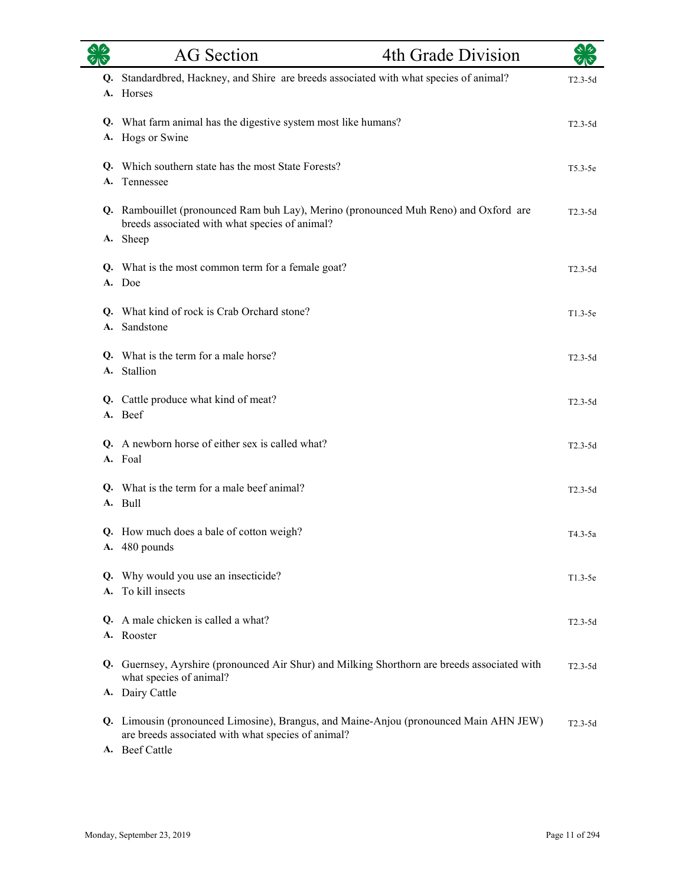|    | <b>AG</b> Section                                                                                                                                                                | 4th Grade Division |             |
|----|----------------------------------------------------------------------------------------------------------------------------------------------------------------------------------|--------------------|-------------|
| Q. | Standardbred, Hackney, and Shire are breeds associated with what species of animal?<br>A. Horses                                                                                 |                    | $T2.3-5d$   |
|    | Q. What farm animal has the digestive system most like humans?<br>A. Hogs or Swine                                                                                               |                    | $T2.3-5d$   |
| А. | Q. Which southern state has the most State Forests?<br>Tennessee                                                                                                                 |                    | $T5.3-5e$   |
|    | Q. Rambouillet (pronounced Ram buh Lay), Merino (pronounced Muh Reno) and Oxford are<br>breeds associated with what species of animal?<br>A. Sheep                               |                    | $T2.3-5d$   |
|    | Q. What is the most common term for a female goat?<br>A. Doe                                                                                                                     |                    | $T2.3-5d$   |
|    | Q. What kind of rock is Crab Orchard stone?<br>A. Sandstone                                                                                                                      |                    | $T1.3-5e$   |
|    | Q. What is the term for a male horse?<br>A. Stallion                                                                                                                             |                    | $T2.3-5d$   |
|    | Q. Cattle produce what kind of meat?<br>A. Beef                                                                                                                                  |                    | $T2.3-5d$   |
|    | Q. A newborn horse of either sex is called what?<br>A. Foal                                                                                                                      |                    | $T2.3-5d$   |
|    | Q. What is the term for a male beef animal?<br>A. Bull                                                                                                                           |                    | $T2.3-5d$   |
|    | Q. How much does a bale of cotton weigh?<br>A. 480 pounds                                                                                                                        |                    | T4.3-5a     |
| А. | Q. Why would you use an insecticide?<br>To kill insects                                                                                                                          |                    | $T1.3-5e$   |
|    | Q. A male chicken is called a what?<br>A. Rooster                                                                                                                                |                    | $T2.3-5d$   |
|    | Q. Guernsey, Ayrshire (pronounced Air Shur) and Milking Shorthorn are breeds associated with<br>what species of animal?                                                          |                    | $T2.3 - 5d$ |
|    | A. Dairy Cattle<br>Q. Limousin (pronounced Limosine), Brangus, and Maine-Anjou (pronounced Main AHN JEW)<br>are breeds associated with what species of animal?<br>A. Beef Cattle |                    | $T2.3-5d$   |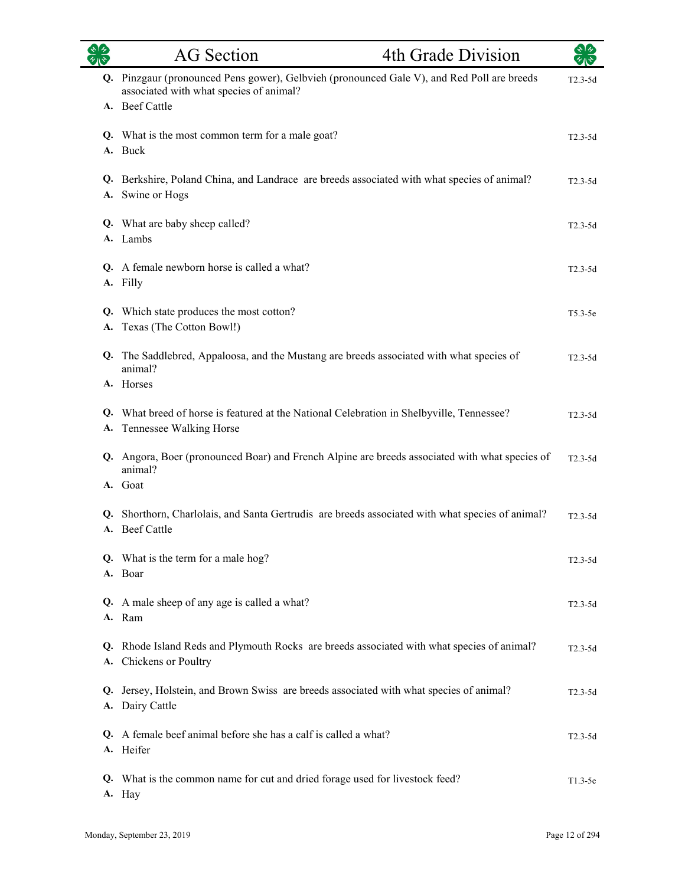| $\mathbf{A}$ | <b>AG</b> Section                                                                                                                                       | 4th Grade Division | $\star$ 1 $\star$ |
|--------------|---------------------------------------------------------------------------------------------------------------------------------------------------------|--------------------|-------------------|
|              | Q. Pinzgaur (pronounced Pens gower), Gelbvieh (pronounced Gale V), and Red Poll are breeds<br>associated with what species of animal?<br>A. Beef Cattle |                    | $T2.3-5d$         |
|              | Q. What is the most common term for a male goat?<br>A. Buck                                                                                             |                    | $T2.3-5d$         |
|              | Q. Berkshire, Poland China, and Landrace are breeds associated with what species of animal?<br>A. Swine or Hogs                                         |                    | $T2.3-5d$         |
|              | Q. What are baby sheep called?<br>A. Lambs                                                                                                              |                    | $T2.3-5d$         |
|              | Q. A female newborn horse is called a what?<br>A. Filly                                                                                                 |                    | $T2.3-5d$         |
| Q.<br>А.     | Which state produces the most cotton?<br>Texas (The Cotton Bowl!)                                                                                       |                    | $T5.3-5e$         |
|              | Q. The Saddlebred, Appaloosa, and the Mustang are breeds associated with what species of<br>animal?<br>A. Horses                                        |                    | $T2.3-5d$         |
| Q.<br>А.     | What breed of horse is featured at the National Celebration in Shelbyville, Tennessee?<br>Tennessee Walking Horse                                       |                    | $T2.3-5d$         |
|              | Q. Angora, Boer (pronounced Boar) and French Alpine are breeds associated with what species of<br>animal?<br>A. Goat                                    |                    | $T2.3-5d$         |
|              | Q. Shorthorn, Charlolais, and Santa Gertrudis are breeds associated with what species of animal?<br>A. Beef Cattle                                      |                    | $T2.3-5d$         |
|              | Q. What is the term for a male hog?<br>A. Boar                                                                                                          |                    | $T2.3-5d$         |
|              | Q. A male sheep of any age is called a what?<br>A. Ram                                                                                                  |                    | $T2.3-5d$         |
|              | Q. Rhode Island Reds and Plymouth Rocks are breeds associated with what species of animal?<br>A. Chickens or Poultry                                    |                    | $T2.3-5d$         |
| Q.           | Jersey, Holstein, and Brown Swiss are breeds associated with what species of animal?<br>A. Dairy Cattle                                                 |                    | $T2.3-5d$         |
|              | Q. A female beef animal before she has a calf is called a what?<br>A. Heifer                                                                            |                    | $T2.3-5d$         |
|              | Q. What is the common name for cut and dried forage used for livestock feed?<br>A. Hay                                                                  |                    | $T1.3-5e$         |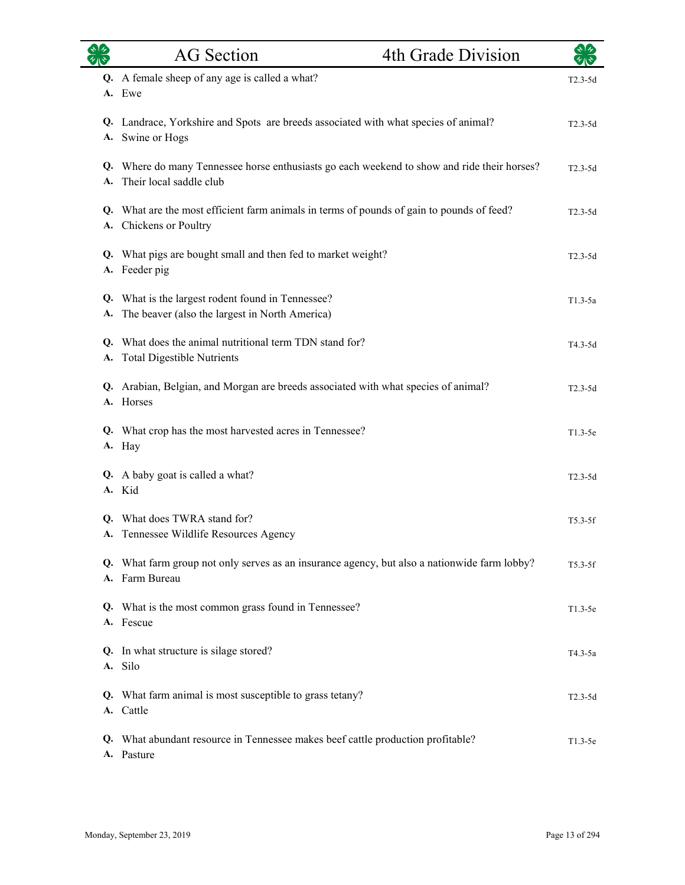|    | <b>AG</b> Section                                                                                                      | 4th Grade Division | ぐしゃ         |
|----|------------------------------------------------------------------------------------------------------------------------|--------------------|-------------|
|    | Q. A female sheep of any age is called a what?<br>A. Ewe                                                               |                    | $T2.3-5d$   |
|    | Q. Landrace, Yorkshire and Spots are breeds associated with what species of animal?<br>A. Swine or Hogs                |                    | $T2.3-5d$   |
| A. | Q. Where do many Tennessee horse enthusiasts go each weekend to show and ride their horses?<br>Their local saddle club |                    | $T2.3 - 5d$ |
|    | Q. What are the most efficient farm animals in terms of pounds of gain to pounds of feed?<br>A. Chickens or Poultry    |                    | $T2.3-5d$   |
|    | Q. What pigs are bought small and then fed to market weight?<br>A. Feeder pig                                          |                    | $T2.3-5d$   |
| A. | Q. What is the largest rodent found in Tennessee?<br>The beaver (also the largest in North America)                    |                    | $T1.3-5a$   |
|    | Q. What does the animal nutritional term TDN stand for?<br>A. Total Digestible Nutrients                               |                    | T4.3-5d     |
| Q. | Arabian, Belgian, and Morgan are breeds associated with what species of animal?<br>A. Horses                           |                    | $T2.3-5d$   |
|    | Q. What crop has the most harvested acres in Tennessee?<br>A. Hay                                                      |                    | $T1.3-5e$   |
|    | Q. A baby goat is called a what?<br>A. Kid                                                                             |                    | $T2.3-5d$   |
|    | Q. What does TWRA stand for?<br>A. Tennessee Wildlife Resources Agency                                                 |                    | $T5.3-5f$   |
|    | Q. What farm group not only serves as an insurance agency, but also a nationwide farm lobby?<br>A. Farm Bureau         |                    | $T5.3-5f$   |
|    | Q. What is the most common grass found in Tennessee?<br>A. Fescue                                                      |                    | $T1.3-5e$   |
|    | Q. In what structure is silage stored?<br>A. Silo                                                                      |                    | $T4.3-5a$   |
| Q. | What farm animal is most susceptible to grass tetany?<br>A. Cattle                                                     |                    | $T2.3 - 5d$ |
| Q. | What abundant resource in Tennessee makes beef cattle production profitable?<br>A. Pasture                             |                    | $T1.3-5e$   |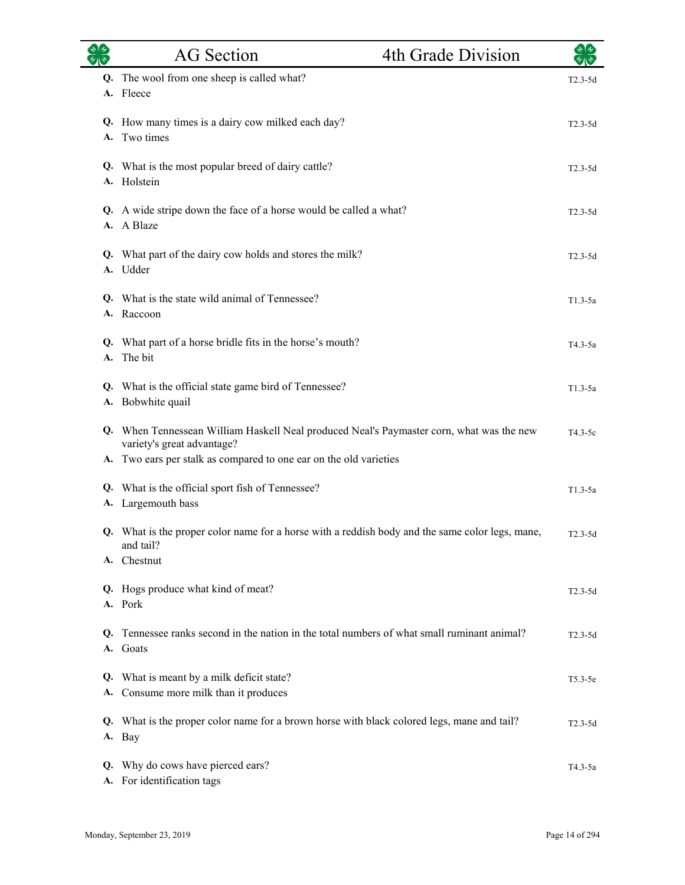|    | <b>AG</b> Section                                                                                                      | 4th Grade Division |             |
|----|------------------------------------------------------------------------------------------------------------------------|--------------------|-------------|
|    | Q. The wool from one sheep is called what?<br>A. Fleece                                                                |                    | $T2.3-5d$   |
| А. | Q. How many times is a dairy cow milked each day?<br>Two times                                                         |                    | $T2.3-5d$   |
|    | Q. What is the most popular breed of dairy cattle?<br>A. Holstein                                                      |                    | $T2.3-5d$   |
| А. | Q. A wide stripe down the face of a horse would be called a what?<br>A Blaze                                           |                    | $T2.3-5d$   |
|    | Q. What part of the dairy cow holds and stores the milk?<br>A. Udder                                                   |                    | $T2.3-5d$   |
|    | Q. What is the state wild animal of Tennessee?<br>A. Raccoon                                                           |                    | $T1.3-5a$   |
| А. | Q. What part of a horse bridle fits in the horse's mouth?<br>The bit                                                   |                    | T4.3-5a     |
|    | Q. What is the official state game bird of Tennessee?<br>A. Bobwhite quail                                             |                    | $T1.3-5a$   |
|    | Q. When Tennessean William Haskell Neal produced Neal's Paymaster corn, what was the new<br>variety's great advantage? |                    | $T4.3-5c$   |
|    | A. Two ears per stalk as compared to one ear on the old varieties                                                      |                    |             |
|    | Q. What is the official sport fish of Tennessee?                                                                       |                    | $T1.3-5a$   |
|    | A. Largemouth bass                                                                                                     |                    |             |
|    | Q. What is the proper color name for a horse with a reddish body and the same color legs, mane,<br>and tail?           |                    | $T2.3-5d$   |
| А. | Chestnut                                                                                                               |                    |             |
|    | Q. Hogs produce what kind of meat?<br>A. Pork                                                                          |                    | $T2.3 - 5d$ |
| Q. | Tennessee ranks second in the nation in the total numbers of what small ruminant animal?<br>A. Goats                   |                    | $T2.3-5d$   |
| А. | Q. What is meant by a milk deficit state?<br>Consume more milk than it produces                                        |                    | $T5.3-5e$   |
| Q. | What is the proper color name for a brown horse with black colored legs, mane and tail?<br>A. Bay                      |                    | T2.3-5d     |
| Q. | Why do cows have pierced ears?<br>A. For identification tags                                                           |                    | T4.3-5a     |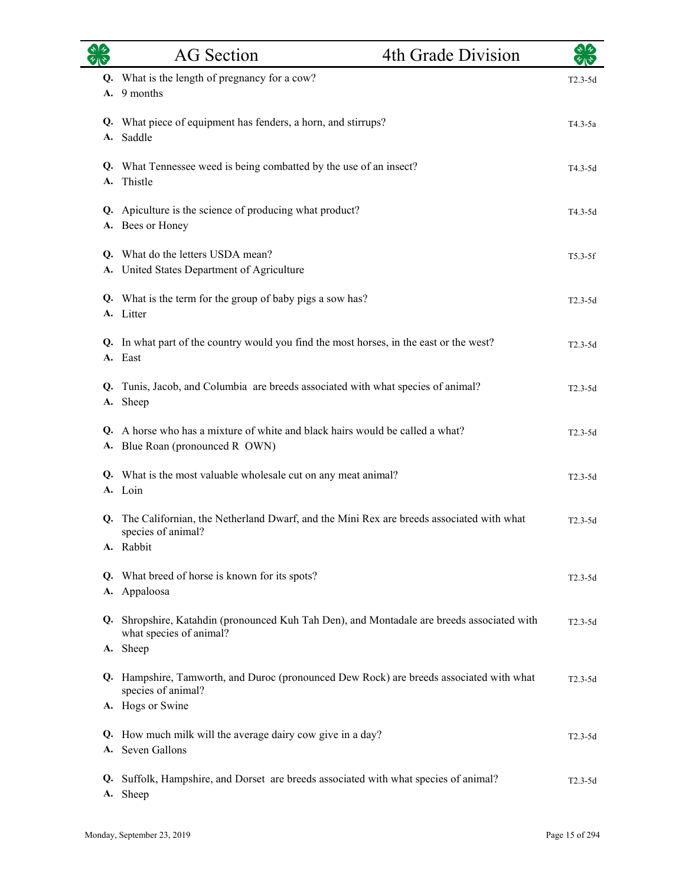|          | <b>AG</b> Section                                                                                                          | 4th Grade Division |           |
|----------|----------------------------------------------------------------------------------------------------------------------------|--------------------|-----------|
| А.       | Q. What is the length of pregnancy for a cow?<br>9 months                                                                  |                    | $T2.3-5d$ |
|          | Q. What piece of equipment has fenders, a horn, and stirrups?<br>A. Saddle                                                 |                    | $T4.3-5a$ |
| А.       | Q. What Tennessee weed is being combatted by the use of an insect?<br>Thistle                                              |                    | T4.3-5d   |
|          | Q. Apiculture is the science of producing what product?<br>A. Bees or Honey                                                |                    | T4.3-5d   |
|          | Q. What do the letters USDA mean?<br>A. United States Department of Agriculture                                            |                    | $T5.3-5f$ |
|          | Q. What is the term for the group of baby pigs a sow has?<br>A. Litter                                                     |                    | $T2.3-5d$ |
|          | Q. In what part of the country would you find the most horses, in the east or the west?<br>A. East                         |                    | $T2.3-5d$ |
| Q.       | Tunis, Jacob, and Columbia are breeds associated with what species of animal?<br>A. Sheep                                  |                    | $T2.3-5d$ |
|          | Q. A horse who has a mixture of white and black hairs would be called a what?<br>A. Blue Roan (pronounced R OWN)           |                    | $T2.3-5d$ |
|          | Q. What is the most valuable wholesale cut on any meat animal?<br>A. Loin                                                  |                    | $T2.3-5d$ |
| Q.       | The Californian, the Netherland Dwarf, and the Mini Rex are breeds associated with what<br>species of animal?<br>A. Rabbit |                    | $T2.3-5d$ |
| А.       | Q. What breed of horse is known for its spots?<br>Appaloosa                                                                |                    | $T2.3-5d$ |
|          | Q. Shropshire, Katahdin (pronounced Kuh Tah Den), and Montadale are breeds associated with<br>what species of animal?      |                    | $T2.3-5d$ |
|          | A. Sheep<br>Q. Hampshire, Tamworth, and Duroc (pronounced Dew Rock) are breeds associated with what                        |                    | $T2.3-5d$ |
|          | species of animal?<br>A. Hogs or Swine                                                                                     |                    |           |
| Q.       | How much milk will the average dairy cow give in a day?<br>A. Seven Gallons                                                |                    | T2.3-5d   |
| Q.<br>A. | Suffolk, Hampshire, and Dorset are breeds associated with what species of animal?<br>Sheep                                 |                    | $T2.3-5d$ |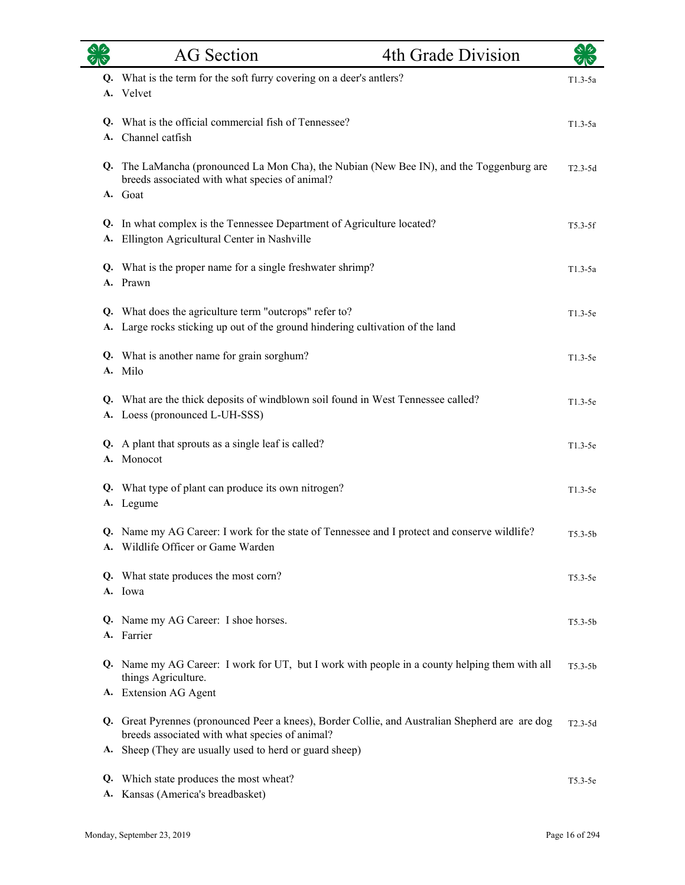|          | <b>AG</b> Section                                                                                                                        | 4th Grade Division                                                                              | কাৰু        |
|----------|------------------------------------------------------------------------------------------------------------------------------------------|-------------------------------------------------------------------------------------------------|-------------|
|          | Q. What is the term for the soft furry covering on a deer's antlers?<br>A. Velvet                                                        |                                                                                                 | $T1.3-5a$   |
|          | Q. What is the official commercial fish of Tennessee?<br>A. Channel catfish                                                              |                                                                                                 | $T1.3-5a$   |
|          | breeds associated with what species of animal?<br>A. Goat                                                                                | Q. The LaMancha (pronounced La Mon Cha), the Nubian (New Bee IN), and the Toggenburg are        | $T2.3-5d$   |
| A.       | Q. In what complex is the Tennessee Department of Agriculture located?<br>Ellington Agricultural Center in Nashville                     |                                                                                                 | $T5.3-5f$   |
|          | Q. What is the proper name for a single freshwater shrimp?<br>A. Prawn                                                                   |                                                                                                 | $T1.3-5a$   |
|          | Q. What does the agriculture term "outcrops" refer to?<br>A. Large rocks sticking up out of the ground hindering cultivation of the land |                                                                                                 | $T1.3-5e$   |
|          | Q. What is another name for grain sorghum?<br>A. Milo                                                                                    |                                                                                                 | $T1.3-5e$   |
|          | Q. What are the thick deposits of windblown soil found in West Tennessee called?<br>A. Loess (pronounced L-UH-SSS)                       |                                                                                                 | $T1.3-5e$   |
|          | Q. A plant that sprouts as a single leaf is called?<br>A. Monocot                                                                        |                                                                                                 | $T1.3-5e$   |
|          | Q. What type of plant can produce its own nitrogen?<br>A. Legume                                                                         |                                                                                                 | $T1.3-5e$   |
|          | A. Wildlife Officer or Game Warden                                                                                                       | Q. Name my AG Career: I work for the state of Tennessee and I protect and conserve wildlife?    | $T5.3 - 5b$ |
|          | Q. What state produces the most corn?<br>A. Iowa                                                                                         |                                                                                                 | $T5.3-5e$   |
|          | Q. Name my AG Career: I shoe horses.<br>A. Farrier                                                                                       |                                                                                                 | $T5.3 - 5b$ |
|          | things Agriculture.<br>A. Extension AG Agent                                                                                             | Q. Name my AG Career: I work for UT, but I work with people in a county helping them with all   | $T5.3 - 5b$ |
|          | breeds associated with what species of animal?<br>A. Sheep (They are usually used to herd or guard sheep)                                | Q. Great Pyrennes (pronounced Peer a knees), Border Collie, and Australian Shepherd are are dog | $T2.3-5d$   |
| Q.<br>A. | Which state produces the most wheat?<br>Kansas (America's breadbasket)                                                                   |                                                                                                 | $T5.3-5e$   |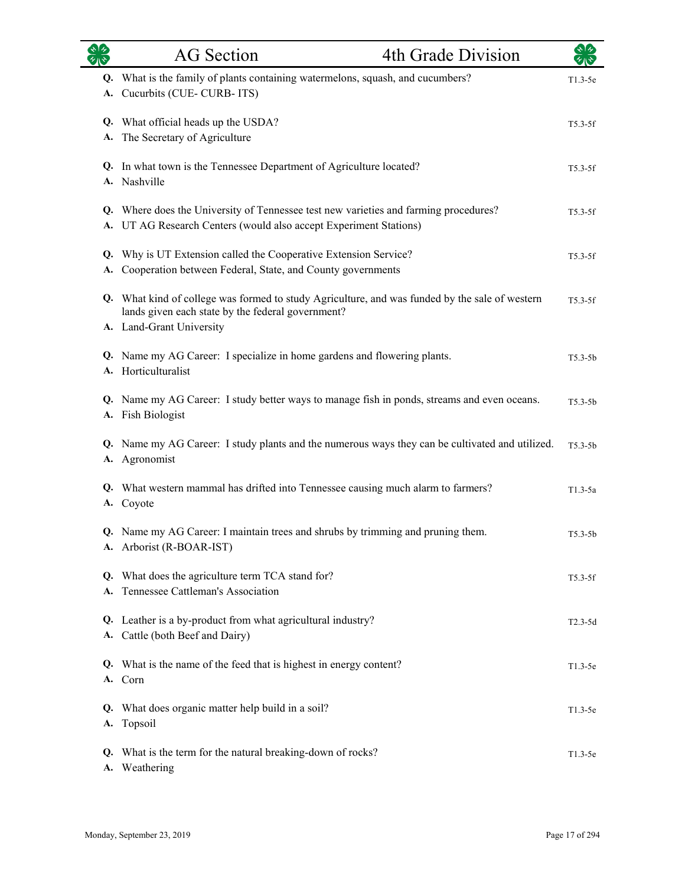|          | <b>AG</b> Section                                                                                                                                                               | 4th Grade Division | $\sum_{i=1}^{n}$ |
|----------|---------------------------------------------------------------------------------------------------------------------------------------------------------------------------------|--------------------|------------------|
|          | Q. What is the family of plants containing watermelons, squash, and cucumbers?<br>A. Cucurbits (CUE-CURB-ITS)                                                                   |                    | $T1.3-5e$        |
| A.       | Q. What official heads up the USDA?<br>The Secretary of Agriculture                                                                                                             |                    | $T5.3-5f$        |
|          | Q. In what town is the Tennessee Department of Agriculture located?<br>A. Nashville                                                                                             |                    | $T5.3-5f$        |
|          | Q. Where does the University of Tennessee test new varieties and farming procedures?<br>A. UT AG Research Centers (would also accept Experiment Stations)                       |                    | $T5.3-5f$        |
| А.       | Q. Why is UT Extension called the Cooperative Extension Service?<br>Cooperation between Federal, State, and County governments                                                  |                    | $T5.3-5f$        |
|          | Q. What kind of college was formed to study Agriculture, and was funded by the sale of western<br>lands given each state by the federal government?<br>A. Land-Grant University |                    | $T5.3-5f$        |
|          | Q. Name my AG Career: I specialize in home gardens and flowering plants.<br>A. Horticulturalist                                                                                 |                    | $T5.3-5b$        |
|          | Q. Name my AG Career: I study better ways to manage fish in ponds, streams and even oceans.<br>A. Fish Biologist                                                                |                    | $T5.3-5b$        |
|          | Q. Name my AG Career: I study plants and the numerous ways they can be cultivated and utilized.<br>A. Agronomist                                                                |                    | $T5.3-5b$        |
|          | Q. What western mammal has drifted into Tennessee causing much alarm to farmers?<br>A. Coyote                                                                                   |                    | $T1.3-5a$        |
|          | Q. Name my AG Career: I maintain trees and shrubs by trimming and pruning them.<br>A. Arborist (R-BOAR-IST)                                                                     |                    | $T5.3 - 5b$      |
| Q.<br>А. | What does the agriculture term TCA stand for?<br>Tennessee Cattleman's Association                                                                                              |                    | $T5.3-5f$        |
|          | Q. Leather is a by-product from what agricultural industry?<br>A. Cattle (both Beef and Dairy)                                                                                  |                    | $T2.3-5d$        |
|          | Q. What is the name of the feed that is highest in energy content?<br>A. Corn                                                                                                   |                    | $T1.3-5e$        |
| Q.<br>А. | What does organic matter help build in a soil?<br>Topsoil                                                                                                                       |                    | $T1.3-5e$        |
| Q.<br>A. | What is the term for the natural breaking-down of rocks?<br>Weathering                                                                                                          |                    | $T1.3-5e$        |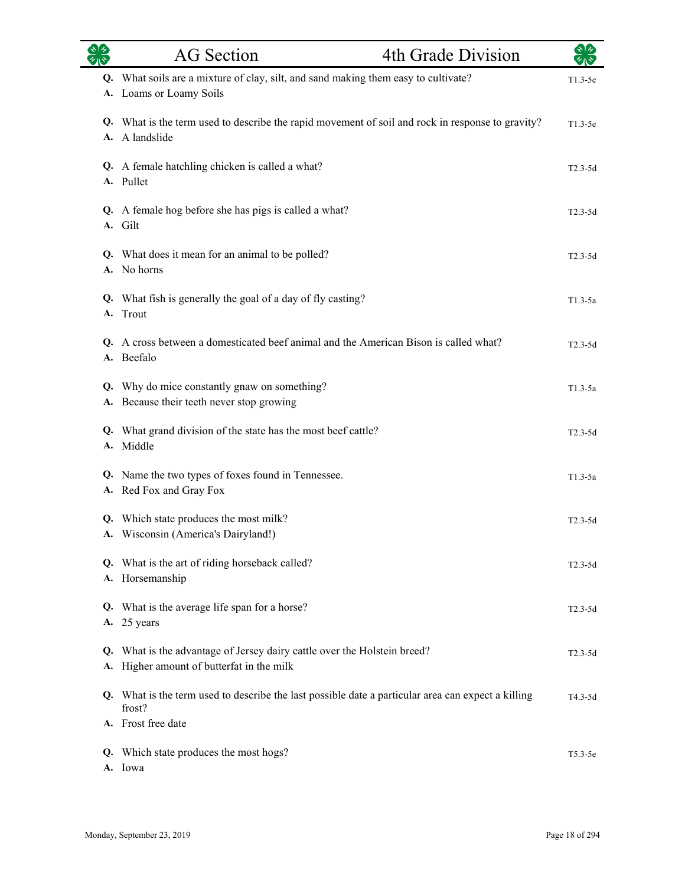| 外心 | <b>AG</b> Section                                                                                                     | 4th Grade Division | $\sqrt[3]{2}$ |
|----|-----------------------------------------------------------------------------------------------------------------------|--------------------|---------------|
|    | Q. What soils are a mixture of clay, silt, and sand making them easy to cultivate?<br>A. Loams or Loamy Soils         |                    | $T1.3-5e$     |
|    |                                                                                                                       |                    |               |
|    | Q. What is the term used to describe the rapid movement of soil and rock in response to gravity?<br>A. A landslide    |                    | $T1.3-5e$     |
|    | Q. A female hatchling chicken is called a what?<br>A. Pullet                                                          |                    | $T2.3-5d$     |
|    | Q. A female hog before she has pigs is called a what?<br>A. Gilt                                                      |                    | $T2.3-5d$     |
|    | Q. What does it mean for an animal to be polled?<br>A. No horns                                                       |                    | $T2.3-5d$     |
|    | Q. What fish is generally the goal of a day of fly casting?<br>A. Trout                                               |                    | T1.3-5a       |
|    | Q. A cross between a domesticated beef animal and the American Bison is called what?<br>A. Beefalo                    |                    | $T2.3-5d$     |
|    | Q. Why do mice constantly gnaw on something?<br>A. Because their teeth never stop growing                             |                    | $T1.3-5a$     |
|    | Q. What grand division of the state has the most beef cattle?<br>A. Middle                                            |                    | $T2.3-5d$     |
|    | Q. Name the two types of foxes found in Tennessee.<br>A. Red Fox and Gray Fox                                         |                    | $T1.3-5a$     |
|    | Q. Which state produces the most milk?<br>A. Wisconsin (America's Dairyland!)                                         |                    | $T2.3-5d$     |
|    | Q. What is the art of riding horseback called?<br>A. Horsemanship                                                     |                    | $T2.3-5d$     |
|    | Q. What is the average life span for a horse?<br>A. 25 years                                                          |                    | $T2.3-5d$     |
|    | Q. What is the advantage of Jersey dairy cattle over the Holstein breed?<br>A. Higher amount of butterfat in the milk |                    | $T2.3-5d$     |
|    | Q. What is the term used to describe the last possible date a particular area can expect a killing<br>frost?          |                    | T4.3-5d       |
|    | A. Frost free date                                                                                                    |                    |               |
|    | Q. Which state produces the most hogs?<br>A. Iowa                                                                     |                    | $T5.3-5e$     |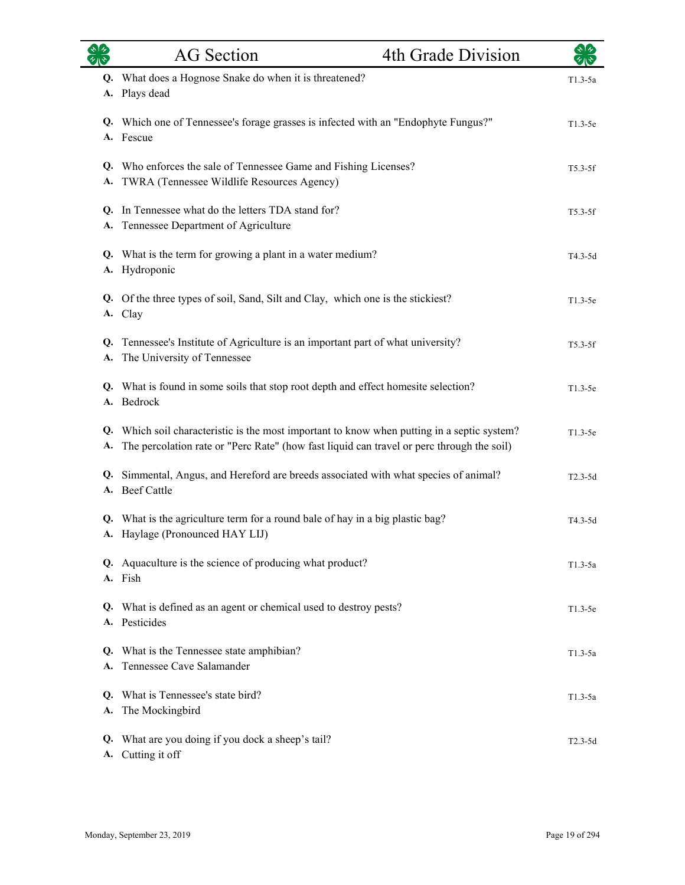|          | <b>AG</b> Section                                                                                                                                                                        | 4th Grade Division | $\star$ 1 $\star$ |
|----------|------------------------------------------------------------------------------------------------------------------------------------------------------------------------------------------|--------------------|-------------------|
|          | Q. What does a Hognose Snake do when it is threatened?<br>A. Plays dead                                                                                                                  |                    | $T1.3-5a$         |
|          | Q. Which one of Tennessee's forage grasses is infected with an "Endophyte Fungus?"<br>A. Fescue                                                                                          |                    | $T1.3-5e$         |
|          | Q. Who enforces the sale of Tennessee Game and Fishing Licenses?<br>A. TWRA (Tennessee Wildlife Resources Agency)                                                                        |                    | $T5.3-5f$         |
|          | Q. In Tennessee what do the letters TDA stand for?<br>A. Tennessee Department of Agriculture                                                                                             |                    | $T5.3-5f$         |
|          | Q. What is the term for growing a plant in a water medium?<br>A. Hydroponic                                                                                                              |                    | T4.3-5d           |
|          | Q. Of the three types of soil, Sand, Silt and Clay, which one is the stickiest?<br>A. Clay                                                                                               |                    | $T1.3-5e$         |
|          | Q. Tennessee's Institute of Agriculture is an important part of what university?<br>A. The University of Tennessee                                                                       |                    | $T5.3-5f$         |
|          | Q. What is found in some soils that stop root depth and effect homesite selection?<br>A. Bedrock                                                                                         |                    | $T1.3-5e$         |
| А.       | Q. Which soil characteristic is the most important to know when putting in a septic system?<br>The percolation rate or "Perc Rate" (how fast liquid can travel or perc through the soil) |                    | $T1.3-5e$         |
|          | Q. Simmental, Angus, and Hereford are breeds associated with what species of animal?<br>A. Beef Cattle                                                                                   |                    | $T2.3-5d$         |
|          | Q. What is the agriculture term for a round bale of hay in a big plastic bag?<br>A. Haylage (Pronounced HAY LIJ)                                                                         |                    | T4.3-5d           |
|          | Q. Aquaculture is the science of producing what product?<br>A. Fish                                                                                                                      |                    | $T1.3-5a$         |
|          | Q. What is defined as an agent or chemical used to destroy pests?<br>A. Pesticides                                                                                                       |                    | $T1.3-5e$         |
| Q.<br>А. | What is the Tennessee state amphibian?<br>Tennessee Cave Salamander                                                                                                                      |                    | $T1.3-5a$         |
| O.<br>A. | What is Tennessee's state bird?<br>The Mockingbird                                                                                                                                       |                    | $T1.3-5a$         |
| Q.<br>A. | What are you doing if you dock a sheep's tail?<br>Cutting it off                                                                                                                         |                    | $T2.3-5d$         |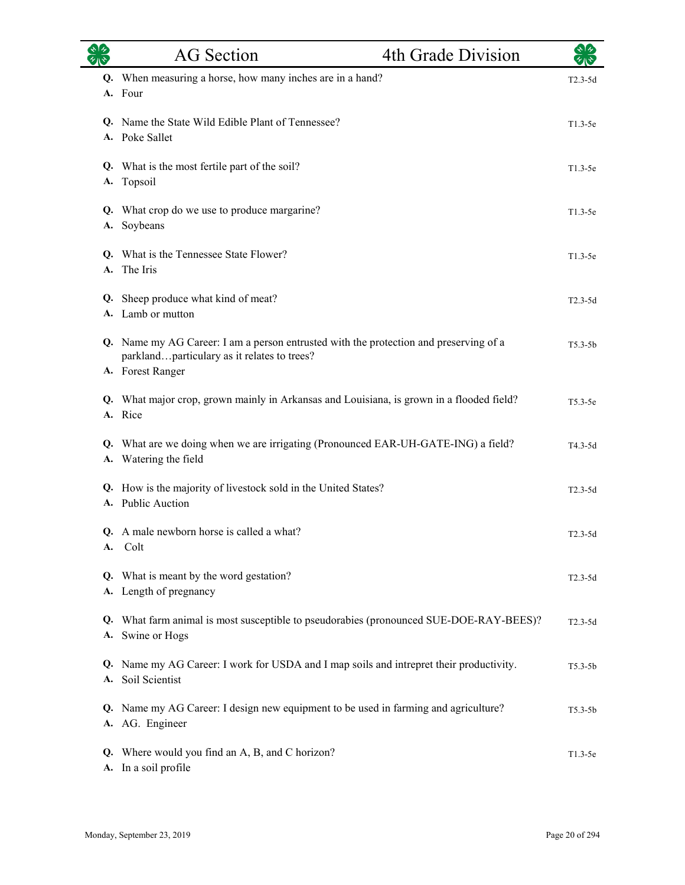|           | <b>AG</b> Section                                                                                                                                        | 4th Grade Division                                                                  | ২13         |
|-----------|----------------------------------------------------------------------------------------------------------------------------------------------------------|-------------------------------------------------------------------------------------|-------------|
| Q.        | When measuring a horse, how many inches are in a hand?<br>A. Four                                                                                        |                                                                                     | $T2.3-5d$   |
|           | Q. Name the State Wild Edible Plant of Tennessee?<br>A. Poke Sallet                                                                                      |                                                                                     | $T1.3-5e$   |
| <b>A.</b> | Q. What is the most fertile part of the soil?<br>Topsoil                                                                                                 |                                                                                     | $T1.3-5e$   |
| A.        | Q. What crop do we use to produce margarine?<br>Soybeans                                                                                                 |                                                                                     | $T1.3-5e$   |
| Q.        | What is the Tennessee State Flower?<br>A. The Iris                                                                                                       |                                                                                     | $T1.3-5e$   |
| Q.        | Sheep produce what kind of meat?<br>A. Lamb or mutton                                                                                                    |                                                                                     | $T2.3-5d$   |
|           | Q. Name my AG Career: I am a person entrusted with the protection and preserving of a<br>parklandparticulary as it relates to trees?<br>A. Forest Ranger |                                                                                     | $T5.3 - 5b$ |
|           | Q. What major crop, grown mainly in Arkansas and Louisiana, is grown in a flooded field?<br>A. Rice                                                      |                                                                                     | $T5.3-5e$   |
| Q.        | What are we doing when we are irrigating (Pronounced EAR-UH-GATE-ING) a field?<br>A. Watering the field                                                  |                                                                                     | $T4.3-5d$   |
|           | Q. How is the majority of livestock sold in the United States?<br>A. Public Auction                                                                      |                                                                                     | $T2.3-5d$   |
| A.        | Q. A male newborn horse is called a what?<br>Colt                                                                                                        |                                                                                     | $T2.3 - 5d$ |
| Q.<br>A.  | What is meant by the word gestation?<br>Length of pregnancy                                                                                              |                                                                                     | $T2.3-5d$   |
| Q.        | A. Swine or Hogs                                                                                                                                         | What farm animal is most susceptible to pseudorabies (pronounced SUE-DOE-RAY-BEES)? | $T2.3-5d$   |
| Q.<br>А.  | Name my AG Career: I work for USDA and I map soils and intrepret their productivity.<br>Soil Scientist                                                   |                                                                                     | $T5.3 - 5b$ |
|           | Q. Name my AG Career: I design new equipment to be used in farming and agriculture?<br>A. AG. Engineer                                                   |                                                                                     | $T5.3 - 5b$ |
| Q.        | Where would you find an A, B, and C horizon?<br>A. In a soil profile                                                                                     |                                                                                     | $T1.3-5e$   |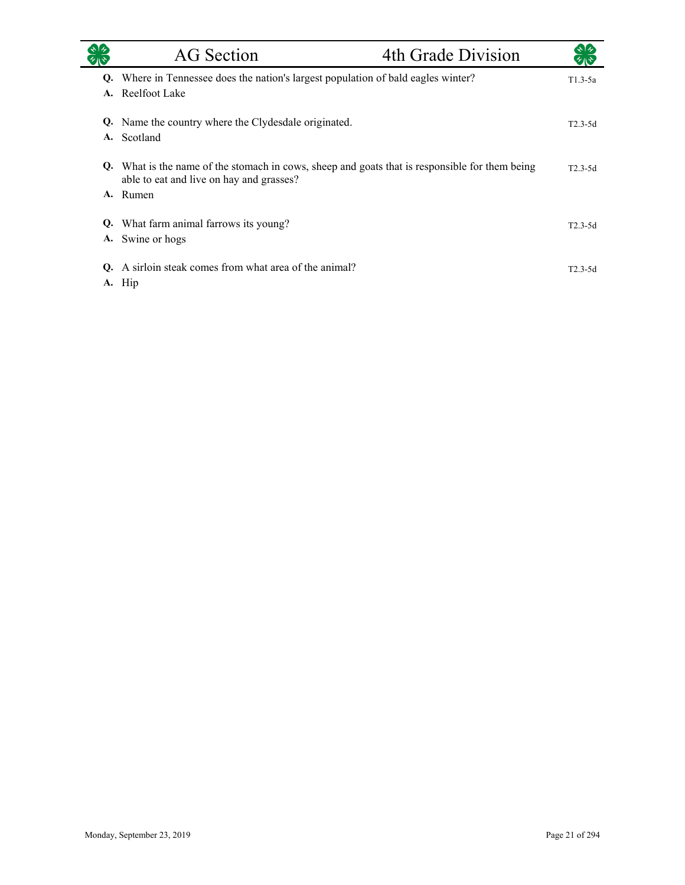|          | AG Section                                                                                                                                             | 4th Grade Division |             |
|----------|--------------------------------------------------------------------------------------------------------------------------------------------------------|--------------------|-------------|
| Q.<br>A. | Where in Tennessee does the nation's largest population of bald eagles winter?<br>Reelfoot Lake                                                        |                    | $T1.3-5a$   |
|          | Q. Name the country where the Clydesdale originated.<br>A. Scotland                                                                                    |                    | $T2.3 - 5d$ |
|          | Q. What is the name of the stomach in cows, sheep and goats that is responsible for them being<br>able to eat and live on hay and grasses?<br>A. Rumen |                    | $T2.3-5d$   |
| Q.       | What farm animal farrows its young?<br>A. Swine or hogs                                                                                                |                    | $T2.3 - 5d$ |
| O.       | A sirloin steak comes from what area of the animal?<br>A. Hip                                                                                          |                    | $T2.3-5d$   |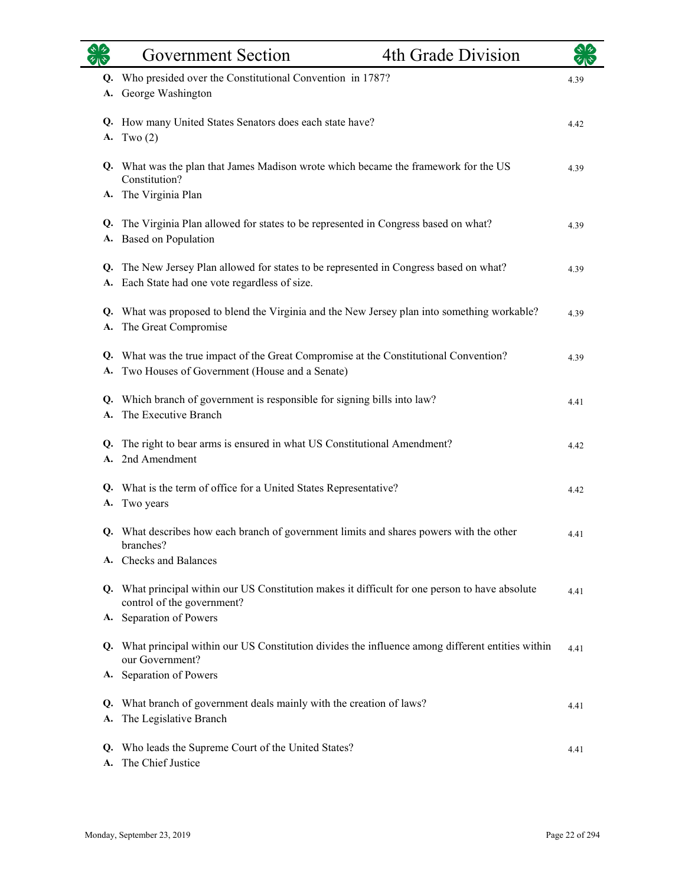|          | <b>Government Section</b>                                                                                                             | 4th Grade Division |      |
|----------|---------------------------------------------------------------------------------------------------------------------------------------|--------------------|------|
| Q.       | Who presided over the Constitutional Convention in 1787?                                                                              |                    | 4.39 |
| A.       | George Washington                                                                                                                     |                    |      |
| А.       | Q. How many United States Senators does each state have?<br>Two $(2)$                                                                 |                    | 4.42 |
|          | Q. What was the plan that James Madison wrote which became the framework for the US<br>Constitution?                                  |                    | 4.39 |
|          | A. The Virginia Plan                                                                                                                  |                    |      |
| Q.       | The Virginia Plan allowed for states to be represented in Congress based on what?<br>A. Based on Population                           |                    | 4.39 |
| А.       | Q. The New Jersey Plan allowed for states to be represented in Congress based on what?<br>Each State had one vote regardless of size. |                    | 4.39 |
| Q.<br>А. | What was proposed to blend the Virginia and the New Jersey plan into something workable?<br>The Great Compromise                      |                    | 4.39 |
| Q.<br>А. | What was the true impact of the Great Compromise at the Constitutional Convention?<br>Two Houses of Government (House and a Senate)   |                    | 4.39 |
| А.       | Q. Which branch of government is responsible for signing bills into law?<br>The Executive Branch                                      |                    | 4.41 |
| Q.<br>A. | The right to bear arms is ensured in what US Constitutional Amendment?<br>2nd Amendment                                               |                    | 4.42 |
| А.       | Q. What is the term of office for a United States Representative?<br>Two years                                                        |                    | 4.42 |
|          | Q. What describes how each branch of government limits and shares powers with the other<br>branches?                                  |                    | 4.41 |
| A.       | <b>Checks and Balances</b>                                                                                                            |                    |      |
|          | Q. What principal within our US Constitution makes it difficult for one person to have absolute<br>control of the government?         |                    | 4.41 |
|          | A. Separation of Powers                                                                                                               |                    |      |
|          | Q. What principal within our US Constitution divides the influence among different entities within<br>our Government?                 |                    | 4.41 |
|          | A. Separation of Powers                                                                                                               |                    |      |
| Q.<br>А. | What branch of government deals mainly with the creation of laws?<br>The Legislative Branch                                           |                    | 4.41 |
| Q.<br>А. | Who leads the Supreme Court of the United States?<br>The Chief Justice                                                                |                    | 4.41 |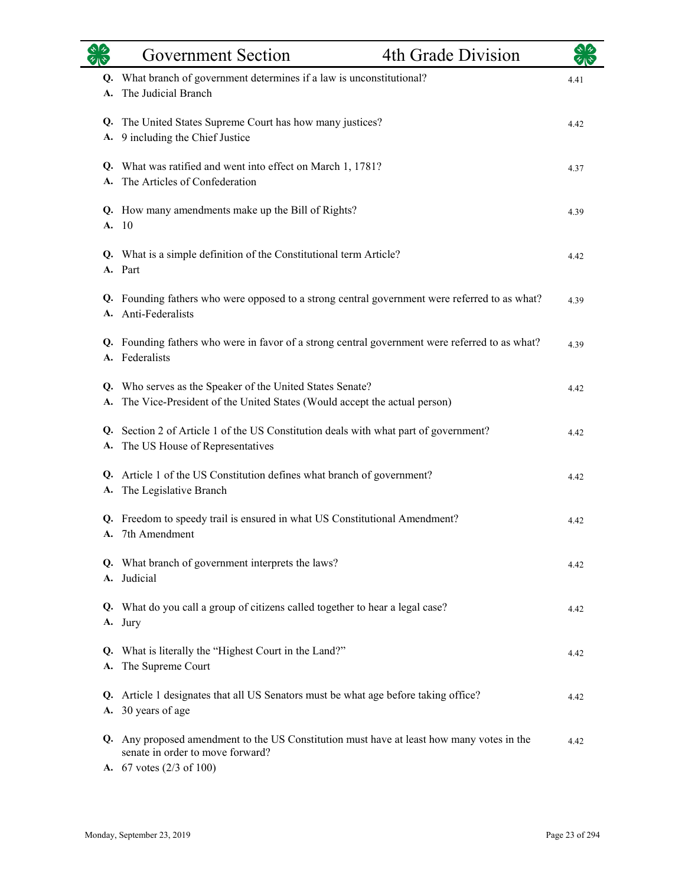| $\gamma_{\rm 1}$ | <b>Government Section</b>                                                                                                                                              | 4th Grade Division |      |
|------------------|------------------------------------------------------------------------------------------------------------------------------------------------------------------------|--------------------|------|
| A.               | Q. What branch of government determines if a law is unconstitutional?<br>The Judicial Branch                                                                           |                    | 4.41 |
| A.               | Q. The United States Supreme Court has how many justices?<br>9 including the Chief Justice                                                                             |                    | 4.42 |
| A.               | Q. What was ratified and went into effect on March 1, 1781?<br>The Articles of Confederation                                                                           |                    | 4.37 |
| A.               | Q. How many amendments make up the Bill of Rights?<br>-10                                                                                                              |                    | 4.39 |
|                  | Q. What is a simple definition of the Constitutional term Article?<br>A. Part                                                                                          |                    | 4.42 |
|                  | Q. Founding fathers who were opposed to a strong central government were referred to as what?<br>A. Anti-Federalists                                                   |                    | 4.39 |
|                  | Q. Founding fathers who were in favor of a strong central government were referred to as what?<br>A. Federalists                                                       |                    | 4.39 |
| А.               | Q. Who serves as the Speaker of the United States Senate?<br>The Vice-President of the United States (Would accept the actual person)                                  |                    | 4.42 |
| Q.<br>А.         | Section 2 of Article 1 of the US Constitution deals with what part of government?<br>The US House of Representatives                                                   |                    | 4.42 |
| A.               | Q. Article 1 of the US Constitution defines what branch of government?<br>The Legislative Branch                                                                       |                    | 4.42 |
|                  | Q. Freedom to speedy trail is ensured in what US Constitutional Amendment?<br>A. 7th Amendment                                                                         |                    | 4.42 |
|                  | Q. What branch of government interprets the laws?<br>A. Judicial                                                                                                       |                    | 4.42 |
|                  | Q. What do you call a group of citizens called together to hear a legal case?<br>A. Jury                                                                               |                    | 4.42 |
| A.               | Q. What is literally the "Highest Court in the Land?"<br>The Supreme Court                                                                                             |                    | 4.42 |
| A.               | Q. Article 1 designates that all US Senators must be what age before taking office?<br>30 years of age                                                                 |                    | 4.42 |
|                  | Q. Any proposed amendment to the US Constitution must have at least how many votes in the<br>senate in order to move forward?<br>A. $67$ votes $(2/3 \text{ of } 100)$ |                    | 4.42 |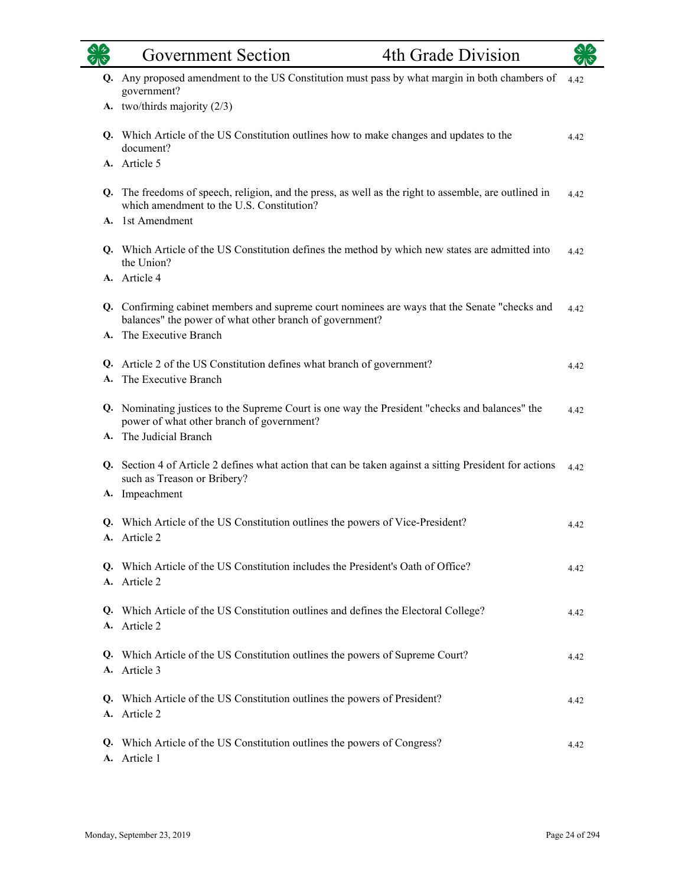| <b>OR</b> | <b>Government Section</b>                                                                                                                                           | 4th Grade Division |      |
|-----------|---------------------------------------------------------------------------------------------------------------------------------------------------------------------|--------------------|------|
| Q.        | Any proposed amendment to the US Constitution must pass by what margin in both chambers of<br>government?                                                           |                    | 4.42 |
|           | A. two/thirds majority (2/3)                                                                                                                                        |                    |      |
|           | Q. Which Article of the US Constitution outlines how to make changes and updates to the<br>document?                                                                |                    | 4.42 |
|           | A. Article 5                                                                                                                                                        |                    |      |
| Q.        | The freedoms of speech, religion, and the press, as well as the right to assemble, are outlined in<br>which amendment to the U.S. Constitution?<br>A. 1st Amendment |                    | 4.42 |
|           |                                                                                                                                                                     |                    |      |
|           | Q. Which Article of the US Constitution defines the method by which new states are admitted into<br>the Union?<br>A. Article 4                                      |                    | 4.42 |
|           |                                                                                                                                                                     |                    |      |
|           | Q. Confirming cabinet members and supreme court nominees are ways that the Senate "checks and<br>balances" the power of what other branch of government?            |                    | 4.42 |
|           | A. The Executive Branch                                                                                                                                             |                    |      |
|           | Q. Article 2 of the US Constitution defines what branch of government?                                                                                              |                    | 4.42 |
|           | The Executive Branch                                                                                                                                                |                    |      |
|           | Q. Nominating justices to the Supreme Court is one way the President "checks and balances" the<br>power of what other branch of government?                         |                    | 4.42 |
|           | A. The Judicial Branch                                                                                                                                              |                    |      |
|           | Q. Section 4 of Article 2 defines what action that can be taken against a sitting President for actions<br>such as Treason or Bribery?                              |                    | 4.42 |
|           | A. Impeachment                                                                                                                                                      |                    |      |
|           | Q. Which Article of the US Constitution outlines the powers of Vice-President?<br>Article 2                                                                         |                    | 4.42 |
|           | Q. Which Article of the US Constitution includes the President's Oath of Office?<br>A. Article 2                                                                    |                    | 4.42 |
|           | Q. Which Article of the US Constitution outlines and defines the Electoral College?<br>A. Article 2                                                                 |                    | 4.42 |
|           | Q. Which Article of the US Constitution outlines the powers of Supreme Court?<br>A. Article 3                                                                       |                    | 4.42 |
|           | Q. Which Article of the US Constitution outlines the powers of President?<br>A. Article 2                                                                           |                    | 4.42 |
|           | Q. Which Article of the US Constitution outlines the powers of Congress?<br>A. Article 1                                                                            |                    | 4.42 |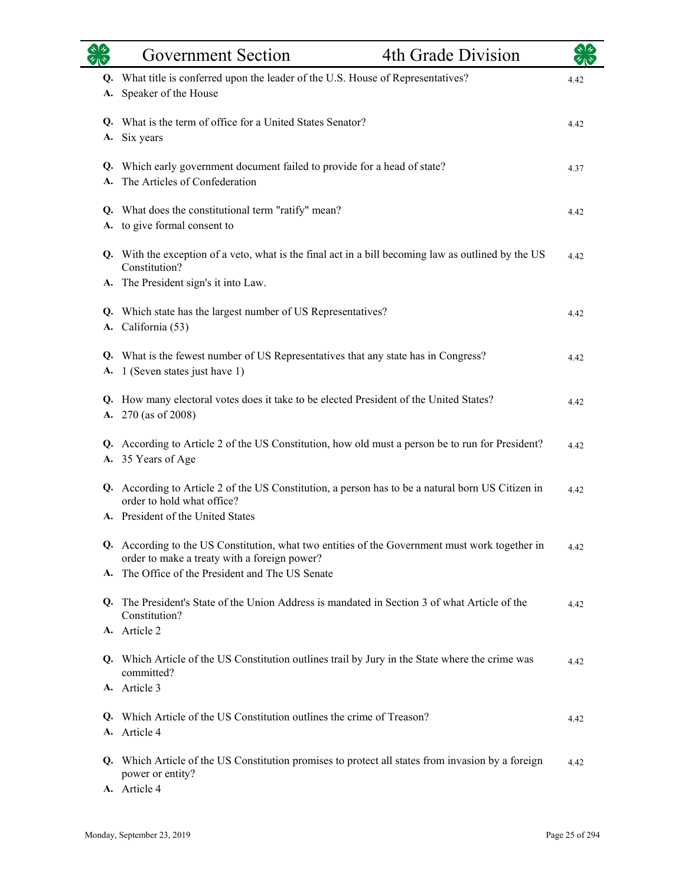|          | <b>Government Section</b>                                                                                                                                                                       | 4th Grade Division |      |
|----------|-------------------------------------------------------------------------------------------------------------------------------------------------------------------------------------------------|--------------------|------|
| Q.<br>А. | What title is conferred upon the leader of the U.S. House of Representatives?<br>Speaker of the House                                                                                           |                    | 4.42 |
| А.       | Q. What is the term of office for a United States Senator?<br>Six years                                                                                                                         |                    | 4.42 |
| A.       | Q. Which early government document failed to provide for a head of state?<br>The Articles of Confederation                                                                                      |                    | 4.37 |
| А.       | Q. What does the constitutional term "ratify" mean?<br>to give formal consent to                                                                                                                |                    | 4.42 |
| А.       | Q. With the exception of a veto, what is the final act in a bill becoming law as outlined by the US<br>Constitution?<br>The President sign's it into Law.                                       |                    | 4.42 |
| Q.<br>А. | Which state has the largest number of US Representatives?<br>California (53)                                                                                                                    |                    | 4.42 |
| Q.<br>A. | What is the fewest number of US Representatives that any state has in Congress?<br>1 (Seven states just have 1)                                                                                 |                    | 4.42 |
| A.       | Q. How many electoral votes does it take to be elected President of the United States?<br>270 (as of 2008)                                                                                      |                    | 4.42 |
| А.       | Q. According to Article 2 of the US Constitution, how old must a person be to run for President?<br>35 Years of Age                                                                             |                    | 4.42 |
|          | Q. According to Article 2 of the US Constitution, a person has to be a natural born US Citizen in<br>order to hold what office?<br>A. President of the United States                            |                    | 4.42 |
| A.       | Q. According to the US Constitution, what two entities of the Government must work together in<br>order to make a treaty with a foreign power?<br>The Office of the President and The US Senate |                    | 4.42 |
| Q.       | The President's State of the Union Address is mandated in Section 3 of what Article of the<br>Constitution?<br>A. Article 2                                                                     |                    | 4.42 |
|          | Q. Which Article of the US Constitution outlines trail by Jury in the State where the crime was<br>committed?                                                                                   |                    | 4.42 |
|          | A. Article 3<br>Q. Which Article of the US Constitution outlines the crime of Treason?                                                                                                          |                    |      |
|          | A. Article 4                                                                                                                                                                                    |                    | 4.42 |
|          | Q. Which Article of the US Constitution promises to protect all states from invasion by a foreign<br>power or entity?<br>A. Article 4                                                           |                    | 4.42 |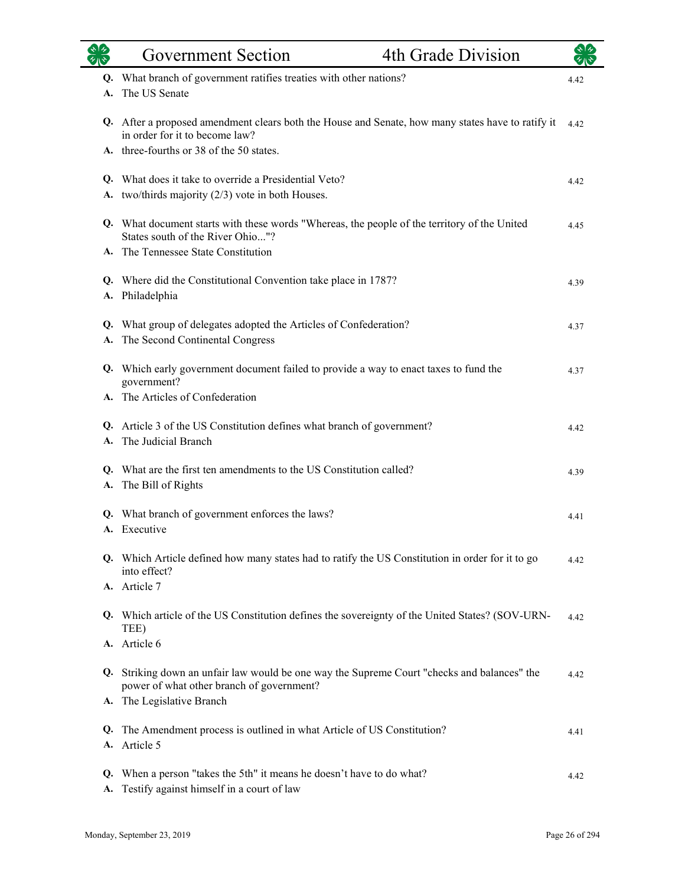|          | 4th Grade Division<br><b>Government Section</b>                                                                                       |      |
|----------|---------------------------------------------------------------------------------------------------------------------------------------|------|
|          | Q. What branch of government ratifies treaties with other nations?                                                                    | 4.42 |
| A.       | The US Senate                                                                                                                         |      |
|          | Q. After a proposed amendment clears both the House and Senate, how many states have to ratify it<br>in order for it to become law?   | 4.42 |
|          | A. three-fourths or 38 of the 50 states.                                                                                              |      |
|          | Q. What does it take to override a Presidential Veto?                                                                                 | 4.42 |
| А.       | two/thirds majority $(2/3)$ vote in both Houses.                                                                                      |      |
|          | Q. What document starts with these words "Whereas, the people of the territory of the United                                          | 4.45 |
|          | States south of the River Ohio"?                                                                                                      |      |
| А.       | The Tennessee State Constitution                                                                                                      |      |
|          | Q. Where did the Constitutional Convention take place in 1787?                                                                        | 4.39 |
| А.       | Philadelphia                                                                                                                          |      |
| Q.       | What group of delegates adopted the Articles of Confederation?                                                                        | 4.37 |
| А.       | The Second Continental Congress                                                                                                       |      |
|          | Q. Which early government document failed to provide a way to enact taxes to fund the<br>government?                                  | 4.37 |
|          | A. The Articles of Confederation                                                                                                      |      |
|          | Q. Article 3 of the US Constitution defines what branch of government?                                                                | 4.42 |
|          | The Judicial Branch                                                                                                                   |      |
|          | Q. What are the first ten amendments to the US Constitution called?                                                                   |      |
| А.       | The Bill of Rights                                                                                                                    | 4.39 |
|          |                                                                                                                                       |      |
| Q.       | What branch of government enforces the laws?<br>A. Executive                                                                          | 4.41 |
|          |                                                                                                                                       |      |
|          | Q. Which Article defined how many states had to ratify the US Constitution in order for it to go<br>into effect?                      | 4.42 |
|          | A. Article 7                                                                                                                          |      |
|          | Q. Which article of the US Constitution defines the sovereignty of the United States? (SOV-URN-<br>TEE)                               | 4.42 |
|          | A. Article 6                                                                                                                          |      |
| Q.       | Striking down an unfair law would be one way the Supreme Court "checks and balances" the<br>power of what other branch of government? | 4.42 |
| А.       | The Legislative Branch                                                                                                                |      |
|          | Q. The Amendment process is outlined in what Article of US Constitution?                                                              | 4.41 |
| А.       | Article 5                                                                                                                             |      |
| Q.<br>А. | When a person "takes the 5th" it means he doesn't have to do what?<br>Testify against himself in a court of law                       | 4.42 |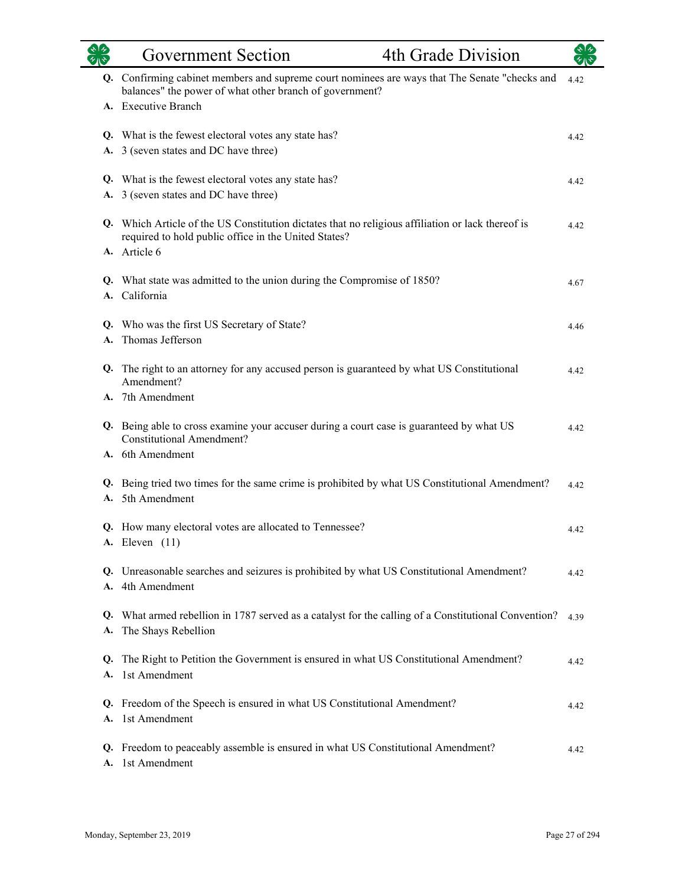|          | 4th Grade Division<br><b>Government Section</b>                                                                                                           |      |
|----------|-----------------------------------------------------------------------------------------------------------------------------------------------------------|------|
|          | Q. Confirming cabinet members and supreme court nominees are ways that The Senate "checks and<br>balances" the power of what other branch of government?  | 4.42 |
|          | A. Executive Branch                                                                                                                                       |      |
|          | Q. What is the fewest electoral votes any state has?                                                                                                      | 4.42 |
|          | A. 3 (seven states and DC have three)                                                                                                                     |      |
|          | Q. What is the fewest electoral votes any state has?                                                                                                      | 4.42 |
|          | A. 3 (seven states and DC have three)                                                                                                                     |      |
|          | Q. Which Article of the US Constitution dictates that no religious affiliation or lack thereof is<br>required to hold public office in the United States? | 4.42 |
|          | A. Article 6                                                                                                                                              |      |
|          | Q. What state was admitted to the union during the Compromise of 1850?                                                                                    | 4.67 |
|          | A. California                                                                                                                                             |      |
|          | Q. Who was the first US Secretary of State?                                                                                                               | 4.46 |
|          | A. Thomas Jefferson                                                                                                                                       |      |
|          | Q. The right to an attorney for any accused person is guaranteed by what US Constitutional<br>Amendment?                                                  | 4.42 |
|          | A. 7th Amendment                                                                                                                                          |      |
|          | Q. Being able to cross examine your accuser during a court case is guaranteed by what US<br><b>Constitutional Amendment?</b>                              | 4.42 |
|          | A. 6th Amendment                                                                                                                                          |      |
|          | Q. Being tried two times for the same crime is prohibited by what US Constitutional Amendment?<br>A. 5th Amendment                                        | 4.42 |
|          | Q. How many electoral votes are allocated to Tennessee?<br><b>A.</b> Eleven (11)                                                                          | 4.42 |
| A.       | Q. Unreasonable searches and seizures is prohibited by what US Constitutional Amendment?<br>4th Amendment                                                 | 4.42 |
| А.       | Q. What armed rebellion in 1787 served as a catalyst for the calling of a Constitutional Convention?<br>The Shays Rebellion                               | 4.39 |
| Q.<br>А. | The Right to Petition the Government is ensured in what US Constitutional Amendment?<br>1st Amendment                                                     | 4.42 |
| Q.<br>A. | Freedom of the Speech is ensured in what US Constitutional Amendment?<br>1st Amendment                                                                    | 4.42 |
| A.       | Q. Freedom to peaceably assemble is ensured in what US Constitutional Amendment?<br>1st Amendment                                                         | 4.42 |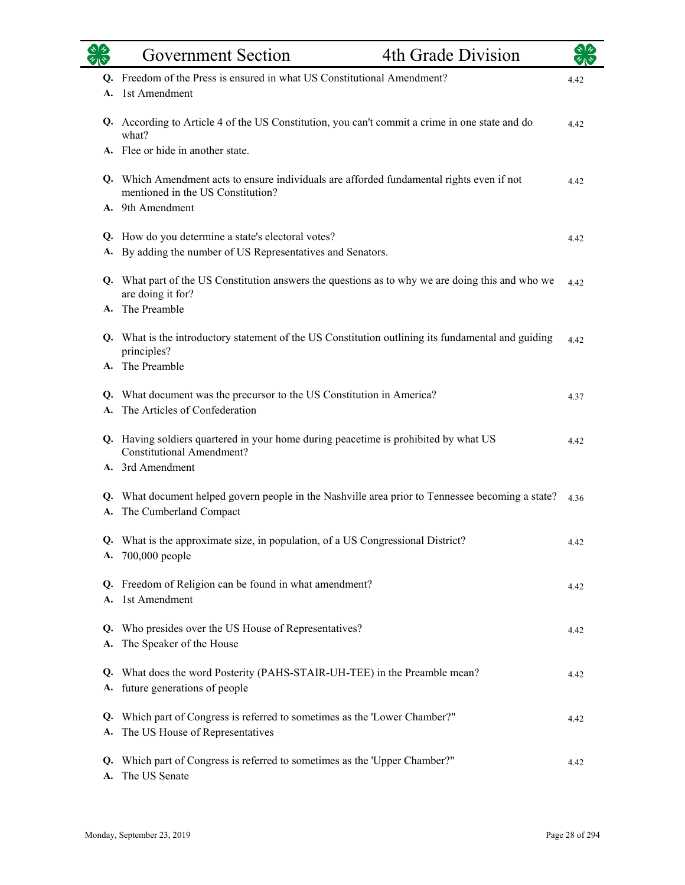|          | <b>Government Section</b>                                                                                                      | 4th Grade Division |      |
|----------|--------------------------------------------------------------------------------------------------------------------------------|--------------------|------|
|          | Q. Freedom of the Press is ensured in what US Constitutional Amendment?                                                        |                    | 4.42 |
| A.       | 1st Amendment                                                                                                                  |                    |      |
|          | Q. According to Article 4 of the US Constitution, you can't commit a crime in one state and do<br>what?                        |                    | 4.42 |
|          | A. Flee or hide in another state.                                                                                              |                    |      |
|          | Q. Which Amendment acts to ensure individuals are afforded fundamental rights even if not<br>mentioned in the US Constitution? |                    | 4.42 |
|          | A. 9th Amendment                                                                                                               |                    |      |
|          |                                                                                                                                |                    |      |
| A.       | Q. How do you determine a state's electoral votes?<br>By adding the number of US Representatives and Senators.                 |                    | 4.42 |
|          |                                                                                                                                |                    |      |
|          | Q. What part of the US Constitution answers the questions as to why we are doing this and who we<br>are doing it for?          |                    | 4.42 |
| A.       | The Preamble                                                                                                                   |                    |      |
|          | Q. What is the introductory statement of the US Constitution outlining its fundamental and guiding<br>principles?              |                    | 4.42 |
|          | The Preamble                                                                                                                   |                    |      |
|          |                                                                                                                                |                    |      |
|          | Q. What document was the precursor to the US Constitution in America?<br>A. The Articles of Confederation                      |                    | 4.37 |
|          |                                                                                                                                |                    |      |
|          | Q. Having soldiers quartered in your home during peacetime is prohibited by what US<br><b>Constitutional Amendment?</b>        |                    | 4.42 |
|          | A. 3rd Amendment                                                                                                               |                    |      |
|          | Q. What document helped govern people in the Nashville area prior to Tennessee becoming a state?                               |                    | 4.36 |
| А.       | The Cumberland Compact                                                                                                         |                    |      |
| Q.<br>А. | What is the approximate size, in population, of a US Congressional District?<br>$700,000$ people                               |                    | 4.42 |
|          | Q. Freedom of Religion can be found in what amendment?                                                                         |                    |      |
|          | A. 1st Amendment                                                                                                               |                    | 4.42 |
|          |                                                                                                                                |                    |      |
|          | Q. Who presides over the US House of Representatives?                                                                          |                    | 4.42 |
| A.       | The Speaker of the House                                                                                                       |                    |      |
| Q.       | What does the word Posterity (PAHS-STAIR-UH-TEE) in the Preamble mean?                                                         |                    |      |
| А.       | future generations of people                                                                                                   |                    | 4.42 |
|          |                                                                                                                                |                    |      |
| Q.       | Which part of Congress is referred to sometimes as the 'Lower Chamber?"                                                        |                    | 4.42 |
| A.       | The US House of Representatives                                                                                                |                    |      |
| Q.<br>A. | Which part of Congress is referred to sometimes as the 'Upper Chamber?"<br>The US Senate                                       |                    | 4.42 |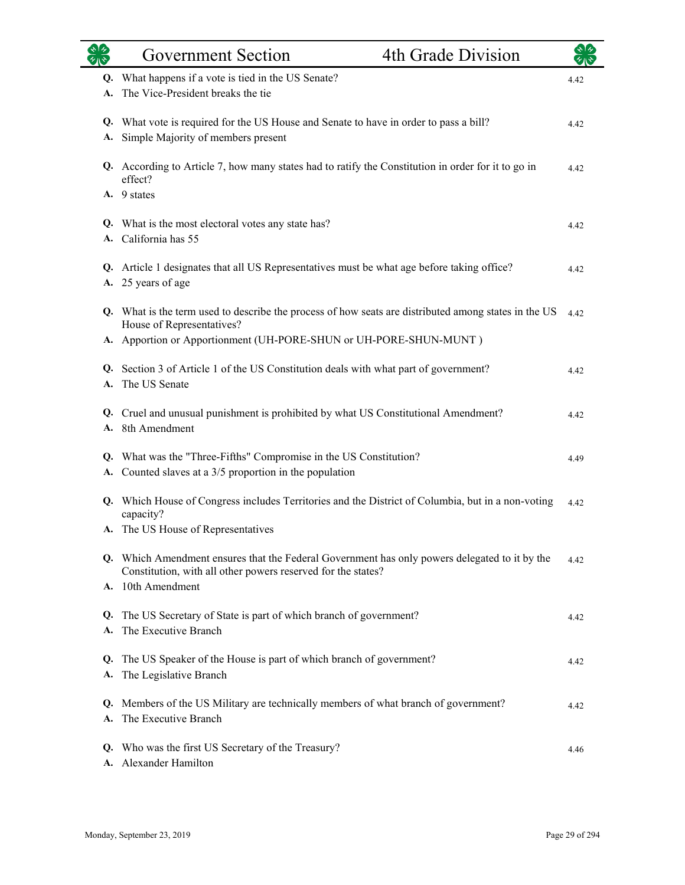|          | <b>Government Section</b>                                                                                                                                                                                                | 4th Grade Division |      |
|----------|--------------------------------------------------------------------------------------------------------------------------------------------------------------------------------------------------------------------------|--------------------|------|
| Q.       | What happens if a vote is tied in the US Senate?<br>The Vice-President breaks the tie                                                                                                                                    |                    | 4.42 |
| Q.<br>А. | What vote is required for the US House and Senate to have in order to pass a bill?<br>Simple Majority of members present                                                                                                 |                    | 4.42 |
| Q.       | According to Article 7, how many states had to ratify the Constitution in order for it to go in<br>effect?                                                                                                               |                    | 4.42 |
|          | A. 9 states                                                                                                                                                                                                              |                    |      |
| Q.<br>A. | What is the most electoral votes any state has?<br>California has 55                                                                                                                                                     |                    | 4.42 |
| A.       | Q. Article 1 designates that all US Representatives must be what age before taking office?<br>25 years of age                                                                                                            |                    | 4.42 |
|          | Q. What is the term used to describe the process of how seats are distributed among states in the US<br>House of Representatives?                                                                                        |                    | 4.42 |
|          | A. Apportion or Apportionment (UH-PORE-SHUN or UH-PORE-SHUN-MUNT)                                                                                                                                                        |                    |      |
| Q.<br>A. | Section 3 of Article 1 of the US Constitution deals with what part of government?<br>The US Senate                                                                                                                       |                    | 4.42 |
| Q.<br>A. | Cruel and unusual punishment is prohibited by what US Constitutional Amendment?<br>8th Amendment                                                                                                                         |                    | 4.42 |
| Q.       | What was the "Three-Fifths" Compromise in the US Constitution?<br>A. Counted slaves at a 3/5 proportion in the population                                                                                                |                    | 4.49 |
|          | Q. Which House of Congress includes Territories and the District of Columbia, but in a non-voting<br>capacity?                                                                                                           |                    | 4.42 |
|          | A. The US House of Representatives<br>Q. Which Amendment ensures that the Federal Government has only powers delegated to it by the<br>Constitution, with all other powers reserved for the states?<br>A. 10th Amendment |                    | 4.42 |
| Q.<br>A. | The US Secretary of State is part of which branch of government?<br>The Executive Branch                                                                                                                                 |                    | 4.42 |
| Q.<br>A. | The US Speaker of the House is part of which branch of government?<br>The Legislative Branch                                                                                                                             |                    | 4.42 |
| A.       | Q. Members of the US Military are technically members of what branch of government?<br>The Executive Branch                                                                                                              |                    | 4.42 |
| Q.<br>A. | Who was the first US Secretary of the Treasury?<br>Alexander Hamilton                                                                                                                                                    |                    | 4.46 |

÷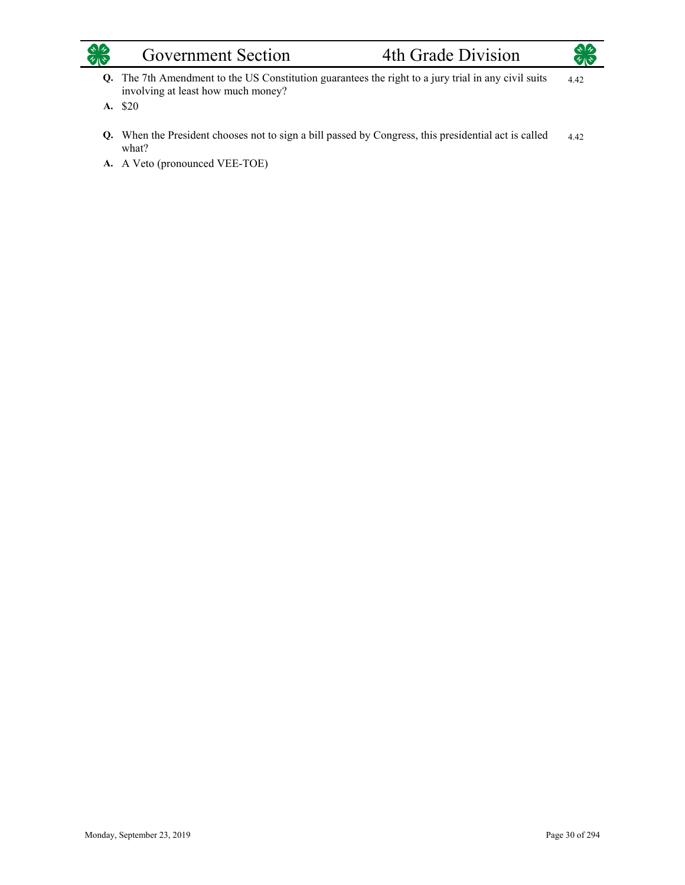

## Government Section 4th Grade Division



- The 7th Amendment to the US Constitution guarantees the right to a jury trial in any civil suits **Q.** involving at least how much money? 4.42
- A. \$20
- When the President chooses not to sign a bill passed by Congress, this presidential act is called **Q.** what? 4.42
- A. A Veto (pronounced VEE-TOE)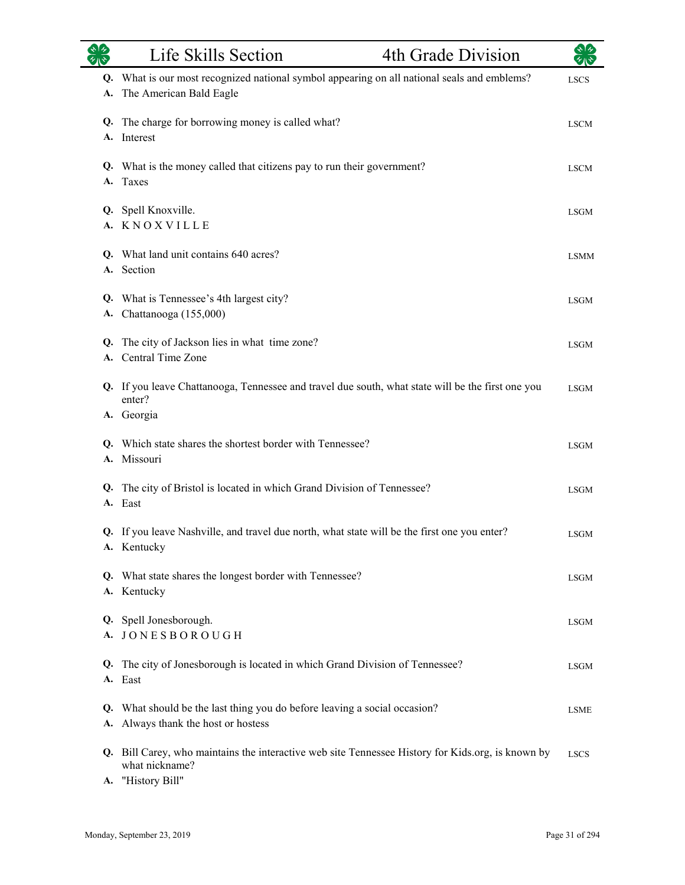|          | Life Skills Section                                                                                                                      | 4th Grade Division | কাক         |
|----------|------------------------------------------------------------------------------------------------------------------------------------------|--------------------|-------------|
| А.       | Q. What is our most recognized national symbol appearing on all national seals and emblems?<br>The American Bald Eagle                   |                    | <b>LSCS</b> |
|          | Q. The charge for borrowing money is called what?<br>A. Interest                                                                         |                    | <b>LSCM</b> |
| A.       | Q. What is the money called that citizens pay to run their government?<br>Taxes                                                          |                    | <b>LSCM</b> |
|          | Q. Spell Knoxville.<br>A. KNOXVILLE                                                                                                      |                    | <b>LSGM</b> |
|          | Q. What land unit contains 640 acres?<br>A. Section                                                                                      |                    | <b>LSMM</b> |
| А.       | Q. What is Tennessee's 4th largest city?<br>Chattanooga (155,000)                                                                        |                    | <b>LSGM</b> |
| Q.<br>А. | The city of Jackson lies in what time zone?<br>Central Time Zone                                                                         |                    | <b>LSGM</b> |
|          | Q. If you leave Chattanooga, Tennessee and travel due south, what state will be the first one you<br>enter?<br>A. Georgia                |                    | <b>LSGM</b> |
| Q.       | Which state shares the shortest border with Tennessee?<br>A. Missouri                                                                    |                    | <b>LSGM</b> |
|          | Q. The city of Bristol is located in which Grand Division of Tennessee?<br>A. East                                                       |                    | <b>LSGM</b> |
|          | Q. If you leave Nashville, and travel due north, what state will be the first one you enter?<br>A. Kentucky                              |                    | <b>LSGM</b> |
|          | Q. What state shares the longest border with Tennessee?<br>A. Kentucky                                                                   |                    | <b>LSGM</b> |
|          | Q. Spell Jonesborough.<br>A. JONESBOROUGH                                                                                                |                    | <b>LSGM</b> |
|          | Q. The city of Jonesborough is located in which Grand Division of Tennessee?<br>A. East                                                  |                    | <b>LSGM</b> |
|          | Q. What should be the last thing you do before leaving a social occasion?<br>A. Always thank the host or hostess                         |                    | <b>LSME</b> |
|          | Q. Bill Carey, who maintains the interactive web site Tennessee History for Kids.org, is known by<br>what nickname?<br>A. "History Bill" |                    | <b>LSCS</b> |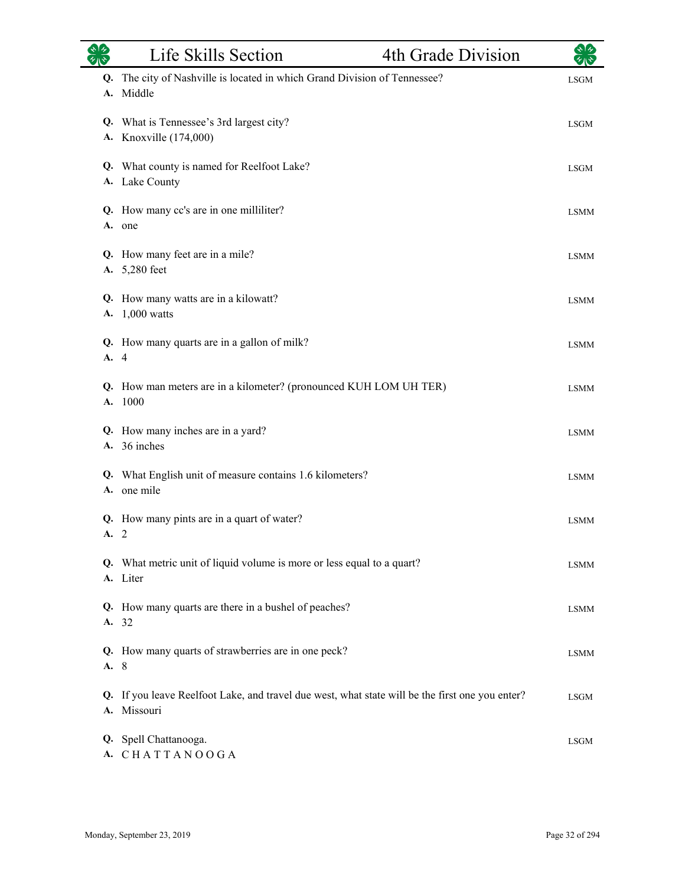|          | Life Skills Section                                                                                         | 4th Grade Division | $\star$ 1 $\star$ |
|----------|-------------------------------------------------------------------------------------------------------------|--------------------|-------------------|
|          | Q. The city of Nashville is located in which Grand Division of Tennessee?<br>A. Middle                      |                    | <b>LSGM</b>       |
|          | Q. What is Tennessee's 3rd largest city?<br>A. Knoxville (174,000)                                          |                    | <b>LSGM</b>       |
|          | Q. What county is named for Reelfoot Lake?<br>A. Lake County                                                |                    | <b>LSGM</b>       |
|          | Q. How many cc's are in one milliliter?<br>A. one                                                           |                    | <b>LSMM</b>       |
|          | Q. How many feet are in a mile?<br>A. 5,280 feet                                                            |                    | <b>LSMM</b>       |
|          | Q. How many watts are in a kilowatt?<br>A. 1,000 watts                                                      |                    | <b>LSMM</b>       |
| A. 4     | Q. How many quarts are in a gallon of milk?                                                                 |                    | <b>LSMM</b>       |
| Q.<br>A. | How man meters are in a kilometer? (pronounced KUH LOM UH TER)<br>1000                                      |                    | <b>LSMM</b>       |
|          | Q. How many inches are in a yard?<br>A. 36 inches                                                           |                    | <b>LSMM</b>       |
|          | Q. What English unit of measure contains 1.6 kilometers?<br>A. one mile                                     |                    | <b>LSMM</b>       |
| A.2      | Q. How many pints are in a quart of water?                                                                  |                    | <b>LSMM</b>       |
|          | Q. What metric unit of liquid volume is more or less equal to a quart?<br>A. Liter                          |                    | LSMM              |
|          | Q. How many quarts are there in a bushel of peaches?<br>A. 32                                               |                    | <b>LSMM</b>       |
| A. 8     | Q. How many quarts of strawberries are in one peck?                                                         |                    | <b>LSMM</b>       |
| Q.       | If you leave Reelfoot Lake, and travel due west, what state will be the first one you enter?<br>A. Missouri |                    | <b>LSGM</b>       |
|          | Q. Spell Chattanooga.<br>A. CHATTANOOGA                                                                     |                    | LSGM              |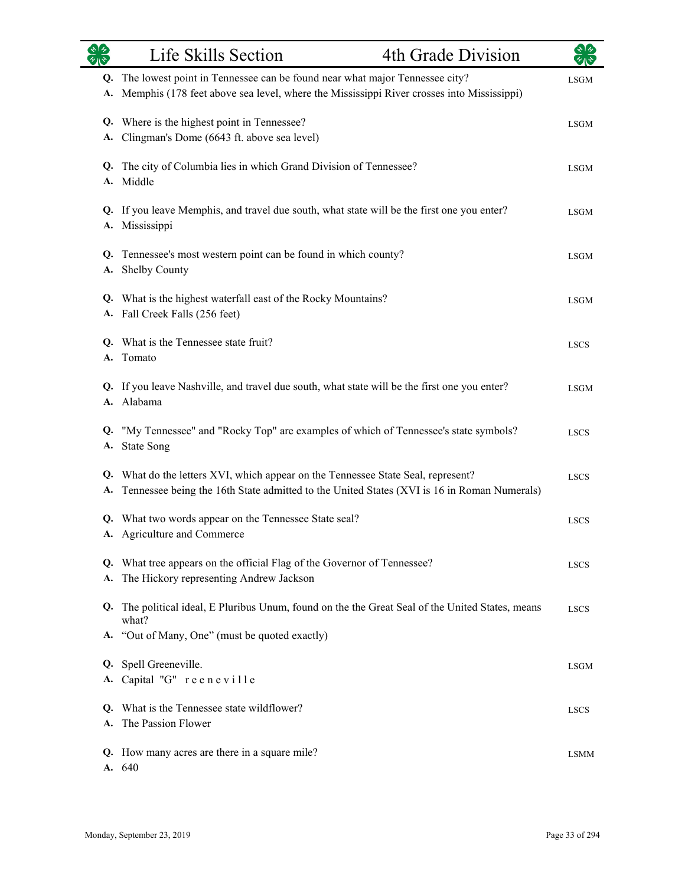|          | Life Skills Section                                                                                                                                                         | 4th Grade Division |             |
|----------|-----------------------------------------------------------------------------------------------------------------------------------------------------------------------------|--------------------|-------------|
| Q.<br>A. | The lowest point in Tennessee can be found near what major Tennessee city?<br>Memphis (178 feet above sea level, where the Mississippi River crosses into Mississippi)      |                    | <b>LSGM</b> |
| Q.<br>A. | Where is the highest point in Tennessee?<br>Clingman's Dome (6643 ft. above sea level)                                                                                      |                    | LSGM        |
| Q.<br>A. | The city of Columbia lies in which Grand Division of Tennessee?<br>Middle                                                                                                   |                    | <b>LSGM</b> |
| Q.<br>А. | If you leave Memphis, and travel due south, what state will be the first one you enter?<br>Mississippi                                                                      |                    | <b>LSGM</b> |
| Q.<br>А. | Tennessee's most western point can be found in which county?<br>Shelby County                                                                                               |                    | <b>LSGM</b> |
|          | Q. What is the highest waterfall east of the Rocky Mountains?<br>A. Fall Creek Falls (256 feet)                                                                             |                    | <b>LSGM</b> |
| Q.       | What is the Tennessee state fruit?<br>A. Tomato                                                                                                                             |                    | <b>LSCS</b> |
|          | Q. If you leave Nashville, and travel due south, what state will be the first one you enter?<br>A. Alabama                                                                  |                    | <b>LSGM</b> |
| Q.<br>А. | "My Tennessee" and "Rocky Top" are examples of which of Tennessee's state symbols?<br><b>State Song</b>                                                                     |                    | <b>LSCS</b> |
| Q.<br>A. | What do the letters XVI, which appear on the Tennessee State Seal, represent?<br>Tennessee being the 16th State admitted to the United States (XVI is 16 in Roman Numerals) |                    | <b>LSCS</b> |
|          | Q. What two words appear on the Tennessee State seal?<br>A. Agriculture and Commerce                                                                                        |                    | <b>LSCS</b> |
|          | Q. What tree appears on the official Flag of the Governor of Tennessee?<br>A. The Hickory representing Andrew Jackson                                                       |                    | <b>LSCS</b> |
|          | Q. The political ideal, E Pluribus Unum, found on the the Great Seal of the United States, means<br>what?                                                                   |                    | <b>LSCS</b> |
|          | A. "Out of Many, One" (must be quoted exactly)                                                                                                                              |                    |             |
|          | Q. Spell Greeneville.<br>A. Capital "G" reeneville                                                                                                                          |                    | <b>LSGM</b> |
|          | Q. What is the Tennessee state wildflower?<br>A. The Passion Flower                                                                                                         |                    | <b>LSCS</b> |
|          | Q. How many acres are there in a square mile?<br>A. 640                                                                                                                     |                    | <b>LSMM</b> |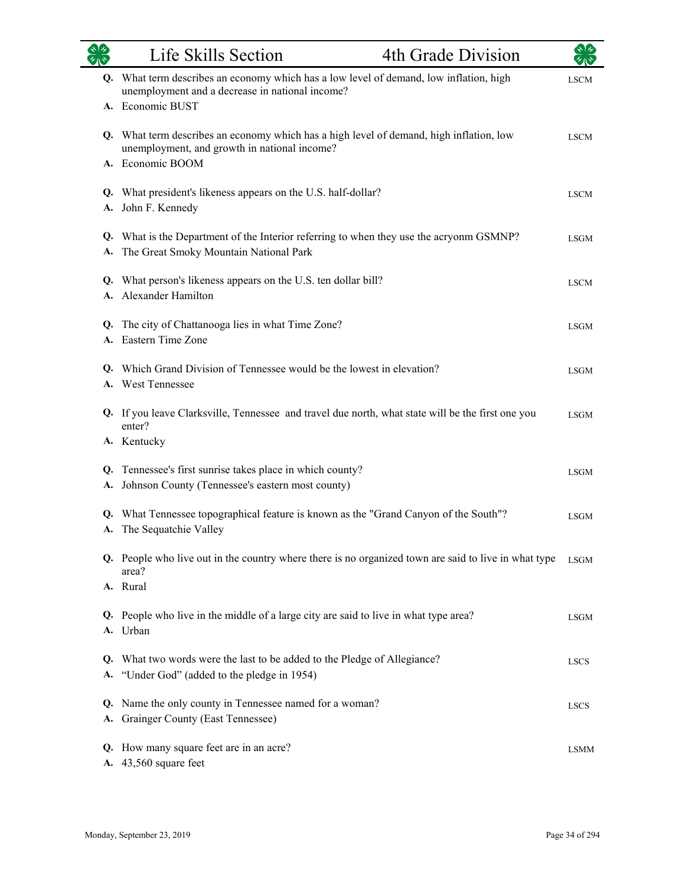|          | Life Skills Section                                                                                                                                           | 4th Grade Division |             |
|----------|---------------------------------------------------------------------------------------------------------------------------------------------------------------|--------------------|-------------|
|          | Q. What term describes an economy which has a low level of demand, low inflation, high<br>unemployment and a decrease in national income?<br>A. Economic BUST |                    | <b>LSCM</b> |
|          | Q. What term describes an economy which has a high level of demand, high inflation, low<br>unemployment, and growth in national income?<br>A. Economic BOOM   |                    | <b>LSCM</b> |
|          | Q. What president's likeness appears on the U.S. half-dollar?<br>A. John F. Kennedy                                                                           |                    | <b>LSCM</b> |
| A.       | Q. What is the Department of the Interior referring to when they use the acryonm GSMNP?<br>The Great Smoky Mountain National Park                             |                    | <b>LSGM</b> |
| Q.<br>A. | What person's likeness appears on the U.S. ten dollar bill?<br>Alexander Hamilton                                                                             |                    | <b>LSCM</b> |
|          | Q. The city of Chattanooga lies in what Time Zone?<br>A. Eastern Time Zone                                                                                    |                    | <b>LSGM</b> |
|          | Q. Which Grand Division of Tennessee would be the lowest in elevation?<br>A. West Tennessee                                                                   |                    | <b>LSGM</b> |
|          | Q. If you leave Clarksville, Tennessee and travel due north, what state will be the first one you<br>enter?<br>A. Kentucky                                    |                    | <b>LSGM</b> |
| A.       | Q. Tennessee's first sunrise takes place in which county?<br>Johnson County (Tennessee's eastern most county)                                                 |                    | <b>LSGM</b> |
| Q.<br>A. | What Tennessee topographical feature is known as the "Grand Canyon of the South"?<br>The Sequatchie Valley                                                    |                    | <b>LSGM</b> |
|          | Q. People who live out in the country where there is no organized town are said to live in what type<br>area?<br>A. Rural                                     |                    | <b>LSGM</b> |
|          | Q. People who live in the middle of a large city are said to live in what type area?<br>A. Urban                                                              |                    | <b>LSGM</b> |
|          | Q. What two words were the last to be added to the Pledge of Allegiance?<br>A. "Under God" (added to the pledge in 1954)                                      |                    | <b>LSCS</b> |
| А.       | Q. Name the only county in Tennessee named for a woman?<br><b>Grainger County (East Tennessee)</b>                                                            |                    | <b>LSCS</b> |
|          | Q. How many square feet are in an acre?<br>A. 43,560 square feet                                                                                              |                    | <b>LSMM</b> |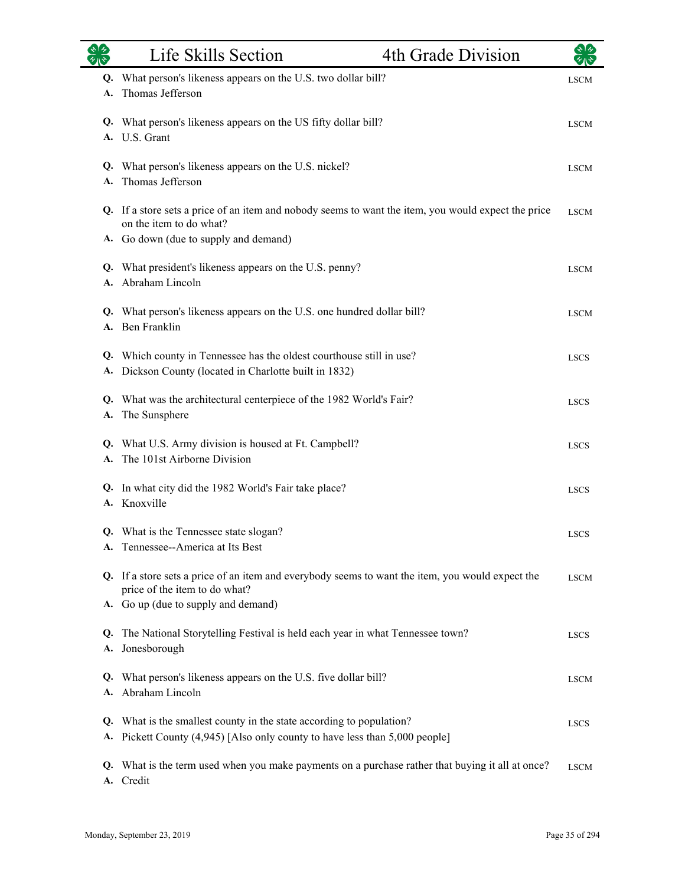|          | Life Skills Section                                                                                                                                                      | 4th Grade Division |             |
|----------|--------------------------------------------------------------------------------------------------------------------------------------------------------------------------|--------------------|-------------|
| Q.<br>А. | What person's likeness appears on the U.S. two dollar bill?<br>Thomas Jefferson                                                                                          |                    | <b>LSCM</b> |
|          | Q. What person's likeness appears on the US fifty dollar bill?<br>A. U.S. Grant                                                                                          |                    | <b>LSCM</b> |
| A.       | Q. What person's likeness appears on the U.S. nickel?<br>Thomas Jefferson                                                                                                |                    | <b>LSCM</b> |
|          | Q. If a store sets a price of an item and nobody seems to want the item, you would expect the price<br>on the item to do what?                                           |                    | <b>LSCM</b> |
|          | A. Go down (due to supply and demand)<br>Q. What president's likeness appears on the U.S. penny?<br>A. Abraham Lincoln                                                   |                    | <b>LSCM</b> |
| Q.       | What person's likeness appears on the U.S. one hundred dollar bill?<br>A. Ben Franklin                                                                                   |                    | <b>LSCM</b> |
| Q.<br>А. | Which county in Tennessee has the oldest courthouse still in use?<br>Dickson County (located in Charlotte built in 1832)                                                 |                    | <b>LSCS</b> |
| А.       | Q. What was the architectural centerpiece of the 1982 World's Fair?<br>The Sunsphere                                                                                     |                    | <b>LSCS</b> |
| Q.<br>A. | What U.S. Army division is housed at Ft. Campbell?<br>The 101st Airborne Division                                                                                        |                    | <b>LSCS</b> |
| Q.       | In what city did the 1982 World's Fair take place?<br>A. Knoxville                                                                                                       |                    | <b>LSCS</b> |
|          | Q. What is the Tennessee state slogan?<br>A. Tennessee--America at Its Best                                                                                              |                    | <b>LSCS</b> |
|          | Q. If a store sets a price of an item and everybody seems to want the item, you would expect the<br>price of the item to do what?<br>A. Go up (due to supply and demand) |                    | <b>LSCM</b> |
| Q.<br>А. | The National Storytelling Festival is held each year in what Tennessee town?<br>Jonesborough                                                                             |                    | <b>LSCS</b> |
| Q.<br>A. | What person's likeness appears on the U.S. five dollar bill?<br>Abraham Lincoln                                                                                          |                    | <b>LSCM</b> |
| Q.<br>А. | What is the smallest county in the state according to population?<br>Pickett County (4,945) [Also only county to have less than 5,000 people]                            |                    | <b>LSCS</b> |
| Q.<br>А. | What is the term used when you make payments on a purchase rather that buying it all at once?<br>Credit                                                                  |                    | <b>LSCM</b> |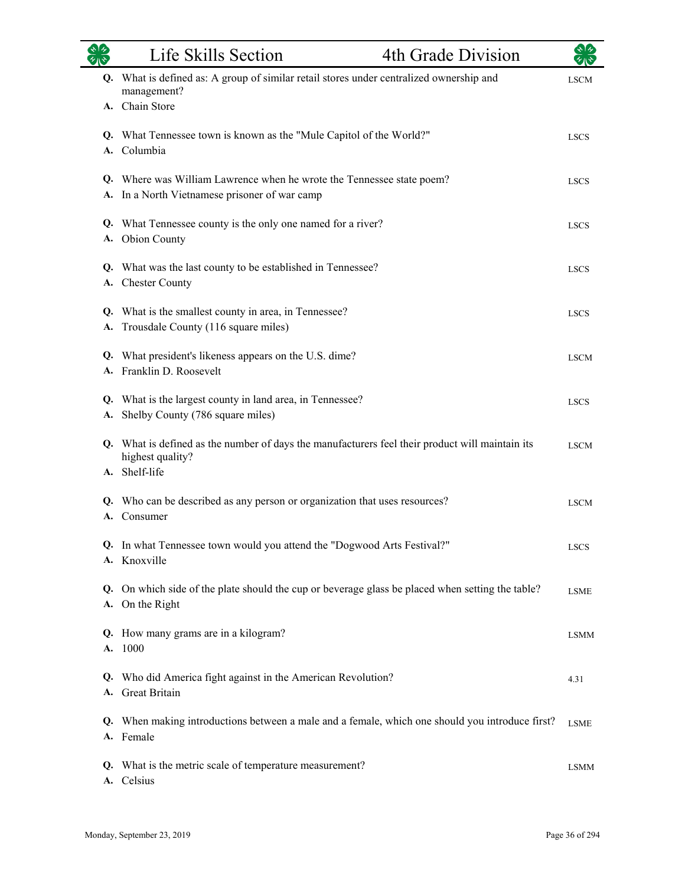|    | Life Skills Section                                                                                                                  | 4th Grade Division |             |
|----|--------------------------------------------------------------------------------------------------------------------------------------|--------------------|-------------|
|    | Q. What is defined as: A group of similar retail stores under centralized ownership and<br>management?<br>A. Chain Store             |                    | <b>LSCM</b> |
|    | Q. What Tennessee town is known as the "Mule Capitol of the World?"<br>A. Columbia                                                   |                    | <b>LSCS</b> |
|    | Q. Where was William Lawrence when he wrote the Tennessee state poem?<br>A. In a North Vietnamese prisoner of war camp               |                    | <b>LSCS</b> |
|    | Q. What Tennessee county is the only one named for a river?<br>A. Obion County                                                       |                    | <b>LSCS</b> |
|    | Q. What was the last county to be established in Tennessee?<br>A. Chester County                                                     |                    | <b>LSCS</b> |
|    | Q. What is the smallest county in area, in Tennessee?<br>A. Trousdale County (116 square miles)                                      |                    | <b>LSCS</b> |
|    | Q. What president's likeness appears on the U.S. dime?<br>A. Franklin D. Roosevelt                                                   |                    | <b>LSCM</b> |
| А. | Q. What is the largest county in land area, in Tennessee?<br>Shelby County (786 square miles)                                        |                    | <b>LSCS</b> |
|    | Q. What is defined as the number of days the manufacturers feel their product will maintain its<br>highest quality?<br>A. Shelf-life |                    | <b>LSCM</b> |
| A. | Q. Who can be described as any person or organization that uses resources?<br>Consumer                                               |                    | <b>LSCM</b> |
|    | Q. In what Tennessee town would you attend the "Dogwood Arts Festival?"<br>A. Knoxville                                              |                    | <b>LSCS</b> |
|    | Q. On which side of the plate should the cup or beverage glass be placed when setting the table?<br>A. On the Right                  |                    | <b>LSME</b> |
|    | Q. How many grams are in a kilogram?<br>A. 1000                                                                                      |                    | <b>LSMM</b> |
| Q. | Who did America fight against in the American Revolution?<br>A. Great Britain                                                        |                    | 4.31        |
|    | Q. When making introductions between a male and a female, which one should you introduce first?<br>A. Female                         |                    | <b>LSME</b> |
|    | Q. What is the metric scale of temperature measurement?<br>A. Celsius                                                                |                    | <b>LSMM</b> |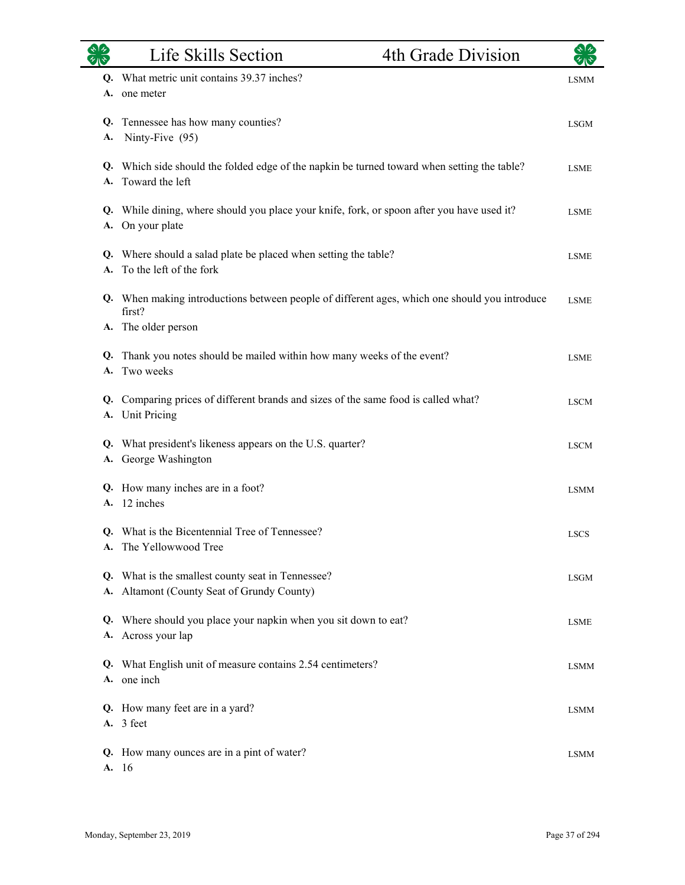|          | Life Skills Section                                                                                         | 4th Grade Division |             |
|----------|-------------------------------------------------------------------------------------------------------------|--------------------|-------------|
| Q.<br>A. | What metric unit contains 39.37 inches?<br>one meter                                                        |                    | <b>LSMM</b> |
| Q.<br>A. | Tennessee has how many counties?<br>Ninty-Five (95)                                                         |                    | <b>LSGM</b> |
| Q.<br>A. | Which side should the folded edge of the napkin be turned toward when setting the table?<br>Toward the left |                    | <b>LSME</b> |
| Q.<br>А. | While dining, where should you place your knife, fork, or spoon after you have used it?<br>On your plate    |                    | <b>LSME</b> |
|          | Q. Where should a salad plate be placed when setting the table?<br>A. To the left of the fork               |                    | <b>LSME</b> |
| Q.       | When making introductions between people of different ages, which one should you introduce<br>first?        |                    | <b>LSME</b> |
| Q.       | A. The older person<br>Thank you notes should be mailed within how many weeks of the event?                 |                    | <b>LSME</b> |
| A.       | Two weeks<br>Q. Comparing prices of different brands and sizes of the same food is called what?             |                    | <b>LSCM</b> |
| A.       | <b>Unit Pricing</b><br>Q. What president's likeness appears on the U.S. quarter?                            |                    | <b>LSCM</b> |
|          | A. George Washington<br>Q. How many inches are in a foot?<br>12 inches                                      |                    | <b>LSMM</b> |
| A.       | Q. What is the Bicentennial Tree of Tennessee?<br>A. The Yellowwood Tree                                    |                    | <b>LSCS</b> |
|          | Q. What is the smallest county seat in Tennessee?<br>A. Altamont (County Seat of Grundy County)             |                    | <b>LSGM</b> |
| Q.       | Where should you place your napkin when you sit down to eat?<br>A. Across your lap                          |                    | <b>LSME</b> |
|          | Q. What English unit of measure contains 2.54 centimeters?<br>A. one inch                                   |                    | <b>LSMM</b> |
|          | Q. How many feet are in a yard?<br>A. 3 feet                                                                |                    | <b>LSMM</b> |
|          | Q. How many ounces are in a pint of water?<br>A. 16                                                         |                    | <b>LSMM</b> |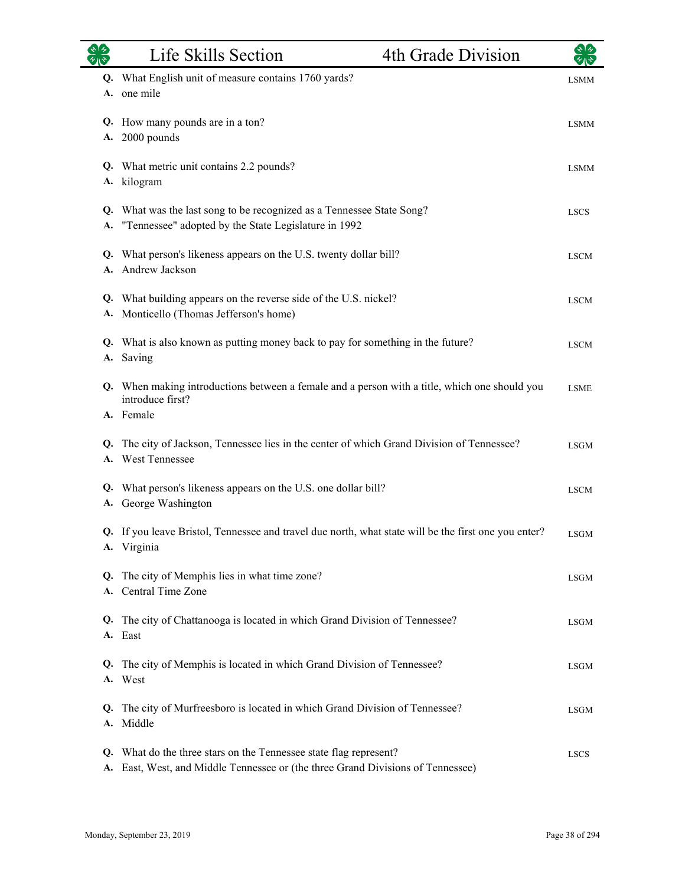|    | Life Skills Section                                                                                                                               | 4th Grade Division |             |
|----|---------------------------------------------------------------------------------------------------------------------------------------------------|--------------------|-------------|
|    | Q. What English unit of measure contains 1760 yards?<br>A. one mile                                                                               |                    | <b>LSMM</b> |
|    | Q. How many pounds are in a ton?<br>A. 2000 pounds                                                                                                |                    | <b>LSMM</b> |
|    | Q. What metric unit contains 2.2 pounds?<br>A. kilogram                                                                                           |                    | <b>LSMM</b> |
| A. | Q. What was the last song to be recognized as a Tennessee State Song?<br>"Tennessee" adopted by the State Legislature in 1992                     |                    | <b>LSCS</b> |
|    | Q. What person's likeness appears on the U.S. twenty dollar bill?<br>A. Andrew Jackson                                                            |                    | <b>LSCM</b> |
|    | Q. What building appears on the reverse side of the U.S. nickel?<br>A. Monticello (Thomas Jefferson's home)                                       |                    | <b>LSCM</b> |
|    | Q. What is also known as putting money back to pay for something in the future?<br>A. Saving                                                      |                    | <b>LSCM</b> |
|    | Q. When making introductions between a female and a person with a title, which one should you<br>introduce first?                                 |                    | <b>LSME</b> |
|    | A. Female<br>Q. The city of Jackson, Tennessee lies in the center of which Grand Division of Tennessee?<br>A. West Tennessee                      |                    | <b>LSGM</b> |
|    | Q. What person's likeness appears on the U.S. one dollar bill?<br>A. George Washington                                                            |                    | <b>LSCM</b> |
|    | Q. If you leave Bristol, Tennessee and travel due north, what state will be the first one you enter?<br>A. Virginia                               |                    | <b>LSGM</b> |
| Q. | The city of Memphis lies in what time zone?<br>A. Central Time Zone                                                                               |                    | <b>LSGM</b> |
| Q. | The city of Chattanooga is located in which Grand Division of Tennessee?<br>A. East                                                               |                    | <b>LSGM</b> |
| Q. | The city of Memphis is located in which Grand Division of Tennessee?<br>A. West                                                                   |                    | <b>LSGM</b> |
| Q. | The city of Murfreesboro is located in which Grand Division of Tennessee?<br>A. Middle                                                            |                    | <b>LSGM</b> |
| Q. | What do the three stars on the Tennessee state flag represent?<br>A. East, West, and Middle Tennessee or (the three Grand Divisions of Tennessee) |                    | <b>LSCS</b> |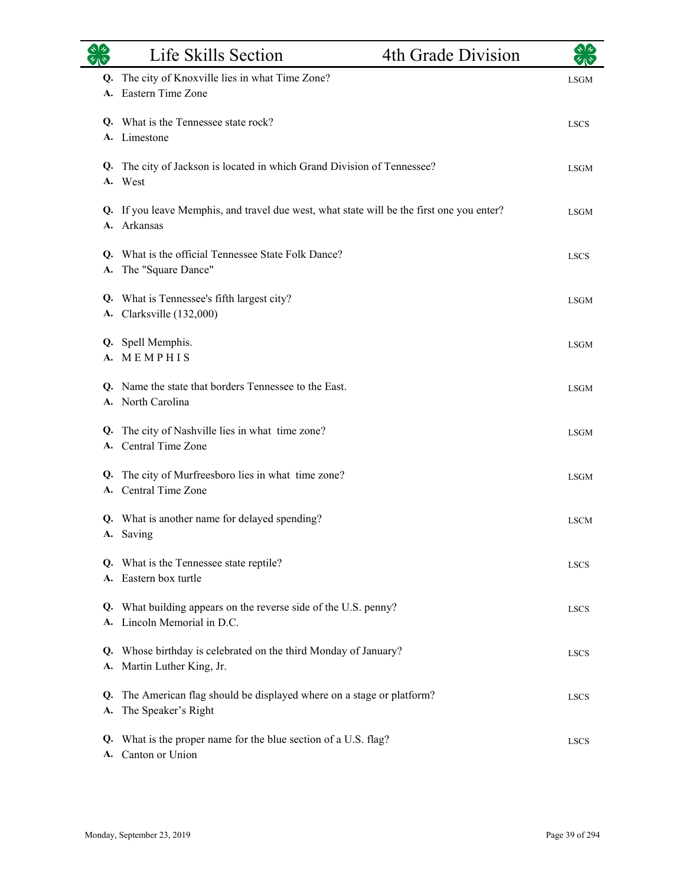|          | Life Skills Section                                                                                   | 4th Grade Division |             |
|----------|-------------------------------------------------------------------------------------------------------|--------------------|-------------|
| Q.<br>A. | The city of Knoxville lies in what Time Zone?<br>Eastern Time Zone                                    |                    | <b>LSGM</b> |
|          | Q. What is the Tennessee state rock?<br>A. Limestone                                                  |                    | <b>LSCS</b> |
|          | Q. The city of Jackson is located in which Grand Division of Tennessee?<br>A. West                    |                    | <b>LSGM</b> |
| A.       | Q. If you leave Memphis, and travel due west, what state will be the first one you enter?<br>Arkansas |                    | <b>LSGM</b> |
| А.       | Q. What is the official Tennessee State Folk Dance?<br>The "Square Dance"                             |                    | <b>LSCS</b> |
| Q.       | What is Tennessee's fifth largest city?<br>A. Clarksville (132,000)                                   |                    | <b>LSGM</b> |
|          | Q. Spell Memphis.<br>A. MEMPHIS                                                                       |                    | <b>LSGM</b> |
|          | Q. Name the state that borders Tennessee to the East.<br>A. North Carolina                            |                    | <b>LSGM</b> |
| Q.       | The city of Nashville lies in what time zone?<br>A. Central Time Zone                                 |                    | <b>LSGM</b> |
|          | Q. The city of Murfreesboro lies in what time zone?<br>A. Central Time Zone                           |                    | <b>LSGM</b> |
|          | Q. What is another name for delayed spending?<br>A. Saving                                            |                    | <b>LSCM</b> |
|          | Q. What is the Tennessee state reptile?<br>A. Eastern box turtle                                      |                    | <b>LSCS</b> |
| Q.<br>A. | What building appears on the reverse side of the U.S. penny?<br>Lincoln Memorial in D.C.              |                    | <b>LSCS</b> |
| Q.       | Whose birthday is celebrated on the third Monday of January?<br>A. Martin Luther King, Jr.            |                    | <b>LSCS</b> |
| Q.<br>A. | The American flag should be displayed where on a stage or platform?<br>The Speaker's Right            |                    | <b>LSCS</b> |
| Q.<br>A. | What is the proper name for the blue section of a U.S. flag?<br>Canton or Union                       |                    | <b>LSCS</b> |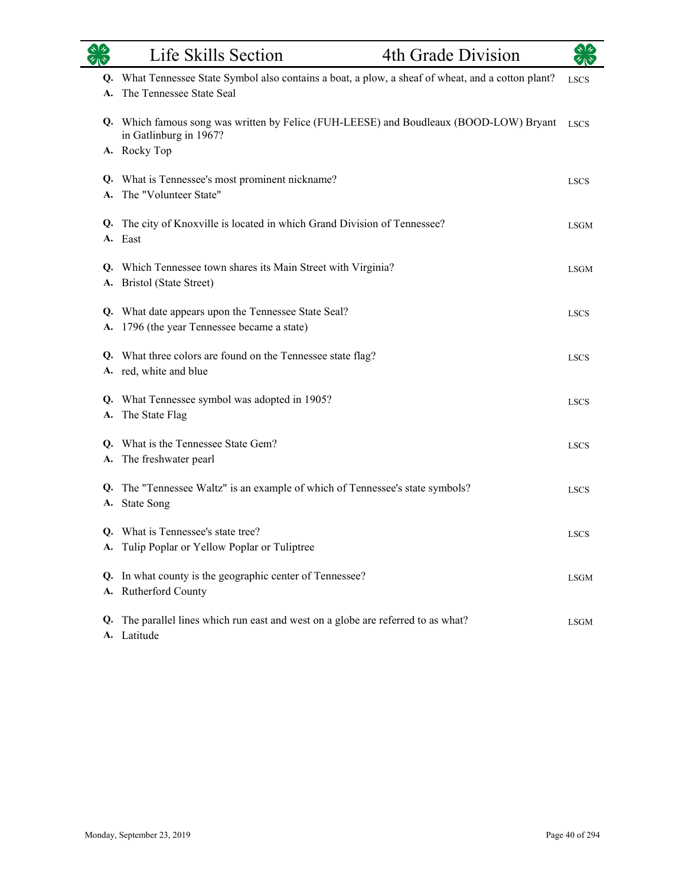|           | Life Skills Section<br>4th Grade Division                                                                                   |             |
|-----------|-----------------------------------------------------------------------------------------------------------------------------|-------------|
| Q.<br>A.  | What Tennessee State Symbol also contains a boat, a plow, a sheaf of wheat, and a cotton plant?<br>The Tennessee State Seal | <b>LSCS</b> |
|           | Q. Which famous song was written by Felice (FUH-LEESE) and Boudleaux (BOOD-LOW) Bryant<br>in Gatlinburg in 1967?            | <b>LSCS</b> |
|           | A. Rocky Top                                                                                                                |             |
| Q.<br>A.  | What is Tennessee's most prominent nickname?<br>The "Volunteer State"                                                       | <b>LSCS</b> |
|           |                                                                                                                             |             |
| Q.        | The city of Knoxville is located in which Grand Division of Tennessee?<br>A. East                                           | <b>LSGM</b> |
| Q.<br>А.  | Which Tennessee town shares its Main Street with Virginia?<br><b>Bristol</b> (State Street)                                 | <b>LSGM</b> |
| Q.        | What date appears upon the Tennessee State Seal?                                                                            | <b>LSCS</b> |
|           | A. 1796 (the year Tennessee became a state)                                                                                 |             |
| Q.        | What three colors are found on the Tennessee state flag?<br>A. red, white and blue                                          | <b>LSCS</b> |
| <b>A.</b> | Q. What Tennessee symbol was adopted in 1905?<br>The State Flag                                                             | <b>LSCS</b> |
| Q.<br>А.  | What is the Tennessee State Gem?<br>The freshwater pearl                                                                    | <b>LSCS</b> |
| Q.        | The "Tennessee Waltz" is an example of which of Tennessee's state symbols?<br>A. State Song                                 | <b>LSCS</b> |
|           | Q. What is Tennessee's state tree?<br>A. Tulip Poplar or Yellow Poplar or Tuliptree                                         | <b>LSCS</b> |
| Q.        | In what county is the geographic center of Tennessee?<br>A. Rutherford County                                               | <b>LSGM</b> |
| Q.        | The parallel lines which run east and west on a globe are referred to as what?<br>A. Latitude                               | <b>LSGM</b> |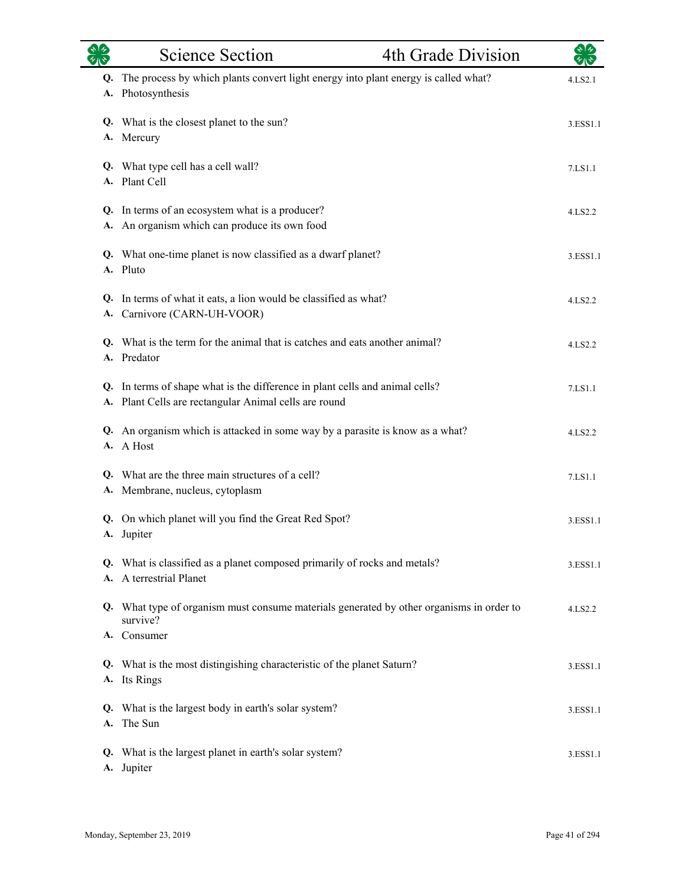|          | <b>Science Section</b>                                                                                                             | 4th Grade Division |          |
|----------|------------------------------------------------------------------------------------------------------------------------------------|--------------------|----------|
| Q.<br>A. | The process by which plants convert light energy into plant energy is called what?<br>Photosynthesis                               |                    | 4.LS2.1  |
|          | Q. What is the closest planet to the sun?<br>A. Mercury                                                                            |                    | 3.ESS1.1 |
|          | Q. What type cell has a cell wall?<br>A. Plant Cell                                                                                |                    | 7.LS1.1  |
| А.       | Q. In terms of an ecosystem what is a producer?<br>An organism which can produce its own food                                      |                    | 4.LS2.2  |
|          | Q. What one-time planet is now classified as a dwarf planet?<br>A. Pluto                                                           |                    | 3.ESS1.1 |
| Q.       | In terms of what it eats, a lion would be classified as what?<br>A. Carnivore (CARN-UH-VOOR)                                       |                    | 4.LS2.2  |
| Q.       | What is the term for the animal that is catches and eats another animal?<br>A. Predator                                            |                    | 4.LS2.2  |
| A.       | Q. In terms of shape what is the difference in plant cells and animal cells?<br>Plant Cells are rectangular Animal cells are round |                    | 7.LS1.1  |
|          | Q. An organism which is attacked in some way by a parasite is know as a what?<br>A. A Host                                         |                    | 4.LS2.2  |
| А.       | Q. What are the three main structures of a cell?<br>Membrane, nucleus, cytoplasm                                                   |                    | 7.LS1.1  |
|          | Q. On which planet will you find the Great Red Spot?<br>A. Jupiter                                                                 |                    | 3.ESS1.1 |
|          | Q. What is classified as a planet composed primarily of rocks and metals?<br>A. A terrestrial Planet                               |                    | 3.ESS1.1 |
|          | Q. What type of organism must consume materials generated by other organisms in order to<br>survive?                               |                    | 4.LS2.2  |
|          | A. Consumer                                                                                                                        |                    |          |
|          | Q. What is the most distingishing characteristic of the planet Saturn?<br>A. Its Rings                                             |                    | 3.ESS1.1 |
|          | Q. What is the largest body in earth's solar system?<br>A. The Sun                                                                 |                    | 3.ESS1.1 |
|          | Q. What is the largest planet in earth's solar system?<br>A. Jupiter                                                               |                    | 3.ESS1.1 |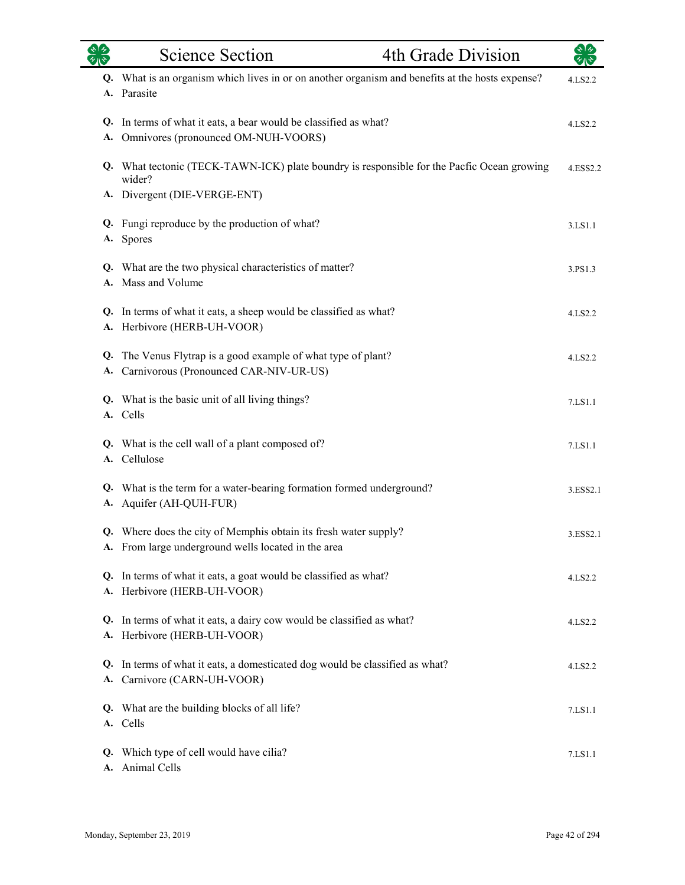|          | <b>Science Section</b>                                                                                                               | 4th Grade Division | रुष्ट्र<br>स्रोत |
|----------|--------------------------------------------------------------------------------------------------------------------------------------|--------------------|------------------|
| A.       | Q. What is an organism which lives in or on another organism and benefits at the hosts expense?<br>Parasite                          |                    | 4.LS2.2          |
| A.       | Q. In terms of what it eats, a bear would be classified as what?<br>Omnivores (pronounced OM-NUH-VOORS)                              |                    | 4.LS2.2          |
|          | Q. What tectonic (TECK-TAWN-ICK) plate boundry is responsible for the Pacfic Ocean growing<br>wider?<br>A. Divergent (DIE-VERGE-ENT) |                    | 4.ESS2.2         |
|          | Q. Fungi reproduce by the production of what?<br>A. Spores                                                                           |                    | 3.LS1.1          |
|          | Q. What are the two physical characteristics of matter?<br>A. Mass and Volume                                                        |                    | 3.PS1.3          |
| Q.<br>А. | In terms of what it eats, a sheep would be classified as what?<br>Herbivore (HERB-UH-VOOR)                                           |                    | 4.LS2.2          |
| Q.<br>A. | The Venus Flytrap is a good example of what type of plant?<br>Carnivorous (Pronounced CAR-NIV-UR-US)                                 |                    | 4.LS2.2          |
|          | Q. What is the basic unit of all living things?<br>A. Cells                                                                          |                    | 7.LS1.1          |
|          | Q. What is the cell wall of a plant composed of?<br>A. Cellulose                                                                     |                    | 7.LS1.1          |
| A.       | Q. What is the term for a water-bearing formation formed underground?<br>Aquifer (AH-QUH-FUR)                                        |                    | 3.ESS2.1         |
|          | Q. Where does the city of Memphis obtain its fresh water supply?<br>A. From large underground wells located in the area              |                    | 3.ESS2.1         |
|          | Q. In terms of what it eats, a goat would be classified as what?<br>A. Herbivore (HERB-UH-VOOR)                                      |                    | 4.LS2.2          |
| Q.       | In terms of what it eats, a dairy cow would be classified as what?<br>A. Herbivore (HERB-UH-VOOR)                                    |                    | 4.LS2.2          |
| А.       | Q. In terms of what it eats, a domesticated dog would be classified as what?<br>Carnivore (CARN-UH-VOOR)                             |                    | 4.LS2.2          |
|          | Q. What are the building blocks of all life?<br>A. Cells                                                                             |                    | 7.LS1.1          |
| A.       | Q. Which type of cell would have cilia?<br>Animal Cells                                                                              |                    | 7.LS1.1          |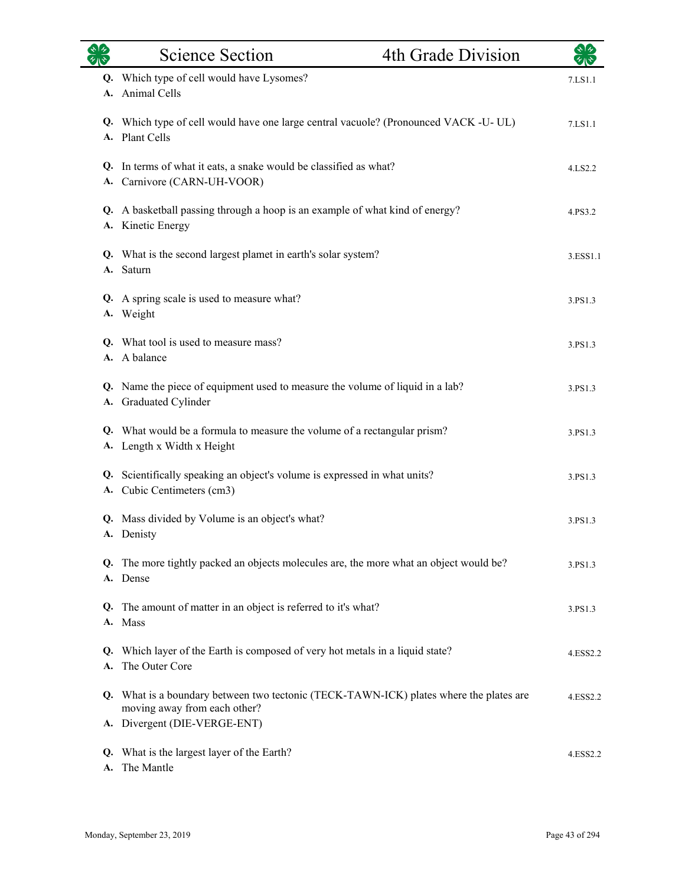| $\gamma_{\rm A}$ | <b>Science Section</b>                                                                                                 | 4th Grade Division |          |
|------------------|------------------------------------------------------------------------------------------------------------------------|--------------------|----------|
| A.               | Q. Which type of cell would have Lysomes?<br>Animal Cells                                                              |                    | 7.LS1.1  |
|                  | Q. Which type of cell would have one large central vacuole? (Pronounced VACK -U-UL)<br>A. Plant Cells                  |                    | 7.LS1.1  |
|                  | Q. In terms of what it eats, a snake would be classified as what?<br>A. Carnivore (CARN-UH-VOOR)                       |                    | 4.LS2.2  |
| А.               | Q. A basketball passing through a hoop is an example of what kind of energy?<br>Kinetic Energy                         |                    | 4.PS3.2  |
|                  | Q. What is the second largest plamet in earth's solar system?<br>A. Saturn                                             |                    | 3.ESS1.1 |
|                  | Q. A spring scale is used to measure what?<br>A. Weight                                                                |                    | 3.PS1.3  |
|                  | Q. What tool is used to measure mass?<br>A. A balance                                                                  |                    | 3.PS1.3  |
|                  | Q. Name the piece of equipment used to measure the volume of liquid in a lab?<br>A. Graduated Cylinder                 |                    | 3.PS1.3  |
|                  | Q. What would be a formula to measure the volume of a rectangular prism?<br>A. Length x Width x Height                 |                    | 3.PS1.3  |
|                  | Q. Scientifically speaking an object's volume is expressed in what units?<br>A. Cubic Centimeters (cm3)                |                    | 3.PS1.3  |
|                  | Q. Mass divided by Volume is an object's what?<br>A. Denisty                                                           |                    | 3.PS1.3  |
|                  | Q. The more tightly packed an objects molecules are, the more what an object would be?<br>A. Dense                     |                    | 3.PS1.3  |
|                  | Q. The amount of matter in an object is referred to it's what?<br>A. Mass                                              |                    | 3.PS1.3  |
|                  | Q. Which layer of the Earth is composed of very hot metals in a liquid state?<br>A. The Outer Core                     |                    | 4.ESS2.2 |
|                  | Q. What is a boundary between two tectonic (TECK-TAWN-ICK) plates where the plates are<br>moving away from each other? |                    | 4.ESS2.2 |
|                  | A. Divergent (DIE-VERGE-ENT)                                                                                           |                    |          |
| Q.<br>A.         | What is the largest layer of the Earth?<br>The Mantle                                                                  |                    | 4.ESS2.2 |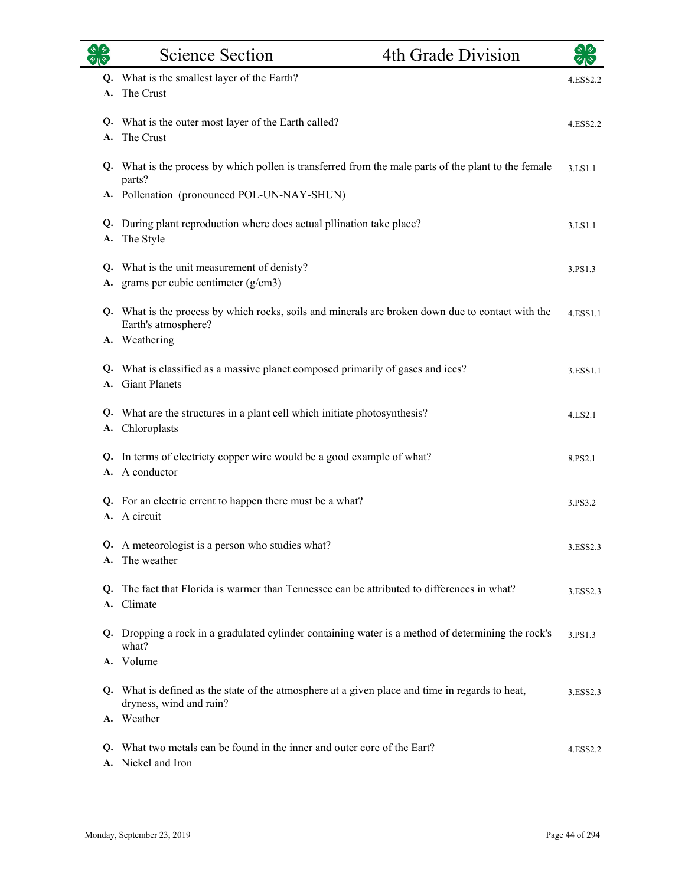|          | <b>Science Section</b>                                                                                                                                        | 4th Grade Division |          |
|----------|---------------------------------------------------------------------------------------------------------------------------------------------------------------|--------------------|----------|
| A.       | Q. What is the smallest layer of the Earth?<br>The Crust                                                                                                      |                    | 4.ESS2.2 |
| A.       | Q. What is the outer most layer of the Earth called?<br>The Crust                                                                                             |                    | 4.ESS2.2 |
|          | Q. What is the process by which pollen is transferred from the male parts of the plant to the female<br>parts?<br>A. Pollenation (pronounced POL-UN-NAY-SHUN) |                    | 3.LS1.1  |
| Q.<br>A. | During plant reproduction where does actual pllination take place?<br>The Style                                                                               |                    | 3.LS1.1  |
| A.       | Q. What is the unit measurement of denisty?<br>grams per cubic centimeter $(g/cm3)$                                                                           |                    | 3.PS1.3  |
|          | Q. What is the process by which rocks, soils and minerals are broken down due to contact with the<br>Earth's atmosphere?<br>A. Weathering                     |                    | 4.ESS1.1 |
|          | Q. What is classified as a massive planet composed primarily of gases and ices?<br>A. Giant Planets                                                           |                    | 3.ESS1.1 |
|          | Q. What are the structures in a plant cell which initiate photosynthesis?<br>A. Chloroplasts                                                                  |                    | 4.LS2.1  |
|          | Q. In terms of electricty copper wire would be a good example of what?<br>A. A conductor                                                                      |                    | 8.PS2.1  |
|          | Q. For an electric crrent to happen there must be a what?<br>A. A circuit                                                                                     |                    | 3.PS3.2  |
| A.       | A meteorologist is a person who studies what?<br>The weather                                                                                                  |                    | 3.ESS2.3 |
| Q.       | The fact that Florida is warmer than Tennessee can be attributed to differences in what?<br>A. Climate                                                        |                    | 3.ESS2.3 |
|          | Q. Dropping a rock in a gradulated cylinder containing water is a method of determining the rock's<br>what?                                                   |                    | 3.PS1.3  |
|          | A. Volume<br>Q. What is defined as the state of the atmosphere at a given place and time in regards to heat,<br>dryness, wind and rain?<br>A. Weather         |                    | 3.ESS2.3 |
|          | Q. What two metals can be found in the inner and outer core of the Eart?<br>A. Nickel and Iron                                                                |                    | 4.ESS2.2 |

Ē.

÷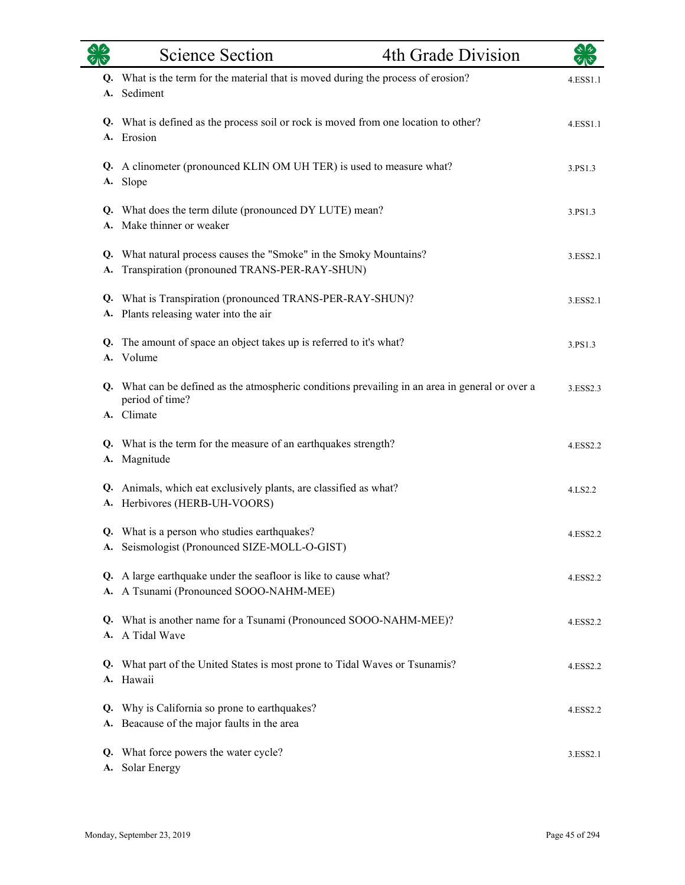|          | <b>Science Section</b>                                                                                             | 4th Grade Division |          |
|----------|--------------------------------------------------------------------------------------------------------------------|--------------------|----------|
| Q.<br>A. | What is the term for the material that is moved during the process of erosion?<br>Sediment                         |                    | 4.ESS1.1 |
| A.       | Q. What is defined as the process soil or rock is moved from one location to other?<br>Erosion                     |                    | 4.ESS1.1 |
| A.       | Q. A clinometer (pronounced KLIN OM UH TER) is used to measure what?<br>Slope                                      |                    | 3.PS1.3  |
| A.       | Q. What does the term dilute (pronounced DY LUTE) mean?<br>Make thinner or weaker                                  |                    | 3.PS1.3  |
| А.       | Q. What natural process causes the "Smoke" in the Smoky Mountains?<br>Transpiration (pronouned TRANS-PER-RAY-SHUN) |                    | 3.ESS2.1 |
| Q.       | What is Transpiration (pronounced TRANS-PER-RAY-SHUN)?<br>A. Plants releasing water into the air                   |                    | 3.ESS2.1 |
| Q.       | The amount of space an object takes up is referred to it's what?<br>A. Volume                                      |                    | 3.PS1.3  |
|          | Q. What can be defined as the atmospheric conditions prevailing in an area in general or over a<br>period of time? |                    | 3.ESS2.3 |
|          | A. Climate                                                                                                         |                    |          |
| А.       | Q. What is the term for the measure of an earthquakes strength?<br>Magnitude                                       |                    | 4.ESS2.2 |
| A.       | Q. Animals, which eat exclusively plants, are classified as what?<br>Herbivores (HERB-UH-VOORS)                    |                    | 4.LS2.2  |
|          | Q. What is a person who studies earthquakes?<br>A. Seismologist (Pronounced SIZE-MOLL-O-GIST)                      |                    | 4.ESS2.2 |
|          | Q. A large earthquake under the seafloor is like to cause what?<br>A. A Tsunami (Pronounced SOOO-NAHM-MEE)         |                    | 4.ESS2.2 |
|          | Q. What is another name for a Tsunami (Pronounced SOOO-NAHM-MEE)?<br>A. A Tidal Wave                               |                    | 4.ESS2.2 |
|          | Q. What part of the United States is most prone to Tidal Waves or Tsunamis?<br>A. Hawaii                           |                    | 4.ESS2.2 |
|          | Q. Why is California so prone to earthquakes?<br>A. Beacause of the major faults in the area                       |                    | 4.ESS2.2 |
|          | Q. What force powers the water cycle?<br>A. Solar Energy                                                           |                    | 3.ESS2.1 |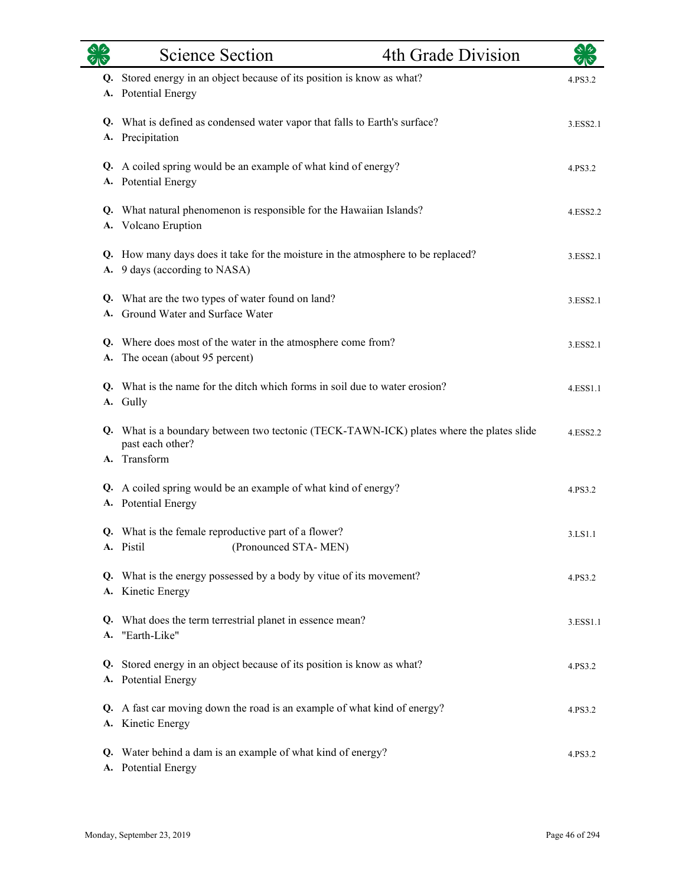|    | <b>Science Section</b>                                                                                         | 4th Grade Division |          |
|----|----------------------------------------------------------------------------------------------------------------|--------------------|----------|
| А. | Q. Stored energy in an object because of its position is know as what?<br><b>Potential Energy</b>              |                    | 4.PS3.2  |
| А. | Q. What is defined as condensed water vapor that falls to Earth's surface?<br>Precipitation                    |                    | 3.ESS2.1 |
|    | Q. A coiled spring would be an example of what kind of energy?<br>A. Potential Energy                          |                    | 4.PS3.2  |
|    | Q. What natural phenomenon is responsible for the Hawaiian Islands?<br>A. Volcano Eruption                     |                    | 4.ESS2.2 |
| А. | Q. How many days does it take for the moisture in the atmosphere to be replaced?<br>9 days (according to NASA) |                    | 3.ESS2.1 |
| Q. | What are the two types of water found on land?<br>Ground Water and Surface Water                               |                    | 3.ESS2.1 |
| А. | Q. Where does most of the water in the atmosphere come from?<br>The ocean (about 95 percent)                   |                    | 3.ESS2.1 |
|    | Q. What is the name for the ditch which forms in soil due to water erosion?<br>A. Gully                        |                    | 4.ESS1.1 |
|    | Q. What is a boundary between two tectonic (TECK-TAWN-ICK) plates where the plates slide<br>past each other?   |                    | 4.ESS2.2 |
|    | A. Transform<br>Q. A coiled spring would be an example of what kind of energy?<br>A. Potential Energy          |                    | 4.PS3.2  |
|    | Q. What is the female reproductive part of a flower?<br>A. Pistil<br>(Pronounced STA-MEN)                      |                    | 3.LS1.1  |
|    | Q. What is the energy possessed by a body by vitue of its movement?<br>A. Kinetic Energy                       |                    | 4.PS3.2  |
|    | Q. What does the term terrestrial planet in essence mean?<br>A. "Earth-Like"                                   |                    | 3.ESS1.1 |
|    | Q. Stored energy in an object because of its position is know as what?<br>A. Potential Energy                  |                    | 4.PS3.2  |
| Q. | A fast car moving down the road is an example of what kind of energy?<br>A. Kinetic Energy                     |                    | 4.PS3.2  |
| Q. | Water behind a dam is an example of what kind of energy?<br>A. Potential Energy                                |                    | 4.PS3.2  |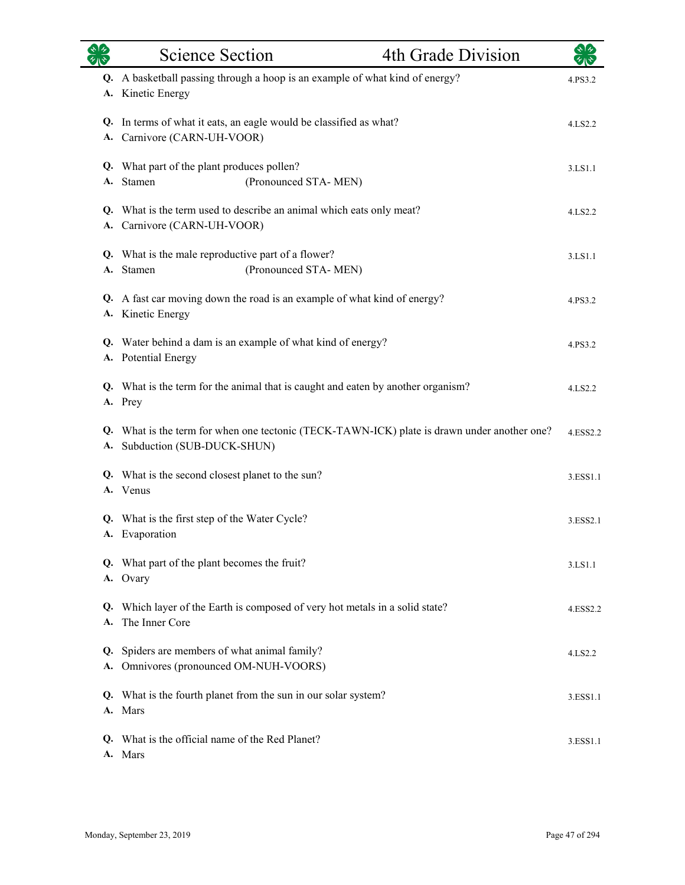| 92       | <b>Science Section</b>                                                            |                                                                                  | 4th Grade Division                                                                          | $\star$ $\star$ |
|----------|-----------------------------------------------------------------------------------|----------------------------------------------------------------------------------|---------------------------------------------------------------------------------------------|-----------------|
|          | A. Kinetic Energy                                                                 | Q. A basketball passing through a hoop is an example of what kind of energy?     |                                                                                             | 4.PS3.2         |
|          | A. Carnivore (CARN-UH-VOOR)                                                       | Q. In terms of what it eats, an eagle would be classified as what?               |                                                                                             | 4.LS2.2         |
|          | Q. What part of the plant produces pollen?<br>A. Stamen                           | (Pronounced STA-MEN)                                                             |                                                                                             | 3.LS1.1         |
|          | A. Carnivore (CARN-UH-VOOR)                                                       | Q. What is the term used to describe an animal which eats only meat?             |                                                                                             | 4.LS2.2         |
|          | Q. What is the male reproductive part of a flower?<br>A. Stamen                   | (Pronounced STA-MEN)                                                             |                                                                                             | 3.LS1.1         |
|          | A. Kinetic Energy                                                                 | Q. A fast car moving down the road is an example of what kind of energy?         |                                                                                             | 4.PS3.2         |
|          | A. Potential Energy                                                               | Q. Water behind a dam is an example of what kind of energy?                      |                                                                                             | 4.PS3.2         |
|          | A. Prey                                                                           | Q. What is the term for the animal that is caught and eaten by another organism? |                                                                                             | 4.LS2.2         |
|          | A. Subduction (SUB-DUCK-SHUN)                                                     |                                                                                  | Q. What is the term for when one tectonic (TECK-TAWN-ICK) plate is drawn under another one? | 4.ESS2.2        |
|          | Q. What is the second closest planet to the sun?<br>A. Venus                      |                                                                                  |                                                                                             | 3.ESS1.1        |
|          | Q. What is the first step of the Water Cycle?<br>A. Evaporation                   |                                                                                  |                                                                                             | 3.ESS2.1        |
|          | Q. What part of the plant becomes the fruit?<br>A. Ovary                          |                                                                                  |                                                                                             | 3.LS1.1         |
| O.<br>A. | The Inner Core                                                                    | Which layer of the Earth is composed of very hot metals in a solid state?        |                                                                                             | 4.ESS2.2        |
| Q.<br>А. | Spiders are members of what animal family?<br>Omnivores (pronounced OM-NUH-VOORS) |                                                                                  |                                                                                             | 4.LS2.2         |
| Q.<br>A. | Mars                                                                              | What is the fourth planet from the sun in our solar system?                      |                                                                                             | 3.ESS1.1        |
| O.       | What is the official name of the Red Planet?<br>A. Mars                           |                                                                                  |                                                                                             | 3.ESS1.1        |

 $\overline{\phantom{0}}$ 

 $\overline{\phantom{0}}$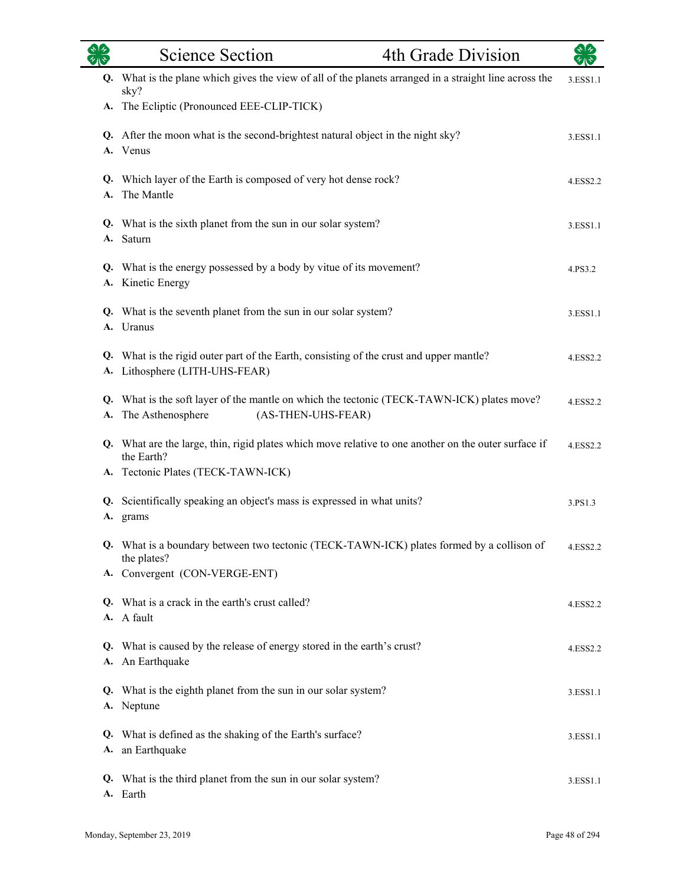| $\sqrt[4]{3}$ | <b>Science Section</b><br>4th Grade Division                                                                                          | $\sqrt[4]{3}$ |
|---------------|---------------------------------------------------------------------------------------------------------------------------------------|---------------|
|               | Q. What is the plane which gives the view of all of the planets arranged in a straight line across the<br>sky?                        | 3.ESS1.1      |
|               | A. The Ecliptic (Pronounced EEE-CLIP-TICK)                                                                                            |               |
|               | Q. After the moon what is the second-brightest natural object in the night sky?<br>A. Venus                                           | 3.ESS1.1      |
| A.            | Q. Which layer of the Earth is composed of very hot dense rock?<br>The Mantle                                                         | 4.ESS2.2      |
|               | Q. What is the sixth planet from the sun in our solar system?<br>A. Saturn                                                            | 3.ESS1.1      |
|               | Q. What is the energy possessed by a body by vitue of its movement?<br>A. Kinetic Energy                                              | 4.PS3.2       |
|               | Q. What is the seventh planet from the sun in our solar system?<br>A. Uranus                                                          | 3.ESS1.1      |
|               | Q. What is the rigid outer part of the Earth, consisting of the crust and upper mantle?<br>A. Lithosphere (LITH-UHS-FEAR)             | 4.ESS2.2      |
| А.            | Q. What is the soft layer of the mantle on which the tectonic (TECK-TAWN-ICK) plates move?<br>The Asthenosphere<br>(AS-THEN-UHS-FEAR) | 4.ESS2.2      |
|               | Q. What are the large, thin, rigid plates which move relative to one another on the outer surface if<br>the Earth?                    | 4.ESS2.2      |
|               | A. Tectonic Plates (TECK-TAWN-ICK)                                                                                                    |               |
| <b>A.</b>     | Q. Scientifically speaking an object's mass is expressed in what units?<br>grams                                                      | 3.PS1.3       |
|               | Q. What is a boundary between two tectonic (TECK-TAWN-ICK) plates formed by a collison of<br>the plates?                              | 4.ESS2.2      |
|               | A. Convergent (CON-VERGE-ENT)                                                                                                         |               |
|               | Q. What is a crack in the earth's crust called?<br>A. A fault                                                                         | 4.ESS2.2      |
|               | Q. What is caused by the release of energy stored in the earth's crust?<br>A. An Earthquake                                           | 4.ESS2.2      |
|               | Q. What is the eighth planet from the sun in our solar system?<br>A. Neptune                                                          | 3.ESS1.1      |
|               | Q. What is defined as the shaking of the Earth's surface?<br>A. an Earthquake                                                         | 3.ESS1.1      |
|               | Q. What is the third planet from the sun in our solar system?<br>A. Earth                                                             | 3.ESS1.1      |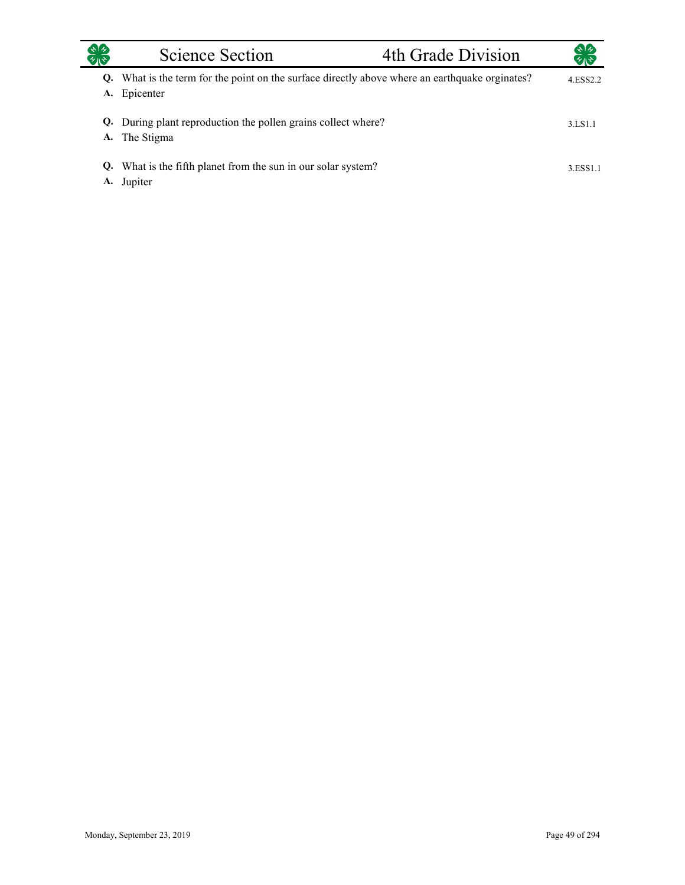| $\ast$ / $\ast$ | Science Section                                                                                             | 4th Grade Division | 幻心                   |
|-----------------|-------------------------------------------------------------------------------------------------------------|--------------------|----------------------|
| A.              | Q. What is the term for the point on the surface directly above where an earthquake orginates?<br>Epicenter |                    | 4.ESS <sub>2.2</sub> |
|                 | Q. During plant reproduction the pollen grains collect where?<br>A. The Stigma                              |                    | 3.LS1.1              |
| А.              | Q. What is the fifth planet from the sun in our solar system?<br>Jupiter                                    |                    | 3.ESS1.1             |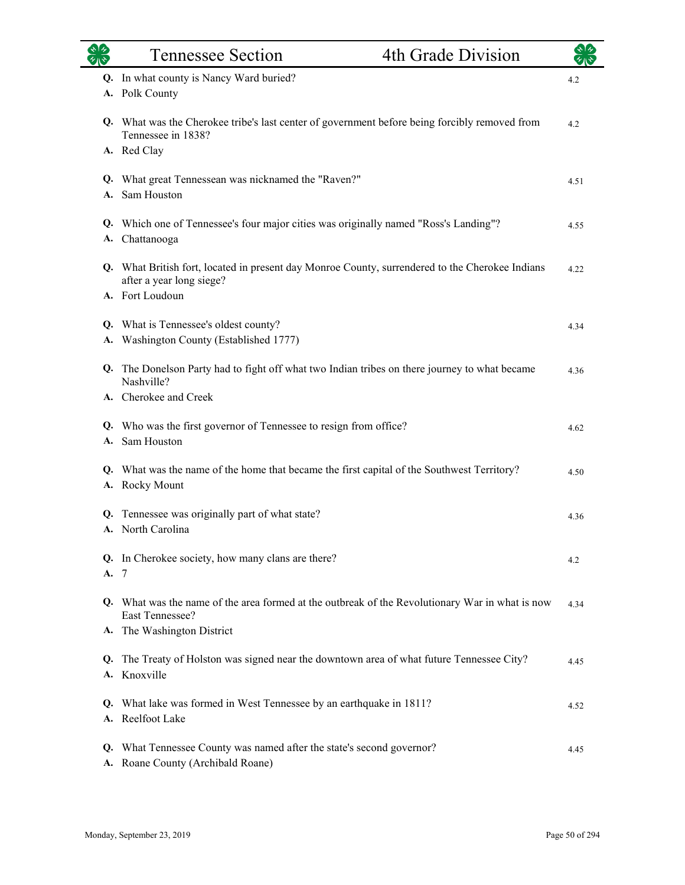|    | <b>Tennessee Section</b>                                                                                                    | 4th Grade Division |      |
|----|-----------------------------------------------------------------------------------------------------------------------------|--------------------|------|
|    | Q. In what county is Nancy Ward buried?                                                                                     |                    | 4.2  |
|    | A. Polk County                                                                                                              |                    |      |
|    | Q. What was the Cherokee tribe's last center of government before being forcibly removed from<br>Tennessee in 1838?         |                    | 4.2  |
|    | A. Red Clay                                                                                                                 |                    |      |
| А. | Q. What great Tennessean was nicknamed the "Raven?"<br>Sam Houston                                                          |                    | 4.51 |
|    | Q. Which one of Tennessee's four major cities was originally named "Ross's Landing"?<br>A. Chattanooga                      |                    | 4.55 |
|    | Q. What British fort, located in present day Monroe County, surrendered to the Cherokee Indians<br>after a year long siege? |                    | 4.22 |
|    | A. Fort Loudoun                                                                                                             |                    |      |
|    | Q. What is Tennessee's oldest county?                                                                                       |                    | 4.34 |
|    | A. Washington County (Established 1777)                                                                                     |                    |      |
| Q. | The Donelson Party had to fight off what two Indian tribes on there journey to what became<br>Nashville?                    |                    | 4.36 |
|    | A. Cherokee and Creek                                                                                                       |                    |      |
| Q. | Who was the first governor of Tennessee to resign from office?                                                              |                    | 4.62 |
| A. | Sam Houston                                                                                                                 |                    |      |
|    | Q. What was the name of the home that became the first capital of the Southwest Territory?<br>A. Rocky Mount                |                    | 4.50 |
| Q. | Tennessee was originally part of what state?<br>A. North Carolina                                                           |                    | 4.36 |
| A. | Q. In Cherokee society, how many clans are there?<br>-7                                                                     |                    | 4.2  |
|    | Q. What was the name of the area formed at the outbreak of the Revolutionary War in what is now<br>East Tennessee?          |                    | 4.34 |
|    | A. The Washington District                                                                                                  |                    |      |
| Q. | The Treaty of Holston was signed near the downtown area of what future Tennessee City?<br>A. Knoxville                      |                    | 4.45 |
|    | Q. What lake was formed in West Tennessee by an earthquake in 1811?<br>A. Reelfoot Lake                                     |                    | 4.52 |
| Q. | What Tennessee County was named after the state's second governor?<br>A. Roane County (Archibald Roane)                     |                    | 4.45 |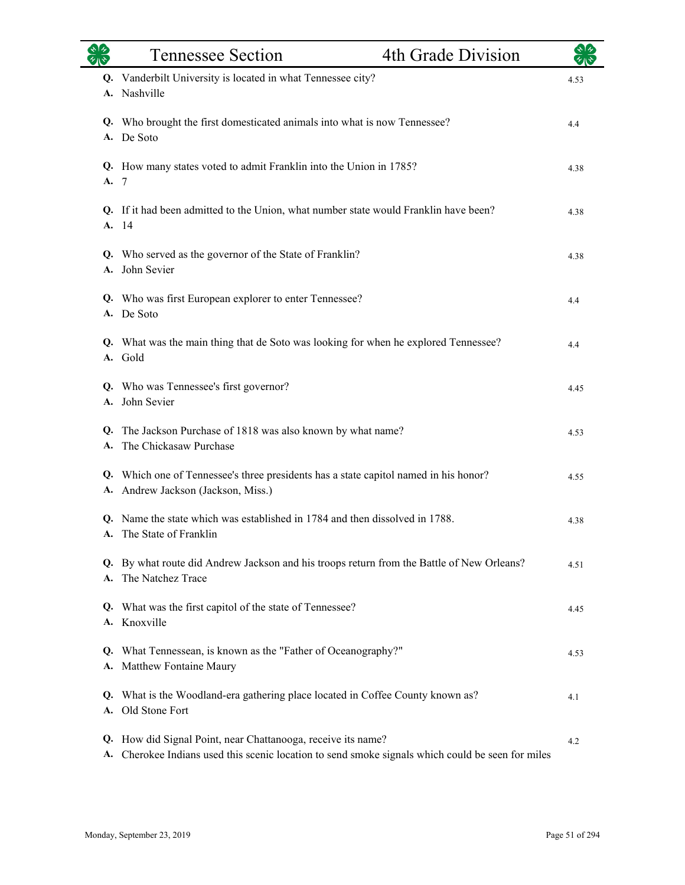|          | <b>Tennessee Section</b>                                                                                                                                    | 4th Grade Division |      |
|----------|-------------------------------------------------------------------------------------------------------------------------------------------------------------|--------------------|------|
|          | Q. Vanderbilt University is located in what Tennessee city?<br>A. Nashville                                                                                 |                    | 4.53 |
|          | Q. Who brought the first domesticated animals into what is now Tennessee?<br>A. De Soto                                                                     |                    | 4.4  |
| A. 7     | Q. How many states voted to admit Franklin into the Union in 1785?                                                                                          |                    | 4.38 |
| Q.       | If it had been admitted to the Union, what number state would Franklin have been?<br>A. 14                                                                  |                    | 4.38 |
|          | Q. Who served as the governor of the State of Franklin?<br>A. John Sevier                                                                                   |                    | 4.38 |
|          | Q. Who was first European explorer to enter Tennessee?<br>A. De Soto                                                                                        |                    | 4.4  |
|          | Q. What was the main thing that de Soto was looking for when he explored Tennessee?<br>A. Gold                                                              |                    | 4.4  |
|          | Q. Who was Tennessee's first governor?<br>A. John Sevier                                                                                                    |                    | 4.45 |
| Q.<br>А. | The Jackson Purchase of 1818 was also known by what name?<br>The Chickasaw Purchase                                                                         |                    | 4.53 |
| А.       | Q. Which one of Tennessee's three presidents has a state capitol named in his honor?<br>Andrew Jackson (Jackson, Miss.)                                     |                    | 4.55 |
|          | Q. Name the state which was established in 1784 and then dissolved in 1788.<br>A. The State of Franklin                                                     |                    | 4.38 |
|          | Q. By what route did Andrew Jackson and his troops return from the Battle of New Orleans?<br>A. The Natchez Trace                                           |                    | 4.51 |
| Q.       | What was the first capitol of the state of Tennessee?<br>A. Knoxville                                                                                       |                    | 4.45 |
| Q.       | What Tennessean, is known as the "Father of Oceanography?"<br>A. Matthew Fontaine Maury                                                                     |                    | 4.53 |
| Q.<br>А. | What is the Woodland-era gathering place located in Coffee County known as?<br>Old Stone Fort                                                               |                    | 4.1  |
| Q.<br>А. | How did Signal Point, near Chattanooga, receive its name?<br>Cherokee Indians used this scenic location to send smoke signals which could be seen for miles |                    | 4.2  |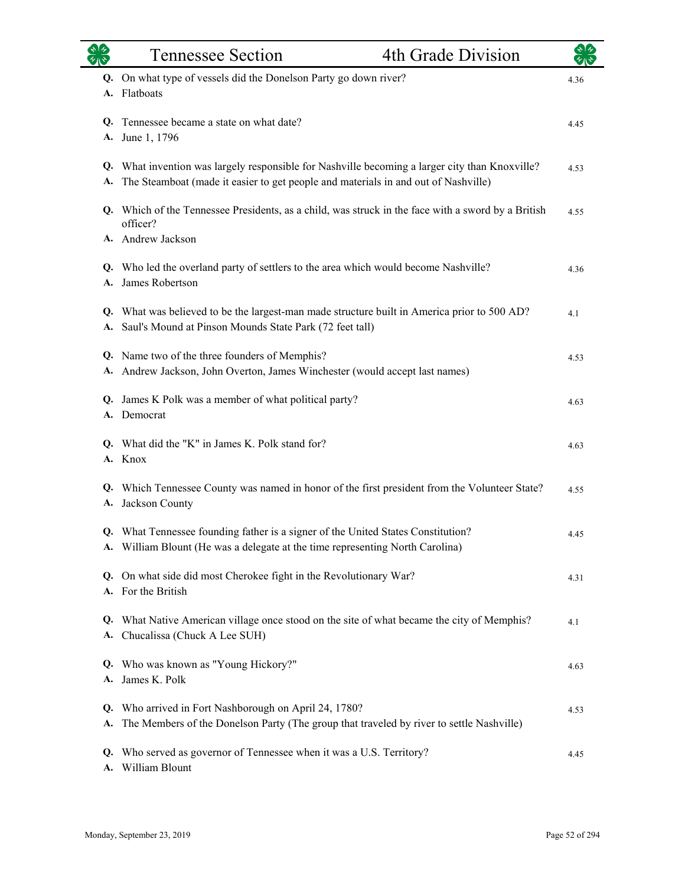|          | <b>Tennessee Section</b>                                                                                                                                                             | 4th Grade Division |      |
|----------|--------------------------------------------------------------------------------------------------------------------------------------------------------------------------------------|--------------------|------|
|          | Q. On what type of vessels did the Donelson Party go down river?<br>A. Flatboats                                                                                                     |                    | 4.36 |
| Q.<br>А. | Tennessee became a state on what date?<br>June 1, 1796                                                                                                                               |                    | 4.45 |
| А.       | Q. What invention was largely responsible for Nashville becoming a larger city than Knoxville?<br>The Steamboat (made it easier to get people and materials in and out of Nashville) |                    | 4.53 |
|          | Q. Which of the Tennessee Presidents, as a child, was struck in the face with a sword by a British<br>officer?<br>A. Andrew Jackson                                                  |                    | 4.55 |
| A.       | Q. Who led the overland party of settlers to the area which would become Nashville?<br>James Robertson                                                                               |                    | 4.36 |
| A.       | Q. What was believed to be the largest-man made structure built in America prior to 500 AD?<br>Saul's Mound at Pinson Mounds State Park (72 feet tall)                               |                    | 4.1  |
| A.       | Q. Name two of the three founders of Memphis?<br>Andrew Jackson, John Overton, James Winchester (would accept last names)                                                            |                    | 4.53 |
| Q.       | James K Polk was a member of what political party?<br>A. Democrat                                                                                                                    |                    | 4.63 |
|          | Q. What did the "K" in James K. Polk stand for?<br>A. Knox                                                                                                                           |                    | 4.63 |
|          | Q. Which Tennessee County was named in honor of the first president from the Volunteer State?<br>A. Jackson County                                                                   |                    | 4.55 |
|          | Q. What Tennessee founding father is a signer of the United States Constitution?<br>A. William Blount (He was a delegate at the time representing North Carolina)                    |                    | 4.45 |
|          | Q. On what side did most Cherokee fight in the Revolutionary War?<br>A. For the British                                                                                              |                    | 4.31 |
| Q.<br>A. | What Native American village once stood on the site of what became the city of Memphis?<br>Chucalissa (Chuck A Lee SUH)                                                              |                    | 4.1  |
| Q.<br>A. | Who was known as "Young Hickory?"<br>James K. Polk                                                                                                                                   |                    | 4.63 |
| Q.<br>A. | Who arrived in Fort Nashborough on April 24, 1780?<br>The Members of the Donelson Party (The group that traveled by river to settle Nashville)                                       |                    | 4.53 |
| Q.<br>А. | Who served as governor of Tennessee when it was a U.S. Territory?<br>William Blount                                                                                                  |                    | 4.45 |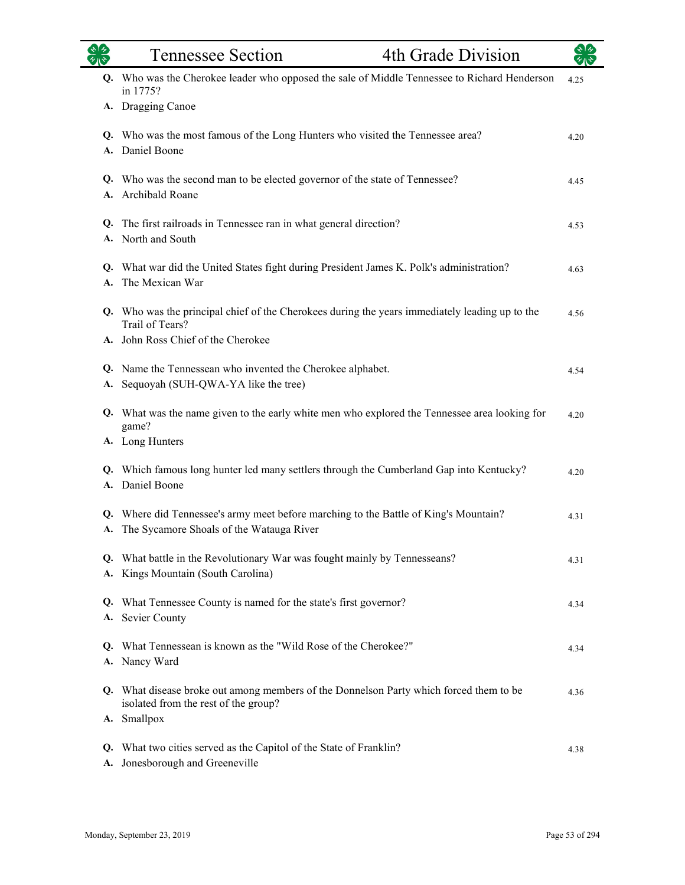|          | <b>Tennessee Section</b>                                                                                                         | 4th Grade Division |      |
|----------|----------------------------------------------------------------------------------------------------------------------------------|--------------------|------|
|          | Q. Who was the Cherokee leader who opposed the sale of Middle Tennessee to Richard Henderson<br>in 1775?                         |                    | 4.25 |
|          | A. Dragging Canoe                                                                                                                |                    |      |
|          | Q. Who was the most famous of the Long Hunters who visited the Tennessee area?<br>A. Daniel Boone                                |                    | 4.20 |
|          | Q. Who was the second man to be elected governor of the state of Tennessee?<br>A. Archibald Roane                                |                    | 4.45 |
| Q.<br>А. | The first railroads in Tennessee ran in what general direction?<br>North and South                                               |                    | 4.53 |
| A.       | Q. What war did the United States fight during President James K. Polk's administration?<br>The Mexican War                      |                    | 4.63 |
|          | Q. Who was the principal chief of the Cherokees during the years immediately leading up to the<br>Trail of Tears?                |                    | 4.56 |
|          | A. John Ross Chief of the Cherokee                                                                                               |                    |      |
| А.       | Q. Name the Tennessean who invented the Cherokee alphabet.<br>Sequoyah (SUH-QWA-YA like the tree)                                |                    | 4.54 |
|          | Q. What was the name given to the early white men who explored the Tennessee area looking for<br>game?                           |                    | 4.20 |
|          | A. Long Hunters                                                                                                                  |                    |      |
|          | Q. Which famous long hunter led many settlers through the Cumberland Gap into Kentucky?<br>A. Daniel Boone                       |                    | 4.20 |
| Q.       | Where did Tennessee's army meet before marching to the Battle of King's Mountain?<br>A. The Sycamore Shoals of the Watauga River |                    | 4.31 |
| А.       | Q. What battle in the Revolutionary War was fought mainly by Tennesseans?<br>Kings Mountain (South Carolina)                     |                    | 4.31 |
| А.       | Q. What Tennessee County is named for the state's first governor?<br>Sevier County                                               |                    | 4.34 |
| Q.       | What Tennessean is known as the "Wild Rose of the Cherokee?"<br>A. Nancy Ward                                                    |                    | 4.34 |
|          | Q. What disease broke out among members of the Donnelson Party which forced them to be<br>isolated from the rest of the group?   |                    | 4.36 |
|          | A. Smallpox<br>Q. What two cities served as the Capitol of the State of Franklin?<br>A. Jonesborough and Greeneville             |                    | 4.38 |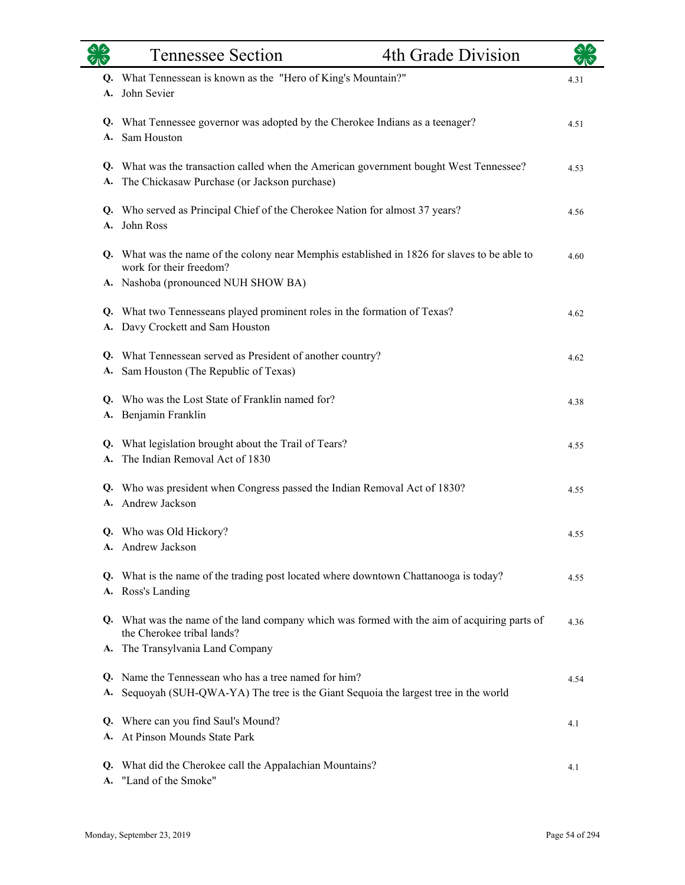|          | <b>Tennessee Section</b>                                                                                                                  | 4th Grade Division |      |
|----------|-------------------------------------------------------------------------------------------------------------------------------------------|--------------------|------|
|          | Q. What Tennessean is known as the "Hero of King's Mountain?"                                                                             |                    | 4.31 |
|          | A. John Sevier                                                                                                                            |                    |      |
|          | Q. What Tennessee governor was adopted by the Cherokee Indians as a teenager?                                                             |                    | 4.51 |
| А.       | Sam Houston                                                                                                                               |                    |      |
|          | Q. What was the transaction called when the American government bought West Tennessee?<br>A. The Chickasaw Purchase (or Jackson purchase) |                    | 4.53 |
|          | Q. Who served as Principal Chief of the Cherokee Nation for almost 37 years?                                                              |                    | 4.56 |
| A.       | John Ross                                                                                                                                 |                    |      |
|          | Q. What was the name of the colony near Memphis established in 1826 for slaves to be able to<br>work for their freedom?                   |                    | 4.60 |
|          | A. Nashoba (pronounced NUH SHOW BA)                                                                                                       |                    |      |
|          | Q. What two Tennesseans played prominent roles in the formation of Texas?                                                                 |                    | 4.62 |
|          | A. Davy Crockett and Sam Houston                                                                                                          |                    |      |
| Q.       | What Tennessean served as President of another country?                                                                                   |                    | 4.62 |
| А.       | Sam Houston (The Republic of Texas)                                                                                                       |                    |      |
|          | Q. Who was the Lost State of Franklin named for?                                                                                          |                    | 4.38 |
|          | A. Benjamin Franklin                                                                                                                      |                    |      |
|          | Q. What legislation brought about the Trail of Tears?                                                                                     |                    | 4.55 |
| А.       | The Indian Removal Act of 1830                                                                                                            |                    |      |
|          | Q. Who was president when Congress passed the Indian Removal Act of 1830?                                                                 |                    | 4.55 |
|          | A. Andrew Jackson                                                                                                                         |                    |      |
|          | Q. Who was Old Hickory?                                                                                                                   |                    | 4.55 |
|          | A. Andrew Jackson                                                                                                                         |                    |      |
|          | Q. What is the name of the trading post located where downtown Chattanooga is today?                                                      |                    | 4.55 |
|          | A. Ross's Landing                                                                                                                         |                    |      |
|          | Q. What was the name of the land company which was formed with the aim of acquiring parts of<br>the Cherokee tribal lands?                |                    | 4.36 |
|          | A. The Transylvania Land Company                                                                                                          |                    |      |
| Q.       | Name the Tennessean who has a tree named for him?                                                                                         |                    | 4.54 |
| А.       | Sequoyah (SUH-QWA-YA) The tree is the Giant Sequoia the largest tree in the world                                                         |                    |      |
| Q.       | Where can you find Saul's Mound?                                                                                                          |                    | 4.1  |
| A.       | At Pinson Mounds State Park                                                                                                               |                    |      |
| Q.<br>А. | What did the Cherokee call the Appalachian Mountains?<br>"Land of the Smoke"                                                              |                    | 4.1  |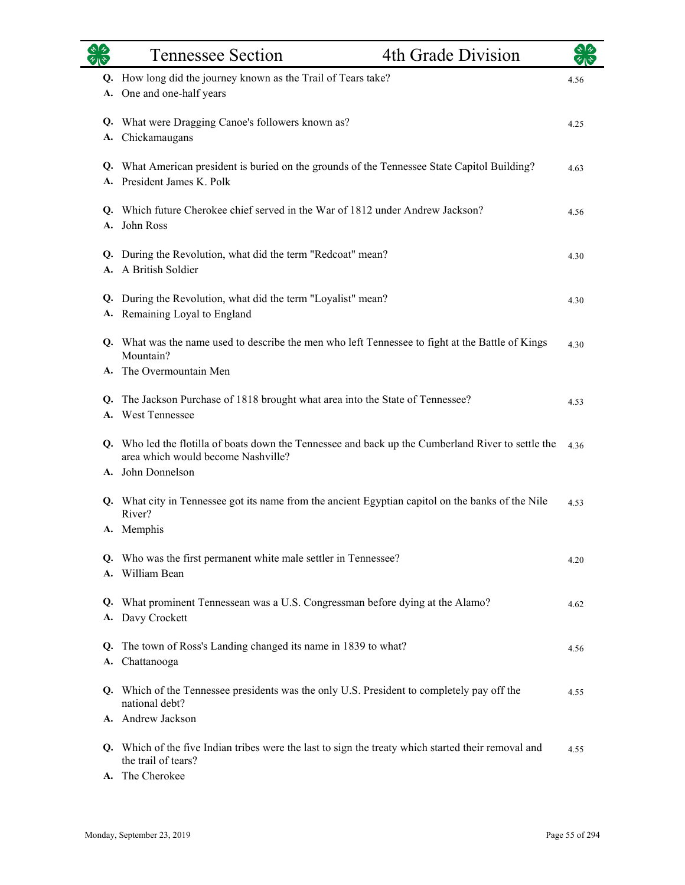|    | <b>Tennessee Section</b>                                                                                                                 | 4th Grade Division |      |
|----|------------------------------------------------------------------------------------------------------------------------------------------|--------------------|------|
|    | Q. How long did the journey known as the Trail of Tears take?<br>A. One and one-half years                                               |                    | 4.56 |
| А. | Q. What were Dragging Canoe's followers known as?<br>Chickamaugans                                                                       |                    | 4.25 |
|    | Q. What American president is buried on the grounds of the Tennessee State Capitol Building?<br>A. President James K. Polk               |                    | 4.63 |
| A. | Q. Which future Cherokee chief served in the War of 1812 under Andrew Jackson?<br>John Ross                                              |                    | 4.56 |
|    | Q. During the Revolution, what did the term "Redcoat" mean?<br>A. A British Soldier                                                      |                    | 4.30 |
| Q. | During the Revolution, what did the term "Loyalist" mean?<br>A. Remaining Loyal to England                                               |                    | 4.30 |
|    | Q. What was the name used to describe the men who left Tennessee to fight at the Battle of Kings<br>Mountain?                            |                    | 4.30 |
|    | A. The Overmountain Men                                                                                                                  |                    |      |
|    | Q. The Jackson Purchase of 1818 brought what area into the State of Tennessee?<br>A. West Tennessee                                      |                    | 4.53 |
|    | Q. Who led the flotilla of boats down the Tennessee and back up the Cumberland River to settle the<br>area which would become Nashville? |                    | 4.36 |
|    | A. John Donnelson                                                                                                                        |                    |      |
|    | Q. What city in Tennessee got its name from the ancient Egyptian capitol on the banks of the Nile<br>River?                              |                    | 4.53 |
|    | A. Memphis                                                                                                                               |                    |      |
|    | Q. Who was the first permanent white male settler in Tennessee?<br>A. William Bean                                                       |                    | 4.20 |
|    | Q. What prominent Tennessean was a U.S. Congressman before dying at the Alamo?<br>A. Davy Crockett                                       |                    | 4.62 |
| Q. | The town of Ross's Landing changed its name in 1839 to what?<br>A. Chattanooga                                                           |                    | 4.56 |
|    | Q. Which of the Tennessee presidents was the only U.S. President to completely pay off the<br>national debt?                             |                    | 4.55 |
|    | A. Andrew Jackson                                                                                                                        |                    |      |
|    | Q. Which of the five Indian tribes were the last to sign the treaty which started their removal and<br>the trail of tears?               |                    | 4.55 |
|    | A. The Cherokee                                                                                                                          |                    |      |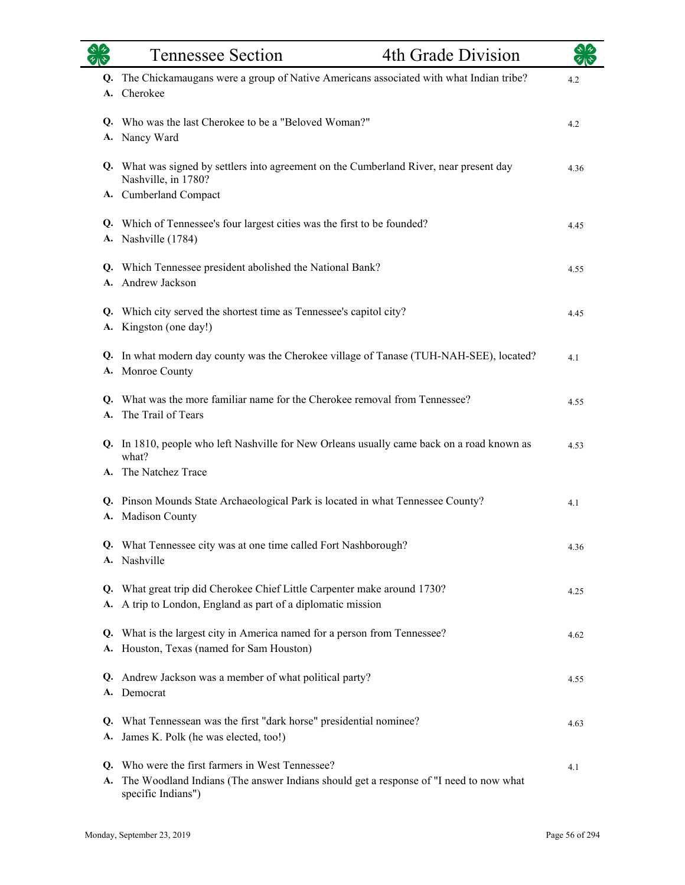|          | <b>Tennessee Section</b>                                                                                                                                     | 4th Grade Division |      |
|----------|--------------------------------------------------------------------------------------------------------------------------------------------------------------|--------------------|------|
|          | Q. The Chickamaugans were a group of Native Americans associated with what Indian tribe?<br>A. Cherokee                                                      |                    | 4.2  |
|          | Q. Who was the last Cherokee to be a "Beloved Woman?"<br>A. Nancy Ward                                                                                       |                    | 4.2  |
|          | Q. What was signed by settlers into agreement on the Cumberland River, near present day<br>Nashville, in 1780?                                               |                    | 4.36 |
|          | A. Cumberland Compact                                                                                                                                        |                    |      |
|          | Q. Which of Tennessee's four largest cities was the first to be founded?<br>A. Nashville (1784)                                                              |                    | 4.45 |
|          | Q. Which Tennessee president abolished the National Bank?<br>A. Andrew Jackson                                                                               |                    | 4.55 |
|          | Q. Which city served the shortest time as Tennessee's capitol city?<br>A. Kingston (one day!)                                                                |                    | 4.45 |
|          | Q. In what modern day county was the Cherokee village of Tanase (TUH-NAH-SEE), located?<br>A. Monroe County                                                  |                    | 4.1  |
|          | Q. What was the more familiar name for the Cherokee removal from Tennessee?<br>A. The Trail of Tears                                                         |                    | 4.55 |
|          | Q. In 1810, people who left Nashville for New Orleans usually came back on a road known as<br>what?<br>A. The Natchez Trace                                  |                    | 4.53 |
|          |                                                                                                                                                              |                    |      |
| A.       | Q. Pinson Mounds State Archaeological Park is located in what Tennessee County?<br>Madison County                                                            |                    | 4.1  |
|          | Q. What Tennessee city was at one time called Fort Nashborough?<br>A. Nashville                                                                              |                    | 4.36 |
| А.       | Q. What great trip did Cherokee Chief Little Carpenter make around 1730?<br>A trip to London, England as part of a diplomatic mission                        |                    | 4.25 |
|          | Q. What is the largest city in America named for a person from Tennessee?<br>A. Houston, Texas (named for Sam Houston)                                       |                    | 4.62 |
| Q.       | Andrew Jackson was a member of what political party?<br>A. Democrat                                                                                          |                    | 4.55 |
| A.       | Q. What Tennessean was the first "dark horse" presidential nominee?<br>James K. Polk (he was elected, too!)                                                  |                    | 4.63 |
| Q.<br>A. | Who were the first farmers in West Tennessee?<br>The Woodland Indians (The answer Indians should get a response of "I need to now what<br>specific Indians") |                    | 4.1  |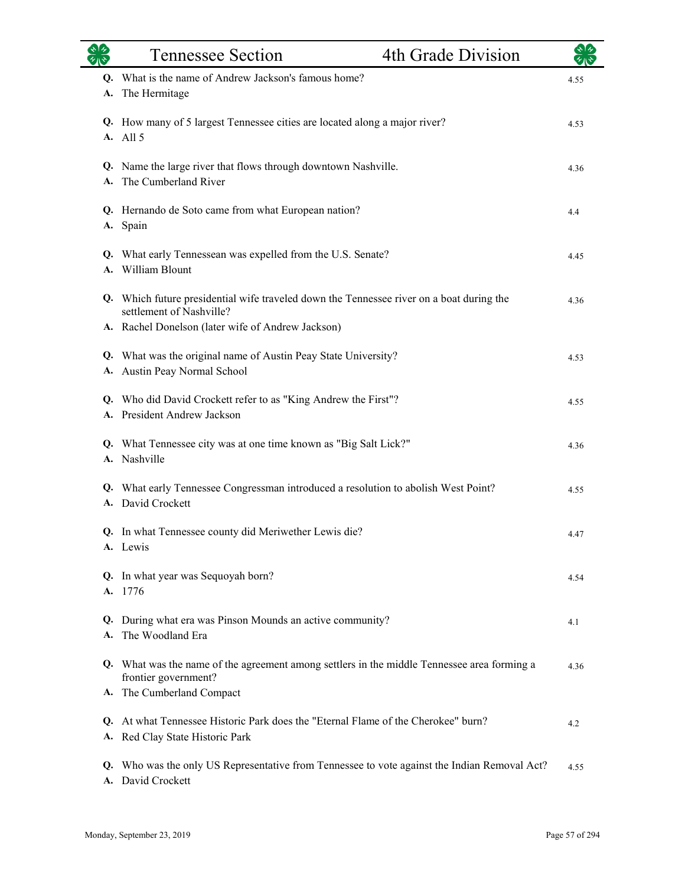|          | <b>Tennessee Section</b>                                                                                                                         | 4th Grade Division |      |
|----------|--------------------------------------------------------------------------------------------------------------------------------------------------|--------------------|------|
| A.       | Q. What is the name of Andrew Jackson's famous home?<br>The Hermitage                                                                            |                    | 4.55 |
|          | Q. How many of 5 largest Tennessee cities are located along a major river?<br>A. All 5                                                           |                    | 4.53 |
| A.       | Q. Name the large river that flows through downtown Nashville.<br>The Cumberland River                                                           |                    | 4.36 |
|          | Q. Hernando de Soto came from what European nation?<br>A. Spain                                                                                  |                    | 4.4  |
|          | Q. What early Tennessean was expelled from the U.S. Senate?<br>A. William Blount                                                                 |                    | 4.45 |
|          | Q. Which future presidential wife traveled down the Tennessee river on a boat during the<br>settlement of Nashville?                             |                    | 4.36 |
| Q.       | A. Rachel Donelson (later wife of Andrew Jackson)<br>What was the original name of Austin Peay State University?<br>A. Austin Peay Normal School |                    | 4.53 |
|          | Q. Who did David Crockett refer to as "King Andrew the First"?<br>A. President Andrew Jackson                                                    |                    | 4.55 |
|          | Q. What Tennessee city was at one time known as "Big Salt Lick?"<br>A. Nashville                                                                 |                    | 4.36 |
| Q.       | What early Tennessee Congressman introduced a resolution to abolish West Point?<br>A. David Crockett                                             |                    | 4.55 |
|          | Q. In what Tennessee county did Meriwether Lewis die?<br>A. Lewis                                                                                |                    | 4.47 |
|          | Q. In what year was Sequoyah born?<br>A. 1776                                                                                                    |                    | 4.54 |
| Q.<br>А. | During what era was Pinson Mounds an active community?<br>The Woodland Era                                                                       |                    | 4.1  |
|          | Q. What was the name of the agreement among settlers in the middle Tennessee area forming a<br>frontier government?                              |                    | 4.36 |
| A.<br>Q. | The Cumberland Compact<br>At what Tennessee Historic Park does the "Eternal Flame of the Cherokee" burn?<br>A. Red Clay State Historic Park      |                    | 4.2  |
| Q.       | Who was the only US Representative from Tennessee to vote against the Indian Removal Act?<br>A. David Crockett                                   |                    | 4.55 |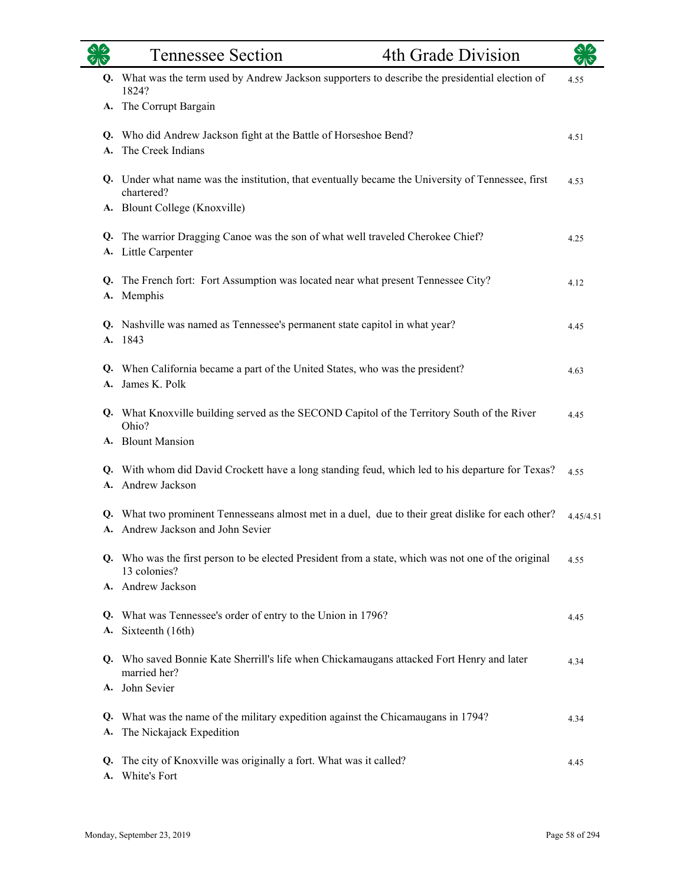|    | 4th Grade Division<br><b>Tennessee Section</b>                                                                                          |           |
|----|-----------------------------------------------------------------------------------------------------------------------------------------|-----------|
|    | Q. What was the term used by Andrew Jackson supporters to describe the presidential election of<br>1824?                                | 4.55      |
| A. | The Corrupt Bargain                                                                                                                     |           |
|    | Q. Who did Andrew Jackson fight at the Battle of Horseshoe Bend?<br>A. The Creek Indians                                                | 4.51      |
|    | Q. Under what name was the institution, that eventually became the University of Tennessee, first<br>chartered?                         | 4.53      |
|    | A. Blount College (Knoxville)                                                                                                           |           |
|    | Q. The warrior Dragging Canoe was the son of what well traveled Cherokee Chief?<br>A. Little Carpenter                                  | 4.25      |
|    | Q. The French fort: Fort Assumption was located near what present Tennessee City?<br>A. Memphis                                         | 4.12      |
|    | Q. Nashville was named as Tennessee's permanent state capitol in what year?<br>A. 1843                                                  | 4.45      |
| A. | Q. When California became a part of the United States, who was the president?<br>James K. Polk                                          | 4.63      |
|    | Q. What Knoxville building served as the SECOND Capitol of the Territory South of the River<br>Ohio?<br>A. Blount Mansion               | 4.45      |
|    |                                                                                                                                         |           |
|    | Q. With whom did David Crockett have a long standing feud, which led to his departure for Texas?<br>A. Andrew Jackson                   | 4.55      |
|    | Q. What two prominent Tennesseans almost met in a duel, due to their great dislike for each other?<br>A. Andrew Jackson and John Sevier | 4.45/4.51 |
|    | Q. Who was the first person to be elected President from a state, which was not one of the original<br>13 colonies?                     | 4.55      |
|    | A. Andrew Jackson                                                                                                                       |           |
| A. | Q. What was Tennessee's order of entry to the Union in 1796?<br>Sixteenth (16th)                                                        | 4.45      |
| Q. | Who saved Bonnie Kate Sherrill's life when Chickamaugans attacked Fort Henry and later<br>married her?<br>A. John Sevier                | 4.34      |
| A. | Q. What was the name of the military expedition against the Chicamaugans in 1794?<br>The Nickajack Expedition                           | 4.34      |
| Q. | The city of Knoxville was originally a fort. What was it called?<br>A. White's Fort                                                     | 4.45      |